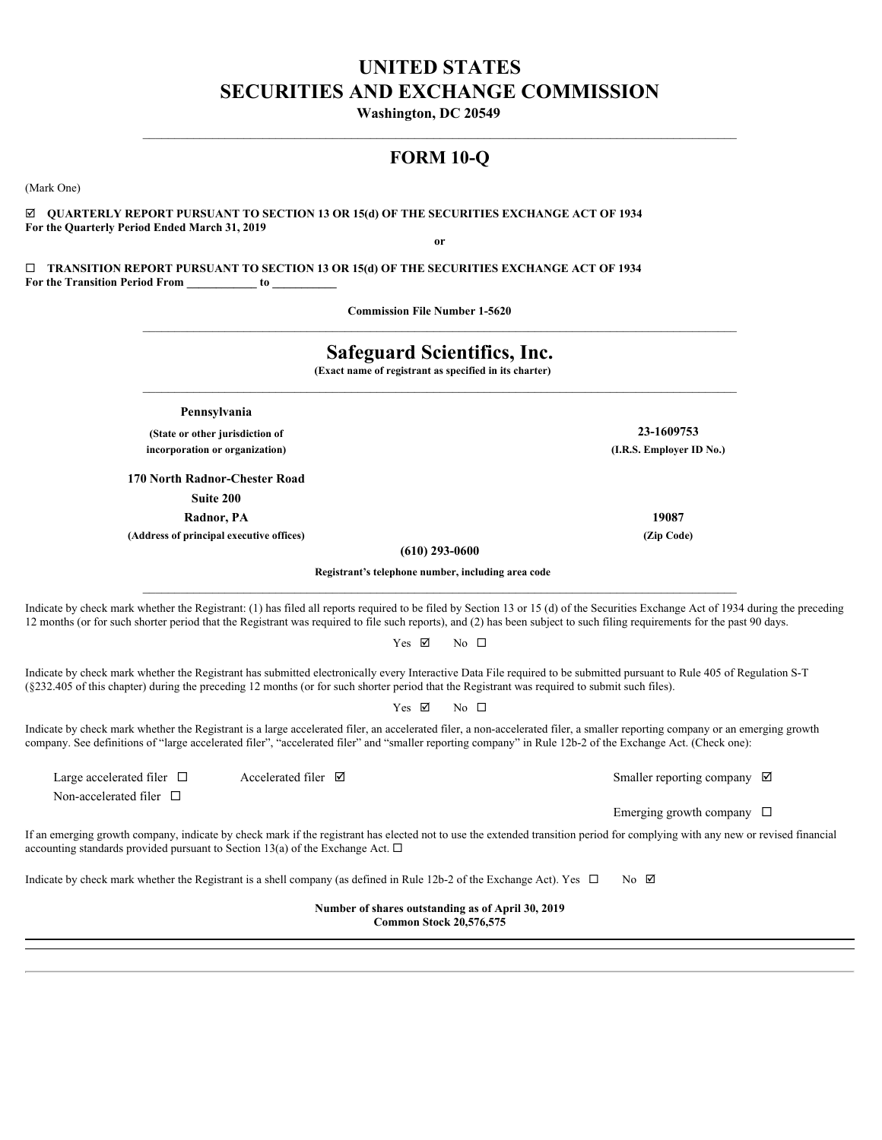# **UNITED STATES SECURITIES AND EXCHANGE COMMISSION**

**Washington, DC 20549** 

## **FORM 10-Q**

 $\mathcal{L}_\mathcal{L} = \mathcal{L}_\mathcal{L}$ 

(Mark One)

þ **QUARTERLY REPORT PURSUANT TO SECTION 13 OR 15(d) OF THE SECURITIES EXCHANGE ACT OF 1934 For the Quarterly Period Ended March 31, 2019 or**

¨ **TRANSITION REPORT PURSUANT TO SECTION 13 OR 15(d) OF THE SECURITIES EXCHANGE ACT OF 1934 For the Transition Period From \_\_\_\_\_\_\_\_\_\_\_\_ to \_\_\_\_\_\_\_\_\_\_\_**

**Commission File Number 1-5620** 

|                                                                |                                                                                     | <b>Safeguard Scientifics, Inc.</b><br>(Exact name of registrant as specified in its charter)                                                                                                                                                                                                                                                                                                                                                                                                                                                                                                                                                                                                                                                                                                                                                                                                                                                                                                                                                                                                                   |                                        |  |
|----------------------------------------------------------------|-------------------------------------------------------------------------------------|----------------------------------------------------------------------------------------------------------------------------------------------------------------------------------------------------------------------------------------------------------------------------------------------------------------------------------------------------------------------------------------------------------------------------------------------------------------------------------------------------------------------------------------------------------------------------------------------------------------------------------------------------------------------------------------------------------------------------------------------------------------------------------------------------------------------------------------------------------------------------------------------------------------------------------------------------------------------------------------------------------------------------------------------------------------------------------------------------------------|----------------------------------------|--|
|                                                                | Pennsylvania                                                                        |                                                                                                                                                                                                                                                                                                                                                                                                                                                                                                                                                                                                                                                                                                                                                                                                                                                                                                                                                                                                                                                                                                                |                                        |  |
|                                                                | (State or other jurisdiction of<br>incorporation or organization)                   |                                                                                                                                                                                                                                                                                                                                                                                                                                                                                                                                                                                                                                                                                                                                                                                                                                                                                                                                                                                                                                                                                                                | 23-1609753<br>(I.R.S. Employer ID No.) |  |
|                                                                | 170 North Radnor-Chester Road                                                       |                                                                                                                                                                                                                                                                                                                                                                                                                                                                                                                                                                                                                                                                                                                                                                                                                                                                                                                                                                                                                                                                                                                |                                        |  |
|                                                                | Suite 200                                                                           |                                                                                                                                                                                                                                                                                                                                                                                                                                                                                                                                                                                                                                                                                                                                                                                                                                                                                                                                                                                                                                                                                                                |                                        |  |
|                                                                | Radnor, PA                                                                          |                                                                                                                                                                                                                                                                                                                                                                                                                                                                                                                                                                                                                                                                                                                                                                                                                                                                                                                                                                                                                                                                                                                | 19087                                  |  |
|                                                                | (Address of principal executive offices)                                            | $(610)$ 293-0600                                                                                                                                                                                                                                                                                                                                                                                                                                                                                                                                                                                                                                                                                                                                                                                                                                                                                                                                                                                                                                                                                               | (Zip Code)                             |  |
|                                                                |                                                                                     | Registrant's telephone number, including area code                                                                                                                                                                                                                                                                                                                                                                                                                                                                                                                                                                                                                                                                                                                                                                                                                                                                                                                                                                                                                                                             |                                        |  |
|                                                                |                                                                                     | Indicate by check mark whether the Registrant: (1) has filed all reports required to be filed by Section 13 or 15 (d) of the Securities Exchange Act of 1934 during the preceding<br>12 months (or for such shorter period that the Registrant was required to file such reports), and (2) has been subject to such filing requirements for the past 90 days.<br>Yes $\boxtimes$<br>No $\square$<br>Indicate by check mark whether the Registrant has submitted electronically every Interactive Data File required to be submitted pursuant to Rule 405 of Regulation S-T<br>(§232.405 of this chapter) during the preceding 12 months (or for such shorter period that the Registrant was required to submit such files).<br>$Yes \n\boxtimes$<br>$No \square$<br>Indicate by check mark whether the Registrant is a large accelerated filer, an accelerated filer, a non-accelerated filer, a smaller reporting company or an emerging growth<br>company. See definitions of "large accelerated filer", "accelerated filer" and "smaller reporting company" in Rule 12b-2 of the Exchange Act. (Check one): |                                        |  |
| Large accelerated filer $\Box$<br>Non-accelerated filer $\Box$ | Accelerated filer $\boxtimes$                                                       |                                                                                                                                                                                                                                                                                                                                                                                                                                                                                                                                                                                                                                                                                                                                                                                                                                                                                                                                                                                                                                                                                                                | Smaller reporting company $\boxtimes$  |  |
|                                                                |                                                                                     |                                                                                                                                                                                                                                                                                                                                                                                                                                                                                                                                                                                                                                                                                                                                                                                                                                                                                                                                                                                                                                                                                                                | Emerging growth company $\Box$         |  |
|                                                                | accounting standards provided pursuant to Section 13(a) of the Exchange Act. $\Box$ | If an emerging growth company, indicate by check mark if the registrant has elected not to use the extended transition period for complying with any new or revised financial                                                                                                                                                                                                                                                                                                                                                                                                                                                                                                                                                                                                                                                                                                                                                                                                                                                                                                                                  |                                        |  |
|                                                                |                                                                                     | Indicate by check mark whether the Registrant is a shell company (as defined in Rule 12b-2 of the Exchange Act). Yes $\Box$                                                                                                                                                                                                                                                                                                                                                                                                                                                                                                                                                                                                                                                                                                                                                                                                                                                                                                                                                                                    | $\mathrm{No}$ $\boxtimes$              |  |
|                                                                |                                                                                     | Number of shares outstanding as of April 30, 2019<br><b>Common Stock 20,576,575</b>                                                                                                                                                                                                                                                                                                                                                                                                                                                                                                                                                                                                                                                                                                                                                                                                                                                                                                                                                                                                                            |                                        |  |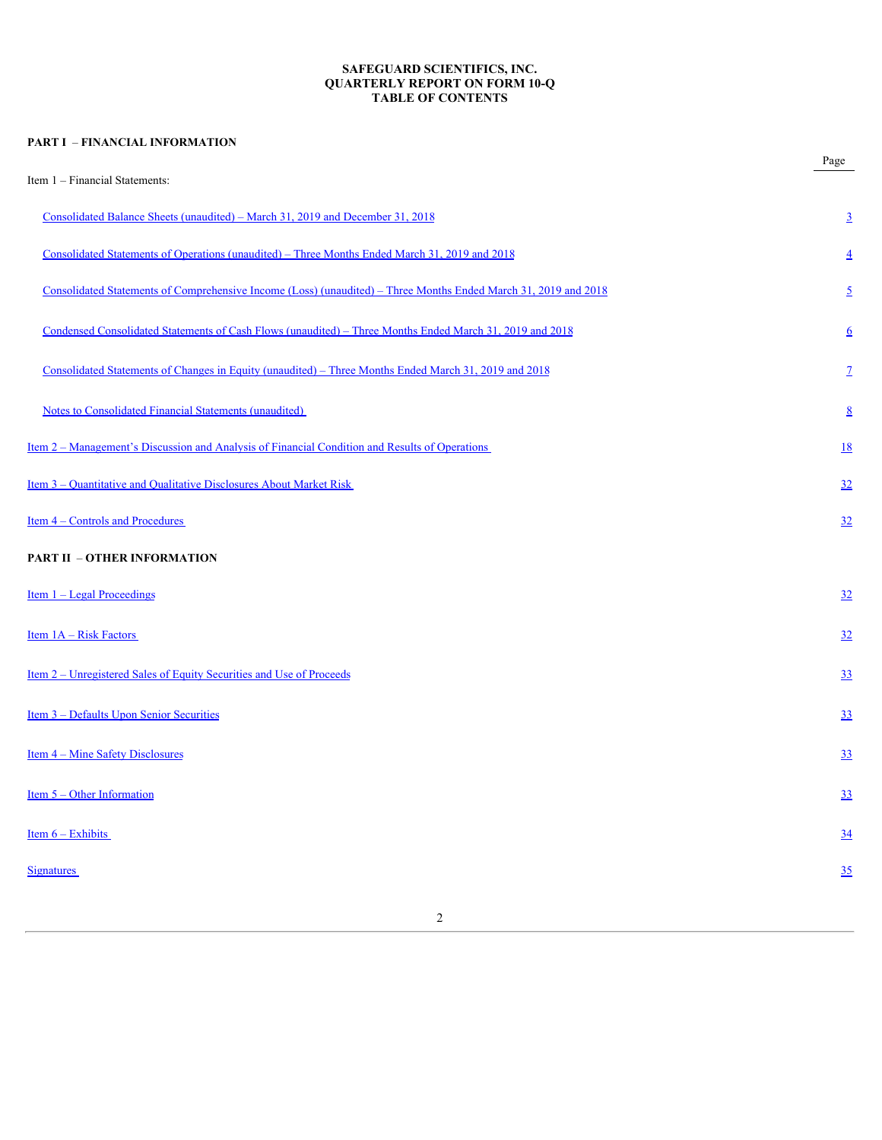## **SAFEGUARD SCIENTIFICS, INC. QUARTERLY REPORT ON FORM 10-Q TABLE OF CONTENTS**

| <b>PART I - FINANCIAL INFORMATION</b>                                                                           | Page             |
|-----------------------------------------------------------------------------------------------------------------|------------------|
| Item 1 - Financial Statements:                                                                                  |                  |
| Consolidated Balance Sheets (unaudited) – March 31, 2019 and December 31, 2018                                  | $\overline{3}$   |
| Consolidated Statements of Operations (unaudited) – Three Months Ended March 31, 2019 and 2018                  | $\overline{4}$   |
| Consolidated Statements of Comprehensive Income (Loss) (unaudited) – Three Months Ended March 31, 2019 and 2018 | $\overline{2}$   |
| Condensed Consolidated Statements of Cash Flows (unaudited) - Three Months Ended March 31, 2019 and 2018        | $6\overline{6}$  |
| Consolidated Statements of Changes in Equity (unaudited) – Three Months Ended March 31, 2019 and 2018           | $\mathbf{Z}$     |
| <b>Notes to Consolidated Financial Statements (unaudited)</b>                                                   | 8                |
| <u>Item 2 – Management's Discussion and Analysis of Financial Condition and Results of Operations</u>           | 18               |
| <u>Item 3 – Quantitative and Qualitative Disclosures About Market Risk</u>                                      | 32               |
| Item 4 – Controls and Procedures                                                                                | 32               |
| <b>PART II - OTHER INFORMATION</b>                                                                              |                  |
| $Item 1 - Legal Proceedings$                                                                                    | 32               |
| Item 1A - Risk Factors                                                                                          | 32               |
| <u>Item 2 – Unregistered Sales of Equity Securities and Use of Proceeds</u>                                     | 33               |
| Item 3 - Defaults Upon Senior Securities                                                                        | 33               |
| Item 4 – Mine Safety Disclosures                                                                                | 33               |
| Item 5 - Other Information                                                                                      | $\underline{33}$ |
| Item $6 -$ Exhibits                                                                                             | $\underline{34}$ |
| <b>Signatures</b>                                                                                               | 35               |
|                                                                                                                 |                  |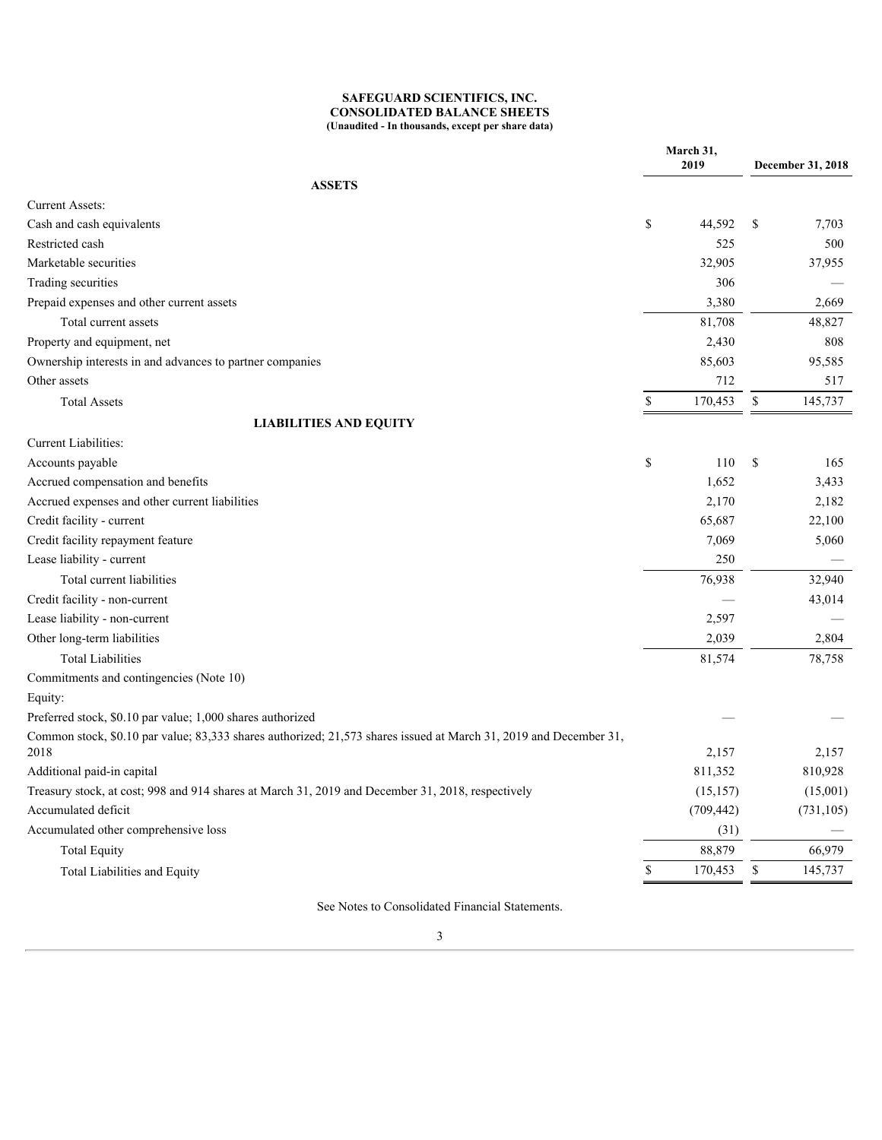#### **SAFEGUARD SCIENTIFICS, INC. CONSOLIDATED BALANCE SHEETS (Unaudited - In thousands, except per share data)**

<span id="page-2-0"></span>

|                                                                                                                   |               | March 31,<br>2019        |              | December 31, 2018               |
|-------------------------------------------------------------------------------------------------------------------|---------------|--------------------------|--------------|---------------------------------|
| <b>ASSETS</b>                                                                                                     |               |                          |              |                                 |
| <b>Current Assets:</b>                                                                                            |               |                          |              |                                 |
| Cash and cash equivalents                                                                                         | $\mathbb S$   | 44,592 \$                |              | 7,703                           |
| Restricted cash                                                                                                   |               | 525                      |              | 500                             |
| Marketable securities                                                                                             |               | 32,905                   |              | 37,955                          |
| Trading securities                                                                                                |               | 306                      |              | $\hspace{0.05cm}$               |
| Prepaid expenses and other current assets                                                                         |               | 3,380                    |              | 2,669                           |
| Total current assets                                                                                              |               | 81,708                   |              | 48,827                          |
| Property and equipment, net                                                                                       |               | 2,430                    |              | 808                             |
| Ownership interests in and advances to partner companies                                                          |               | 85,603                   |              | 95,585                          |
| Other assets                                                                                                      |               | 712                      |              | 517                             |
| <b>Total Assets</b>                                                                                               |               | 170,453                  | $\mathbb{S}$ | 145,737                         |
| <b>LIABILITIES AND EQUITY</b>                                                                                     |               |                          |              |                                 |
| Current Liabilities:                                                                                              |               |                          |              |                                 |
| Accounts payable                                                                                                  | $\mathbb{S}$  | 110S                     |              | 165                             |
| Accrued compensation and benefits                                                                                 |               | 1,652                    |              | 3,433                           |
| Accrued expenses and other current liabilities                                                                    |               | 2,170                    |              | 2,182                           |
| Credit facility - current                                                                                         |               | 65,687                   |              | 22,100                          |
| Credit facility repayment feature                                                                                 |               | 7,069                    |              | 5,060                           |
| Lease liability - current                                                                                         |               | 250                      |              | $\hspace{0.1mm}-\hspace{0.1mm}$ |
| Total current liabilities                                                                                         |               | 76,938                   |              | 32,940                          |
| Credit facility - non-current                                                                                     |               | $\overline{\phantom{m}}$ |              | 43,014                          |
| Lease liability - non-current                                                                                     |               | 2,597                    |              | $\hspace{0.05cm}$               |
| Other long-term liabilities                                                                                       |               | 2,039                    |              | 2,804                           |
| <b>Total Liabilities</b>                                                                                          |               | 81,574                   |              | 78,758                          |
| Commitments and contingencies (Note 10)                                                                           |               |                          |              |                                 |
| Equity:                                                                                                           |               |                          |              |                                 |
| Preferred stock, \$0.10 par value; 1,000 shares authorized                                                        |               |                          |              |                                 |
| Common stock, \$0.10 par value; 83,333 shares authorized; 21,573 shares issued at March 31, 2019 and December 31, |               |                          |              |                                 |
| 2018                                                                                                              |               | 2,157                    |              | 2,157                           |
| Additional paid-in capital                                                                                        |               | 811,352                  |              | 810,928                         |
| Treasury stock, at cost; 998 and 914 shares at March 31, 2019 and December 31, 2018, respectively                 |               | (15, 157)                |              | (15,001)                        |
| Accumulated deficit                                                                                               |               | (709, 442)               |              | (731, 105)                      |
| Accumulated other comprehensive loss                                                                              |               | (31)                     |              |                                 |
| <b>Total Equity</b>                                                                                               |               | 88,879                   |              | 66,979                          |
| Total Liabilities and Equity                                                                                      | <sup>\$</sup> | 170,453 \$               |              | 145,737                         |
|                                                                                                                   |               |                          |              |                                 |

See Notes to Consolidated Financial Statements.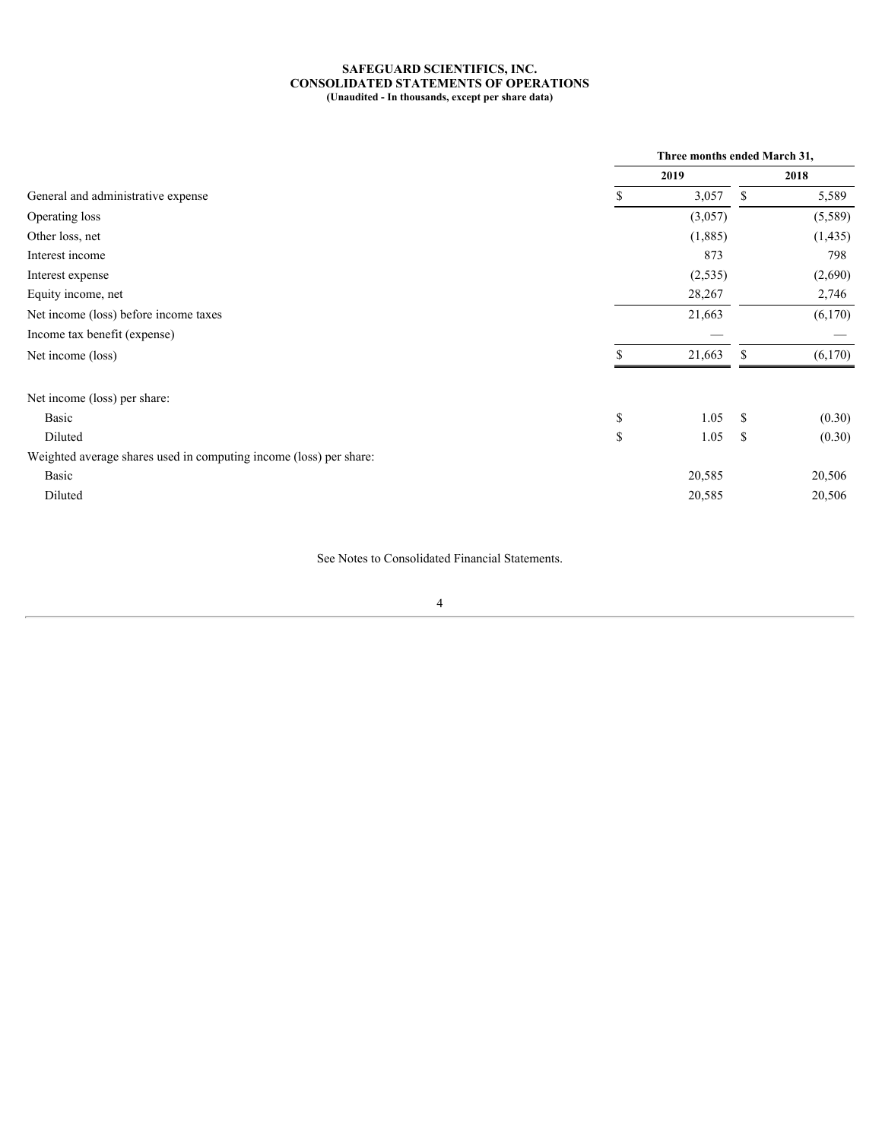#### **SAFEGUARD SCIENTIFICS, INC. CONSOLIDATED STATEMENTS OF OPERATIONS (Unaudited - In thousands, except per share data)**

<span id="page-3-0"></span>

|                                                                    | Three months ended March 31,    |      |                   |
|--------------------------------------------------------------------|---------------------------------|------|-------------------|
|                                                                    | 2019                            | 2018 |                   |
| General and administrative expense                                 | 3,057                           | -S   | 5,589             |
| Operating loss                                                     | (3,057)                         |      | (5, 589)          |
| Other loss, net                                                    | (1,885)                         |      | (1, 435)          |
| Interest income                                                    | 873                             |      | 798               |
| Interest expense                                                   | (2, 535)                        |      | (2,690)           |
| Equity income, net                                                 | 28,267                          |      | 2,746             |
| Net income (loss) before income taxes                              | 21,663                          |      | (6,170)           |
| Income tax benefit (expense)                                       | $\hspace{0.1mm}-\hspace{0.1mm}$ |      | $\hspace{0.05cm}$ |
| Net income (loss)                                                  | 21,663                          | - \$ | (6,170)           |
|                                                                    |                                 |      |                   |
| Net income (loss) per share:                                       |                                 |      |                   |
| Basic                                                              | \$<br>1.05                      | -S   | (0.30)            |
| Diluted                                                            | \$<br>1.05                      | - \$ | (0.30)            |
| Weighted average shares used in computing income (loss) per share: |                                 |      |                   |
| Basic                                                              | 20,585                          |      | 20,506            |
| Diluted                                                            | 20,585                          |      | 20,506            |
|                                                                    |                                 |      |                   |

See Notes to Consolidated Financial Statements.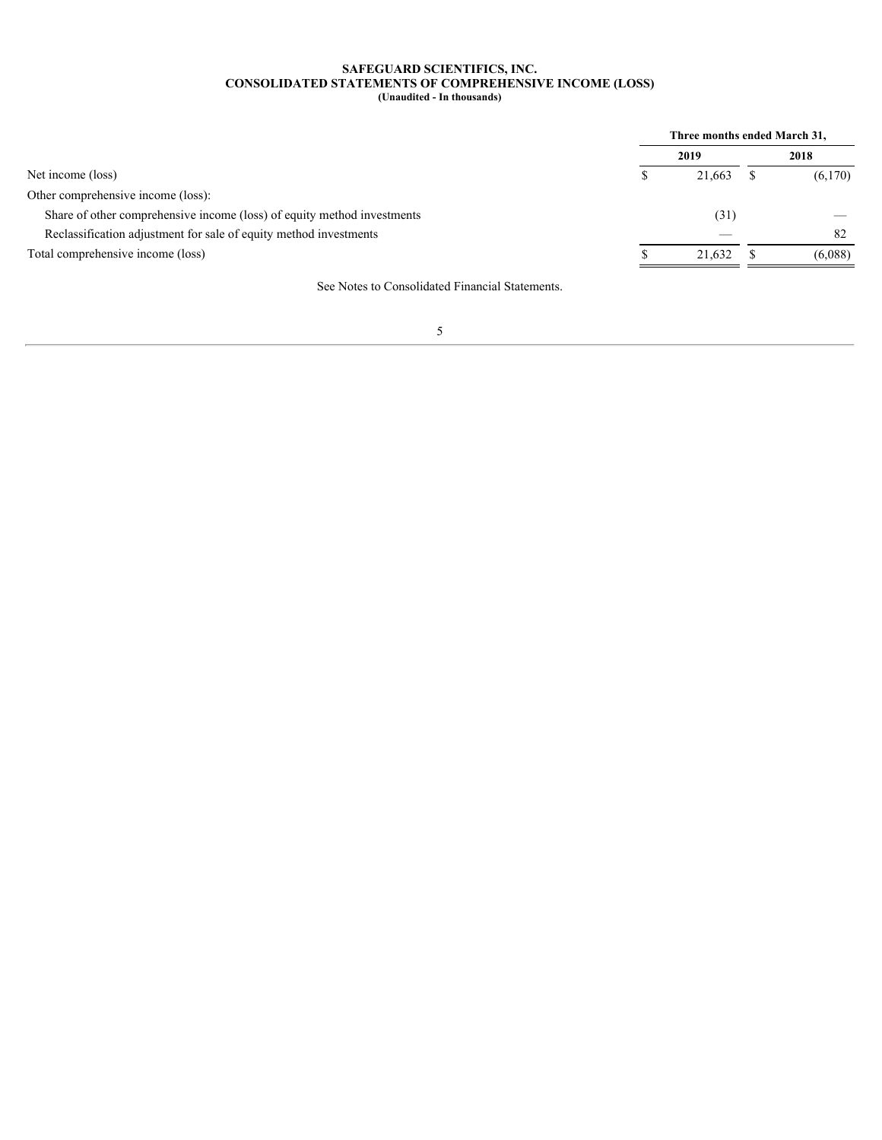#### **SAFEGUARD SCIENTIFICS, INC. CONSOLIDATED STATEMENTS OF COMPREHENSIVE INCOME (LOSS) (Unaudited - In thousands)**

<span id="page-4-0"></span>

|                                                                         | Three months ended March 31,   |      |                                 |
|-------------------------------------------------------------------------|--------------------------------|------|---------------------------------|
|                                                                         | 2019                           | 2018 |                                 |
| Net income (loss)                                                       | $21,663$ \$                    |      | (6,170)                         |
| Other comprehensive income (loss):                                      |                                |      |                                 |
| Share of other comprehensive income (loss) of equity method investments | (31)                           |      | $\hspace{0.1mm}-\hspace{0.1mm}$ |
| Reclassification adjustment for sale of equity method investments       | $\overbrace{\hspace{25mm}}^{}$ |      |                                 |
| Total comprehensive income (loss)                                       | 21,632                         |      | (6,088)                         |
|                                                                         |                                |      |                                 |

See Notes to Consolidated Financial Statements.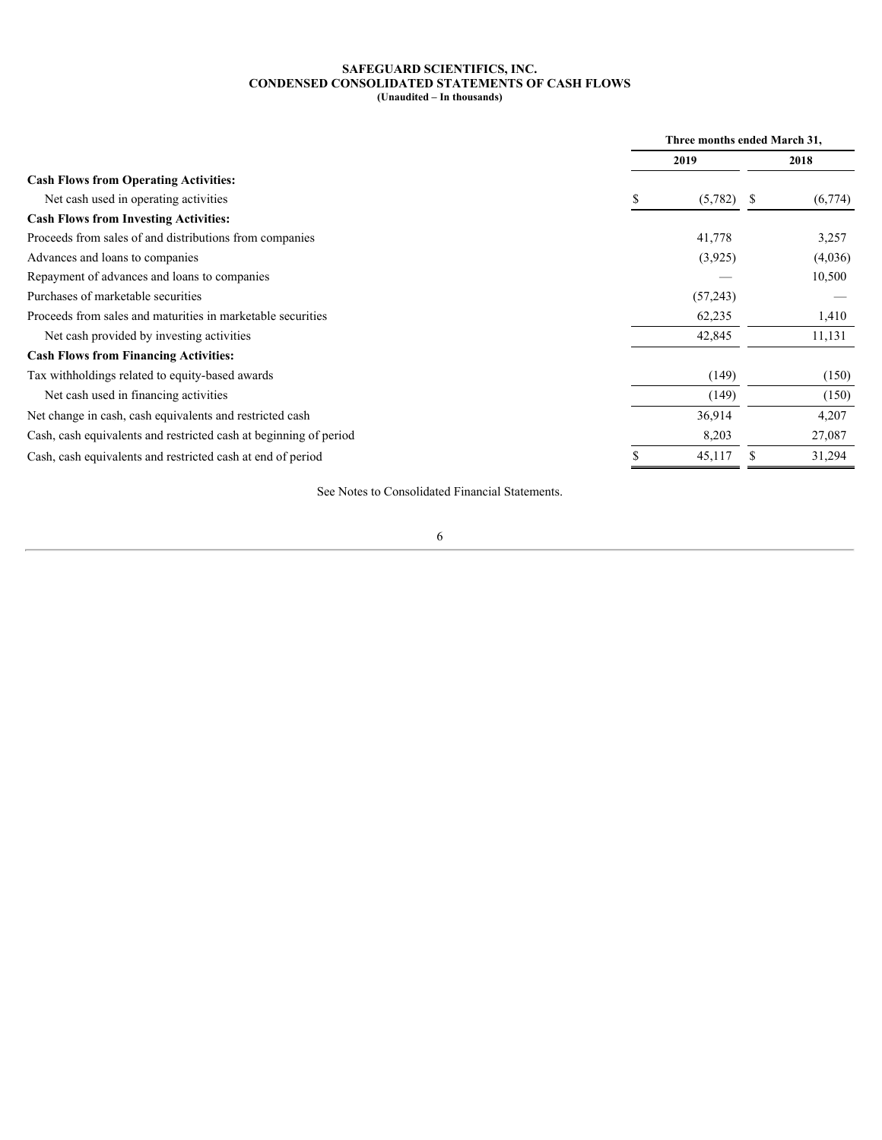#### **SAFEGUARD SCIENTIFICS, INC. CONDENSED CONSOLIDATED STATEMENTS OF CASH FLOWS (Unaudited – In thousands)**

<span id="page-5-0"></span>

|                                                                   | Three months ended March 31, |         |
|-------------------------------------------------------------------|------------------------------|---------|
|                                                                   | 2019                         | 2018    |
| <b>Cash Flows from Operating Activities:</b>                      |                              |         |
| Net cash used in operating activities                             | $(5,782)$ \$                 | (6,774) |
| <b>Cash Flows from Investing Activities:</b>                      |                              |         |
| Proceeds from sales of and distributions from companies           | 41,778                       | 3,257   |
| Advances and loans to companies                                   | (3,925)                      | (4,036) |
| Repayment of advances and loans to companies                      |                              | 10,500  |
| Purchases of marketable securities                                | (57,243)                     |         |
| Proceeds from sales and maturities in marketable securities       | 62,235                       | 1,410   |
| Net cash provided by investing activities                         | 42,845                       | 11,131  |
| <b>Cash Flows from Financing Activities:</b>                      |                              |         |
| Tax withholdings related to equity-based awards                   | (149)                        | (150)   |
| Net cash used in financing activities                             | (149)                        | (150)   |
| Net change in cash, cash equivalents and restricted cash          | 36,914                       | 4,207   |
| Cash, cash equivalents and restricted cash at beginning of period | 8,203                        | 27,087  |
| Cash, cash equivalents and restricted cash at end of period       | 45,117                       | 31,294  |
|                                                                   |                              |         |

See Notes to Consolidated Financial Statements.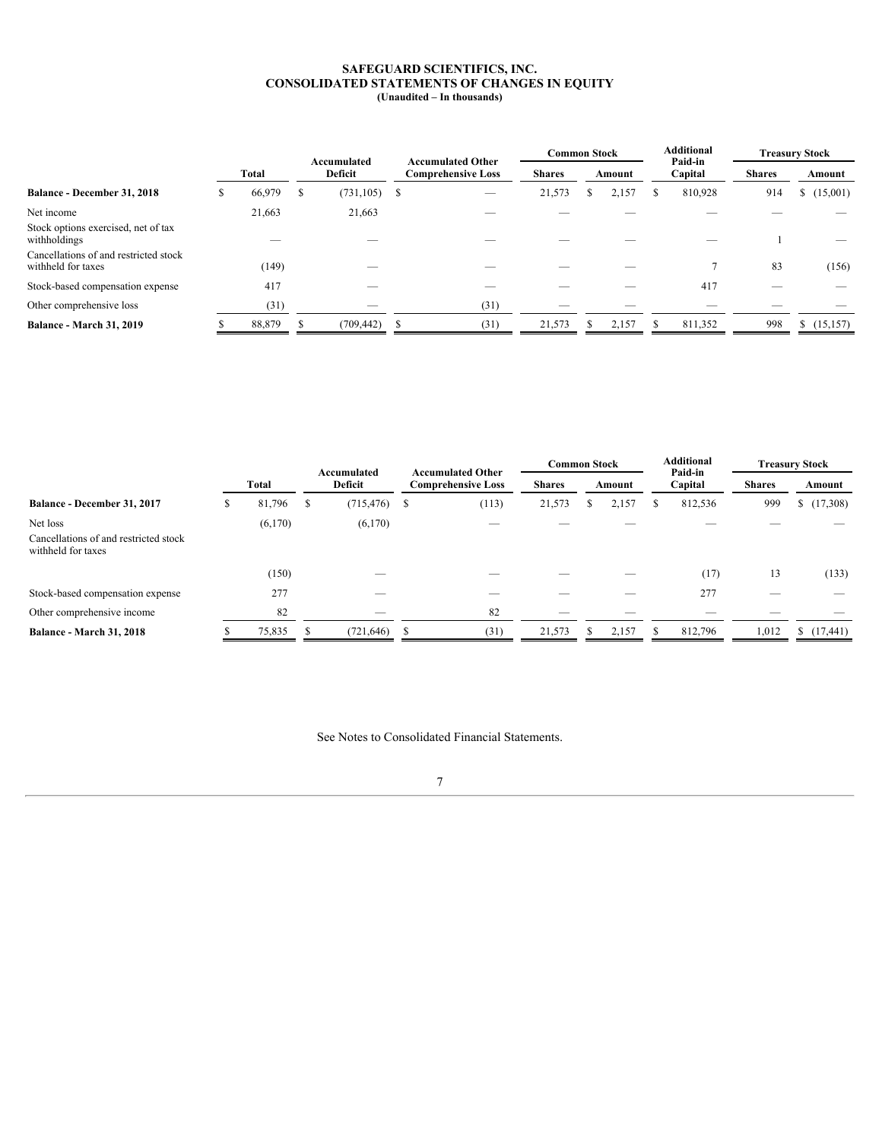#### **SAFEGUARD SCIENTIFICS, INC. CONSOLIDATED STATEMENTS OF CHANGES IN EQUITY (Unaudited – In thousands)**

<span id="page-6-0"></span>

|                                                             |                   |                                 | <b>Accumulated Other</b>        |               | <b>Common Stock</b>             |        | <b>Additional</b><br>Paid-in |                          | <b>Treasury Stock</b>           |
|-------------------------------------------------------------|-------------------|---------------------------------|---------------------------------|---------------|---------------------------------|--------|------------------------------|--------------------------|---------------------------------|
|                                                             | Total             | Accumulated<br>Deficit          | <b>Comprehensive Loss</b>       | <b>Shares</b> |                                 | Amount | Capital                      | <b>Shares</b>            | Amount                          |
| <b>Balance - December 31, 2018</b>                          | 66,979            | $(731, 105)$ \$                 | $\qquad \qquad -$               |               | 21,573                          | 2,157  | 810,928                      | 914                      | (15,001)                        |
| Net income                                                  | 21,663            | 21,663                          |                                 |               | $\overline{\phantom{a}}$        |        |                              |                          |                                 |
| Stock options exercised, net of tax<br>withholdings         | $\hspace{0.05cm}$ | $\hspace{0.1mm}-\hspace{0.1mm}$ |                                 |               | $\overbrace{\hspace{25mm}}^{}$  |        |                              |                          | $\hspace{0.05cm}$               |
| Cancellations of and restricted stock<br>withheld for taxes | (149)             | $\hspace{0.1mm}-\hspace{0.1mm}$ |                                 |               | $\overbrace{\hspace{25mm}}^{}$  |        |                              | 83                       | (156)                           |
| Stock-based compensation expense                            | 417               | $\hspace{0.1mm}-\hspace{0.1mm}$ | $\hspace{0.1mm}-\hspace{0.1mm}$ |               | $\hspace{0.1mm}-\hspace{0.1mm}$ |        | 417                          | $\overline{\phantom{a}}$ | $\hspace{0.1mm}-\hspace{0.1mm}$ |
| Other comprehensive loss                                    | (31)              | $\overline{\phantom{m}}$        | (31)                            |               | $\overline{\phantom{a}}$        |        |                              |                          |                                 |
| <b>Balance - March 31, 2019</b>                             | 88,879            | (709, 442)                      | (31)                            | 21,573        |                                 | 2,157  | 811,352                      | 998                      | \$(15,157)                      |

|                                                                         |         |                               |                                                       |                                 | <b>Common Stock</b>             | Additional<br>Paid-in          |                                 | <b>Treasury Stock</b>           |
|-------------------------------------------------------------------------|---------|-------------------------------|-------------------------------------------------------|---------------------------------|---------------------------------|--------------------------------|---------------------------------|---------------------------------|
|                                                                         | Total   | Accumulated<br>Deficit        | <b>Accumulated Other</b><br><b>Comprehensive Loss</b> | <b>Shares</b>                   | Amount                          | Capital                        | <b>Shares</b>                   | Amount                          |
| <b>Balance - December 31, 2017</b>                                      | 81,796  | $(715, 476)$ \$               | (113)                                                 | 21,573                          | 2,157                           | 812,536                        | 999                             | (17,308)                        |
| Net loss<br>Cancellations of and restricted stock<br>withheld for taxes | (6,170) | (6,170)                       | $\hspace{0.1mm}-\hspace{0.1mm}$                       | $\overbrace{\phantom{13333}}$   |                                 | $\overbrace{\hspace{25mm}}^{}$ |                                 | $\hspace{0.1mm}-\hspace{0.1mm}$ |
|                                                                         | (150)   |                               | $\overbrace{\hspace{25mm}}^{}$                        | $\overbrace{\phantom{aaaaa}}$   | $\hspace{0.1mm}-\hspace{0.1mm}$ | (17)                           | 13                              | (133)                           |
| Stock-based compensation expense                                        | 277     |                               | $\hspace{0.05cm}$                                     | $\hspace{0.05cm}$               | $\hspace{0.05cm}$               | 277                            | $\hspace{0.1mm}-\hspace{0.1mm}$ | $\hspace{0.1mm}-\hspace{0.1mm}$ |
| Other comprehensive income                                              | 82      | $\overbrace{\phantom{12332}}$ | 82                                                    | $\hspace{0.1mm}-\hspace{0.1mm}$ | $\hspace{0.1mm}-\hspace{0.1mm}$ | $\overline{\phantom{a}}$       | $\overbrace{\phantom{12332}}$   | $\overbrace{\hspace{25mm}}^{}$  |
| <b>Balance - March 31, 2018</b>                                         | 75,835  | $(721, 646)$ \$               | (31)                                                  | 21,573                          | 2,157                           | 812,796                        | 1,012                           | (17, 441)                       |

See Notes to Consolidated Financial Statements.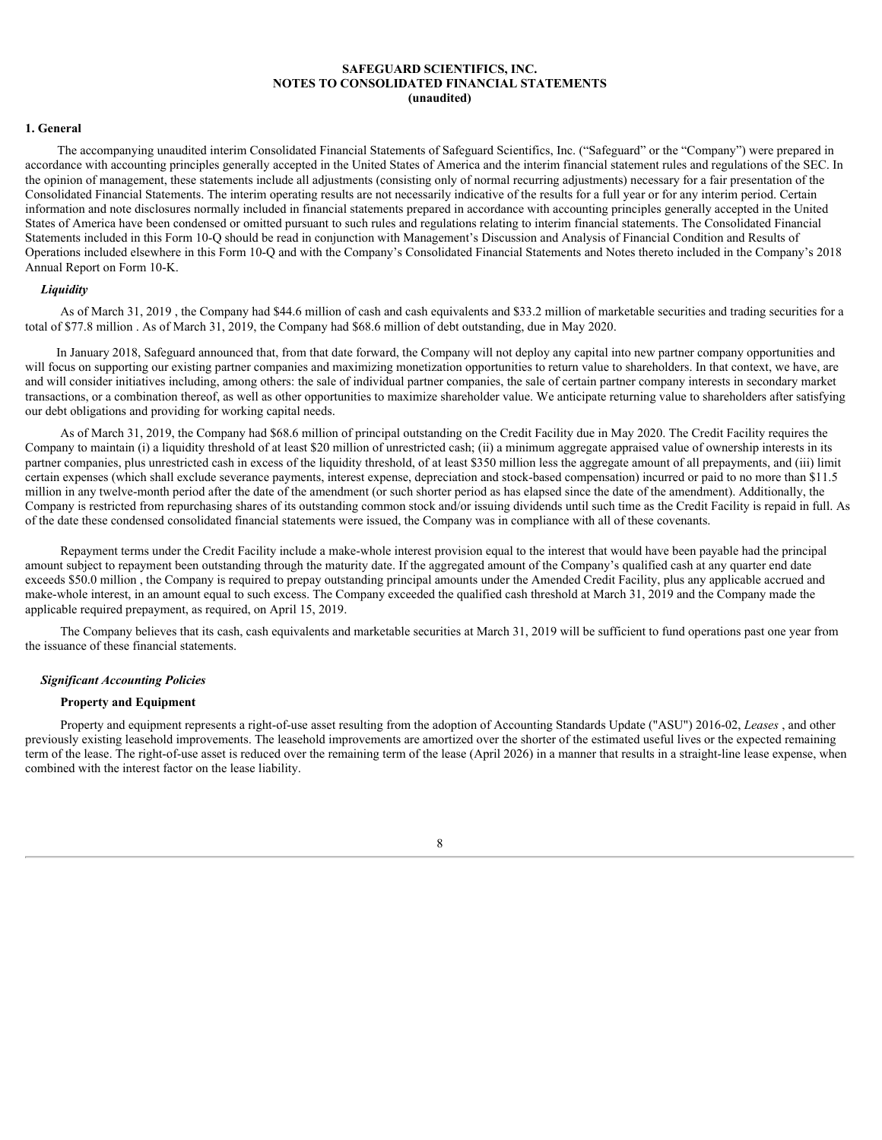#### <span id="page-7-0"></span>**1. General**

The accompanying unaudited interim Consolidated Financial Statements of Safeguard Scientifics, Inc. ("Safeguard" or the "Company") were prepared in accordance with accounting principles generally accepted in the United States of America and the interim financial statement rules and regulations of the SEC. In the opinion of management, these statements include all adjustments (consisting only of normal recurring adjustments) necessary for a fair presentation of the Consolidated Financial Statements. The interim operating results are not necessarily indicative of the results for a full year or for any interim period. Certain information and note disclosures normally included in financial statements prepared in accordance with accounting principles generally accepted in the United States of America have been condensed or omitted pursuant to such rules and regulations relating to interim financial statements. The Consolidated Financial Statements included in this Form 10-Q should be read in conjunction with Management's Discussion and Analysis of Financial Condition and Results of Operations included elsewhere in this Form 10-Q and with the Company's Consolidated Financial Statements and Notes thereto included in the Company's 2018 Annual Report on Form 10-K.

#### *Liquidity*

As of March 31, 2019 , the Company had \$44.6 million of cash and cash equivalents and \$33.2 million of marketable securities and trading securities for a total of \$77.8 million . As of March 31, 2019, the Company had \$68.6 million of debt outstanding, due in May 2020.

In January 2018, Safeguard announced that, from that date forward, the Company will not deploy any capital into new partner company opportunities and will focus on supporting our existing partner companies and maximizing monetization opportunities to return value to shareholders. In that context, we have, are and will consider initiatives including, among others: the sale of individual partner companies, the sale of certain partner company interests in secondary market transactions, or a combination thereof, as well as other opportunities to maximize shareholder value. We anticipate returning value to shareholders after satisfying our debt obligations and providing for working capital needs.

As of March 31, 2019, the Company had \$68.6 million of principal outstanding on the Credit Facility due in May 2020. The Credit Facility requires the Company to maintain (i) a liquidity threshold of at least \$20 million of unrestricted cash; (ii) a minimum aggregate appraised value of ownership interests in its partner companies, plus unrestricted cash in excess of the liquidity threshold, of at least \$350 million less the aggregate amount of all prepayments, and (iii) limit certain expenses (which shall exclude severance payments, interest expense, depreciation and stock-based compensation) incurred or paid to no more than \$11.5 million in any twelve-month period after the date of the amendment (or such shorter period as has elapsed since the date of the amendment). Additionally, the Company is restricted from repurchasing shares of its outstanding common stock and/or issuing dividends until such time as the Credit Facility is repaid in full. As of the date these condensed consolidated financial statements were issued, the Company was in compliance with all of these covenants.

Repayment terms under the Credit Facility include a make-whole interest provision equal to the interest that would have been payable had the principal amount subject to repayment been outstanding through the maturity date. If the aggregated amount of the Company's qualified cash at any quarter end date exceeds \$50.0 million , the Company is required to prepay outstanding principal amounts under the Amended Credit Facility, plus any applicable accrued and make-whole interest, in an amount equal to such excess. The Company exceeded the qualified cash threshold at March 31, 2019 and the Company made the applicable required prepayment, as required, on April 15, 2019.

The Company believes that its cash, cash equivalents and marketable securities at March 31, 2019 will be sufficient to fund operations past one year from the issuance of these financial statements.

## *Significant Accounting Policies*

## **Property and Equipment**

Property and equipment represents a right-of-use asset resulting from the adoption of Accounting Standards Update ("ASU") 2016-02, *Leases* , and other previously existing leasehold improvements. The leasehold improvements are amortized over the shorter of the estimated useful lives or the expected remaining term of the lease. The right-of-use asset is reduced over the remaining term of the lease (April 2026) in a manner that results in a straight-line lease expense, when combined with the interest factor on the lease liability.<br>8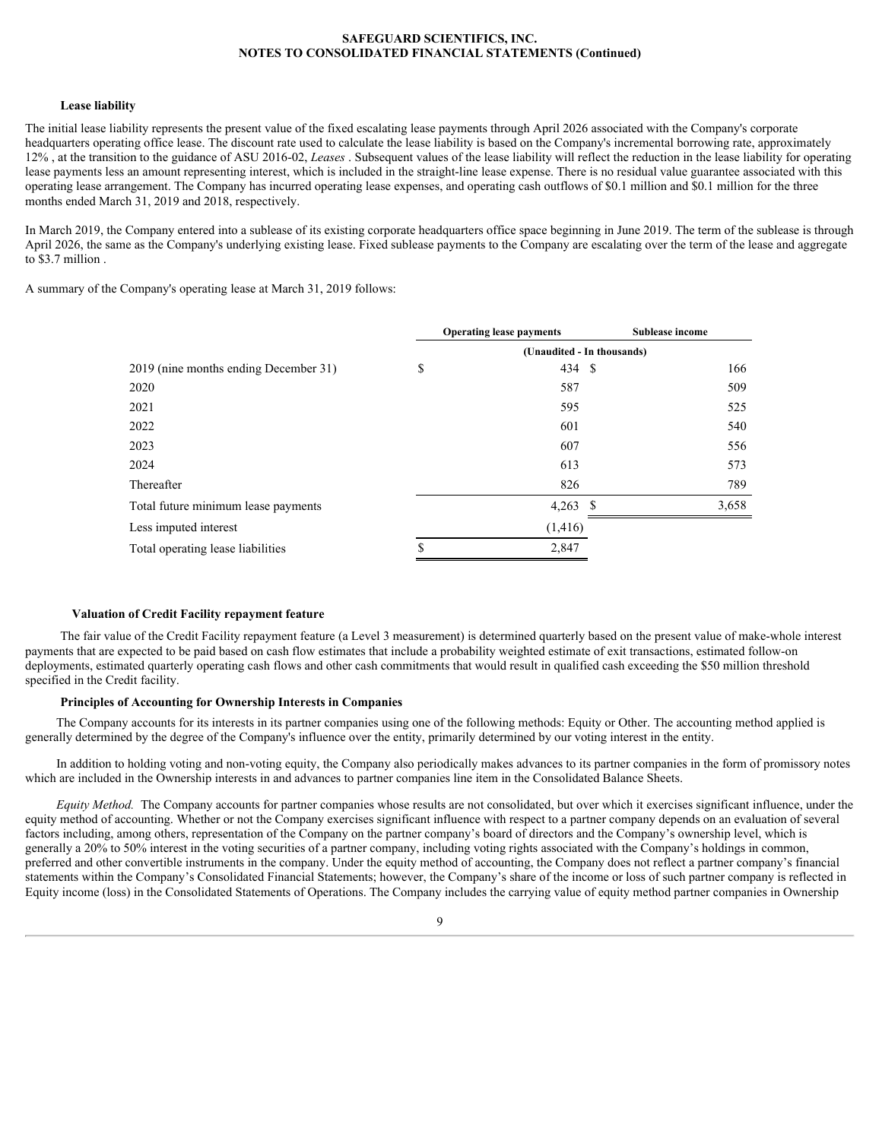#### **Lease liability**

The initial lease liability represents the present value of the fixed escalating lease payments through April 2026 associated with the Company's corporate headquarters operating office lease. The discount rate used to calculate the lease liability is based on the Company's incremental borrowing rate, approximately 12% , at the transition to the guidance of ASU 2016-02, *Leases* . Subsequent values of the lease liability will reflect the reduction in the lease liability for operating lease payments less an amount representing interest, which is included in the straight-line lease expense. There is no residual value guarantee associated with this operating lease arrangement. The Company has incurred operating lease expenses, and operating cash outflows of \$0.1 million and \$0.1 million for the three months ended March 31, 2019 and 2018, respectively.

In March 2019, the Company entered into a sublease of its existing corporate headquarters office space beginning in June 2019. The term of the sublease is through April 2026, the same as the Company's underlying existing lease. Fixed sublease payments to the Company are escalating over the term of the lease and aggregate to \$3.7 million .

A summary of the Company's operating lease at March 31, 2019 follows:

|                                       | <b>Operating lease payments</b> | Sublease income |  |
|---------------------------------------|---------------------------------|-----------------|--|
|                                       | (Unaudited - In thousands)      |                 |  |
| 2019 (nine months ending December 31) | \$<br>434 \$                    | 166             |  |
| 2020                                  | 587                             | 509             |  |
| 2021                                  | 595                             | 525             |  |
| 2022                                  | 601                             | 540             |  |
| 2023                                  | 607                             | 556             |  |
| 2024                                  | 613                             | 573             |  |
| Thereafter                            | 826                             | 789             |  |
| Total future minimum lease payments   | 4,263 \$                        | 3,658           |  |
| Less imputed interest                 | (1, 416)                        |                 |  |
| Total operating lease liabilities     | 2,847                           |                 |  |
|                                       |                                 |                 |  |

#### **Valuation of Credit Facility repayment feature**

The fair value of the Credit Facility repayment feature (a Level 3 measurement) is determined quarterly based on the present value of make-whole interest payments that are expected to be paid based on cash flow estimates that include a probability weighted estimate of exit transactions, estimated follow-on deployments, estimated quarterly operating cash flows and other cash commitments that would result in qualified cash exceeding the \$50 million threshold specified in the Credit facility.

## **Principles of Accounting for Ownership Interests in Companies**

The Company accounts for its interests in its partner companies using one of the following methods: Equity or Other. The accounting method applied is generally determined by the degree of the Company's influence over the entity, primarily determined by our voting interest in the entity.

In addition to holding voting and non-voting equity, the Company also periodically makes advances to its partner companies in the form of promissory notes which are included in the Ownership interests in and advances to partner companies line item in the Consolidated Balance Sheets.

*Equity Method.* The Company accounts for partner companies whose results are not consolidated, but over which it exercises significant influence, under the equity method of accounting. Whether or not the Company exercises significant influence with respect to a partner company depends on an evaluation of several factors including, among others, representation of the Company on the partner company's board of directors and the Company's ownership level, which is generally a 20% to 50% interest in the voting securities of a partner company, including voting rights associated with the Company's holdings in common, preferred and other convertible instruments in the company. Under the equity method of accounting, the Company does not reflect a partner company's financial statements within the Company's Consolidated Financial Statements; however, the Company's share of the income or loss of such partner company is reflected in Equity income (loss) in the Consolidated Statements of Operations. The Company includes the carrying value of equity method partner companies in Ownership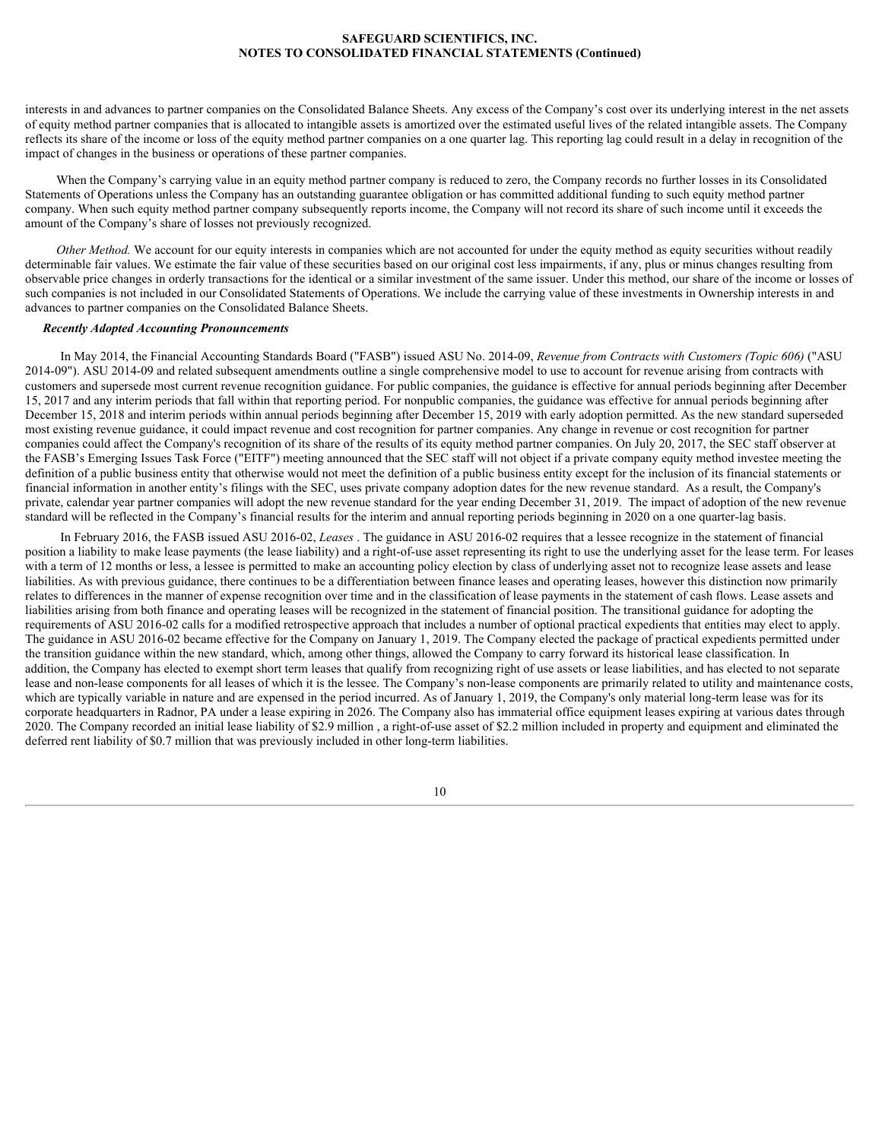interests in and advances to partner companies on the Consolidated Balance Sheets. Any excess of the Company's cost over its underlying interest in the net assets of equity method partner companies that is allocated to intangible assets is amortized over the estimated useful lives of the related intangible assets. The Company reflects its share of the income or loss of the equity method partner companies on a one quarter lag. This reporting lag could result in a delay in recognition of the impact of changes in the business or operations of these partner companies.

When the Company's carrying value in an equity method partner company is reduced to zero, the Company records no further losses in its Consolidated Statements of Operations unless the Company has an outstanding guarantee obligation or has committed additional funding to such equity method partner company. When such equity method partner company subsequently reports income, the Company will not record its share of such income until it exceeds the amount of the Company's share of losses not previously recognized.

*Other Method.* We account for our equity interests in companies which are not accounted for under the equity method as equity securities without readily determinable fair values. We estimate the fair value of these securities based on our original cost less impairments, if any, plus or minus changes resulting from observable price changes in orderly transactions for the identical or a similar investment of the same issuer. Under this method, our share of the income or losses of such companies is not included in our Consolidated Statements of Operations. We include the carrying value of these investments in Ownership interests in and advances to partner companies on the Consolidated Balance Sheets.

## *Recently Adopted Accounting Pronouncements*

In May 2014, the Financial Accounting Standards Board ("FASB") issued ASU No. 2014-09, *Revenue from Contracts with Customers (Topic 606)* ("ASU 2014-09"). ASU 2014-09 and related subsequent amendments outline a single comprehensive model to use to account for revenue arising from contracts with customers and supersede most current revenue recognition guidance. For public companies, the guidance is effective for annual periods beginning after December 15, 2017 and any interim periods that fall within that reporting period. For nonpublic companies, the guidance was effective for annual periods beginning after December 15, 2018 and interim periods within annual periods beginning after December 15, 2019 with early adoption permitted. As the new standard superseded most existing revenue guidance, it could impact revenue and cost recognition for partner companies. Any change in revenue or cost recognition for partner companies could affect the Company's recognition of its share of the results of its equity method partner companies. On July 20, 2017, the SEC staff observer at the FASB's Emerging Issues Task Force ("EITF") meeting announced that the SEC staff will not object if a private company equity method investee meeting the definition of a public business entity that otherwise would not meet the definition of a public business entity except for the inclusion of its financial statements or financial information in another entity's filings with the SEC, uses private company adoption dates for the new revenue standard. As a result, the Company's private, calendar year partner companies will adopt the new revenue standard for the year ending December 31, 2019. The impact of adoption of the new revenue standard will be reflected in the Company's financial results for the interim and annual reporting periods beginning in 2020 on a one quarter-lag basis.

In February 2016, the FASB issued ASU 2016-02, *Leases* . The guidance in ASU 2016-02 requires that a lessee recognize in the statement of financial position a liability to make lease payments (the lease liability) and a right-of-use asset representing its right to use the underlying asset for the lease term. For leases with a term of 12 months or less, a lessee is permitted to make an accounting policy election by class of underlying asset not to recognize lease assets and lease liabilities. As with previous guidance, there continues to be a differentiation between finance leases and operating leases, however this distinction now primarily relates to differences in the manner of expense recognition over time and in the classification of lease payments in the statement of cash flows. Lease assets and liabilities arising from both finance and operating leases will be recognized in the statement of financial position. The transitional guidance for adopting the requirements of ASU 2016-02 calls for a modified retrospective approach that includes a number of optional practical expedients that entities may elect to apply. The guidance in ASU 2016-02 became effective for the Company on January 1, 2019. The Company elected the package of practical expedients permitted under the transition guidance within the new standard, which, among other things, allowed the Company to carry forward its historical lease classification. In addition, the Company has elected to exempt short term leases that qualify from recognizing right of use assets or lease liabilities, and has elected to not separate lease and non-lease components for all leases of which it is the lessee. The Company's non-lease components are primarily related to utility and maintenance costs, which are typically variable in nature and are expensed in the period incurred. As of January 1, 2019, the Company's only material long-term lease was for its corporate headquarters in Radnor, PA under a lease expiring in 2026. The Company also has immaterial office equipment leases expiring at various dates through 2020. The Company recorded an initial lease liability of \$2.9 million , a right-of-use asset of \$2.2 million included in property and equipment and eliminated the deferred rent liability of \$0.7 million that was previously included in other long-term liabilities.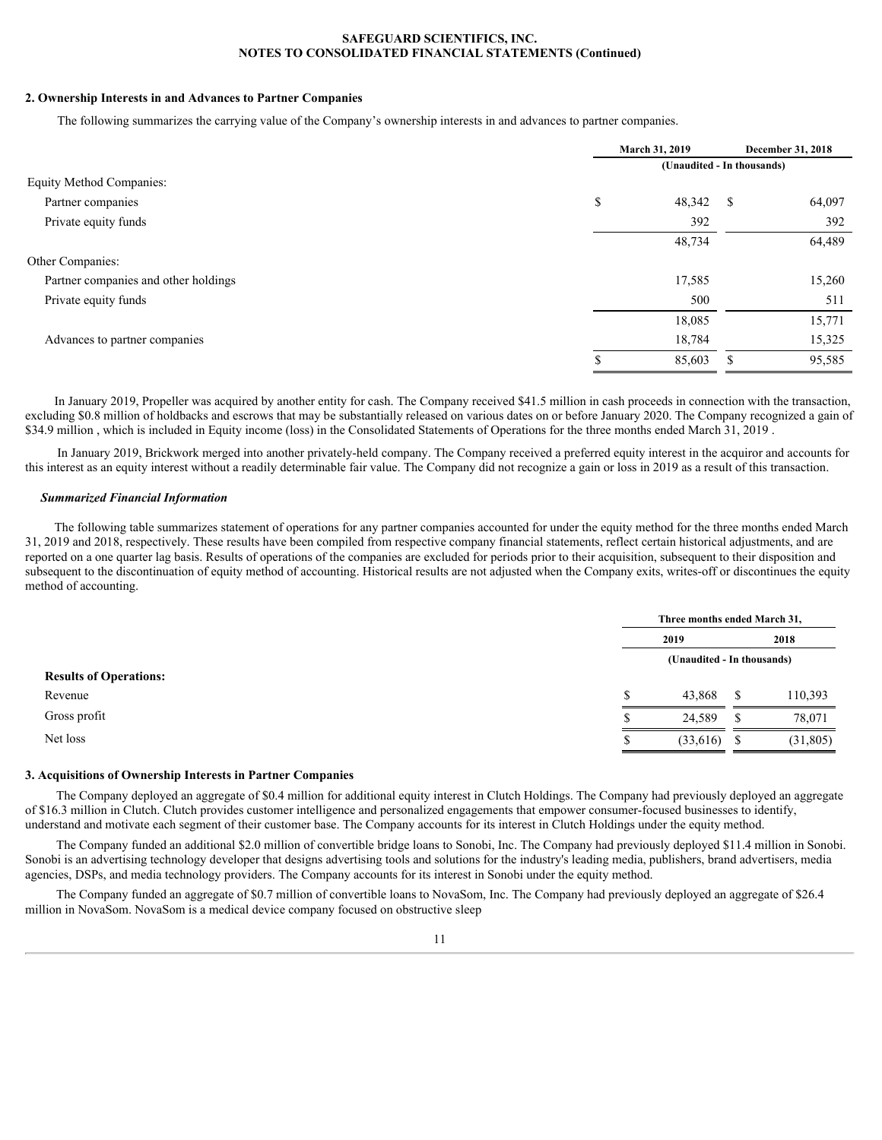## **2. Ownership Interests in and Advances to Partner Companies**

The following summarizes the carrying value of the Company's ownership interests in and advances to partner companies.

|                                      |               | March 31, 2019 | <b>December 31, 2018</b>   |        |  |  |
|--------------------------------------|---------------|----------------|----------------------------|--------|--|--|
|                                      |               |                | (Unaudited - In thousands) |        |  |  |
| <b>Equity Method Companies:</b>      |               |                |                            |        |  |  |
| Partner companies                    | <sup>\$</sup> | 48,342         | - S                        | 64,097 |  |  |
| Private equity funds                 |               | 392            |                            | 392    |  |  |
|                                      |               | 48,734         |                            | 64,489 |  |  |
| Other Companies:                     |               |                |                            |        |  |  |
| Partner companies and other holdings |               | 17,585         |                            | 15,260 |  |  |
| Private equity funds                 |               | 500            |                            | 511    |  |  |
|                                      |               | 18,085         |                            | 15,771 |  |  |
| Advances to partner companies        |               | 18,784         |                            | 15,325 |  |  |
|                                      |               | 85,603         |                            | 95,585 |  |  |

In January 2019, Propeller was acquired by another entity for cash. The Company received \$41.5 million in cash proceeds in connection with the transaction, excluding \$0.8 million of holdbacks and escrows that may be substantially released on various dates on or before January 2020. The Company recognized a gain of \$34.9 million , which is included in Equity income (loss) in the Consolidated Statements of Operations for the three months ended March 31, 2019 .

In January 2019, Brickwork merged into another privately-held company. The Company received a preferred equity interest in the acquiror and accounts for this interest as an equity interest without a readily determinable fair value. The Company did not recognize a gain or loss in 2019 as a result of this transaction.

## *Summarized Financial Information*

The following table summarizes statement of operations for any partner companies accounted for under the equity method for the three months ended March 31, 2019 and 2018, respectively. These results have been compiled from respective company financial statements, reflect certain historical adjustments, and are reported on a one quarter lag basis. Results of operations of the companies are excluded for periods prior to their acquisition, subsequent to their disposition and subsequent to the discontinuation of equity method of accounting. Historical results are not adjusted when the Company exits, writes-off or discontinues the equity method of accounting.

|  | Three months ended March 31, |           |
|--|------------------------------|-----------|
|  | 2019                         | 2018      |
|  | (Unaudited - In thousands)   |           |
|  |                              |           |
|  | 43,868                       | 110,393   |
|  | 24,589                       | 78,071    |
|  | $(33,616)$ \$                | (31, 805) |
|  |                              |           |

## **3. Acquisitions of Ownership Interests in Partner Companies**

The Company deployed an aggregate of \$0.4 million for additional equity interest in Clutch Holdings. The Company had previously deployed an aggregate of \$16.3 million in Clutch. Clutch provides customer intelligence and personalized engagements that empower consumer-focused businesses to identify, understand and motivate each segment of their customer base. The Company accounts for its interest in Clutch Holdings under the equity method.

The Company funded an additional \$2.0 million of convertible bridge loans to Sonobi, Inc. The Company had previously deployed \$11.4 million in Sonobi. Sonobi is an advertising technology developer that designs advertising tools and solutions for the industry's leading media, publishers, brand advertisers, media agencies, DSPs, and media technology providers. The Company accounts for its interest in Sonobi under the equity method.

The Company funded an aggregate of \$0.7 million of convertible loans to NovaSom, Inc. The Company had previously deployed an aggregate of \$26.4 million in NovaSom. NovaSom is a medical device company focused on obstructive sleep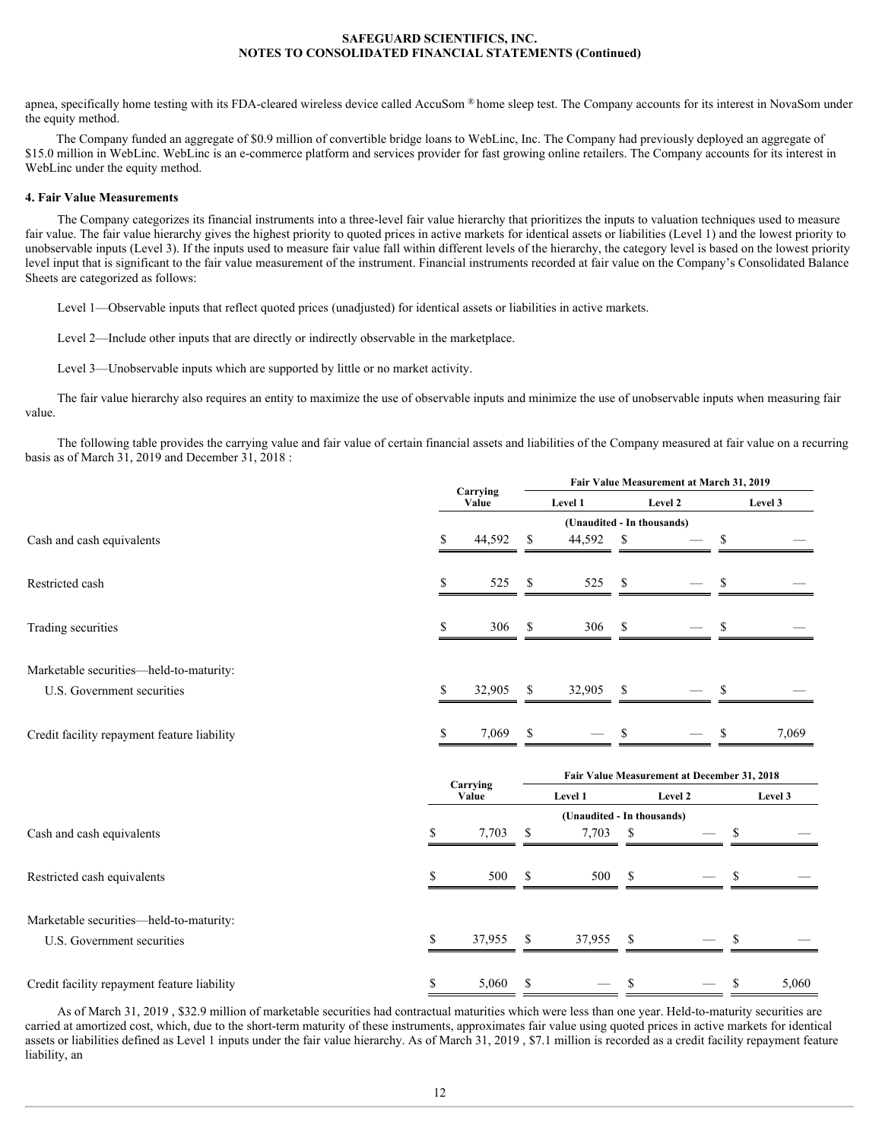apnea, specifically home testing with its FDA-cleared wireless device called AccuSom ® home sleep test. The Company accounts for its interest in NovaSom under the equity method.

The Company funded an aggregate of \$0.9 million of convertible bridge loans to WebLinc, Inc. The Company had previously deployed an aggregate of \$15.0 million in WebLinc. WebLinc is an e-commerce platform and services provider for fast growing online retailers. The Company accounts for its interest in WebLinc under the equity method.

## **4. Fair Value Measurements**

The Company categorizes its financial instruments into a three-level fair value hierarchy that prioritizes the inputs to valuation techniques used to measure fair value. The fair value hierarchy gives the highest priority to quoted prices in active markets for identical assets or liabilities (Level 1) and the lowest priority to unobservable inputs (Level 3). If the inputs used to measure fair value fall within different levels of the hierarchy, the category level is based on the lowest priority level input that is significant to the fair value measurement of the instrument. Financial instruments recorded at fair value on the Company's Consolidated Balance Sheets are categorized as follows:

Level 1—Observable inputs that reflect quoted prices (unadjusted) for identical assets or liabilities in active markets.

Level 2—Include other inputs that are directly or indirectly observable in the marketplace.

Level 3—Unobservable inputs which are supported by little or no market activity.

The fair value hierarchy also requires an entity to maximize the use of observable inputs and minimize the use of unobservable inputs when measuring fair value.

The following table provides the carrying value and fair value of certain financial assets and liabilities of the Company measured at fair value on a recurring basis as of March 31, 2019 and December 31, 2018 :

|                                             |               | Carrying          |      |                            |               | Fair Value Measurement at March 31, 2019    |                                |         |  |  |
|---------------------------------------------|---------------|-------------------|------|----------------------------|---------------|---------------------------------------------|--------------------------------|---------|--|--|
|                                             |               | Value             |      | Level 1                    |               | Level 2                                     |                                | Level 3 |  |  |
|                                             |               |                   |      |                            |               | (Unaudited - In thousands)                  |                                |         |  |  |
| Cash and cash equivalents                   |               | 44,592            | -S   | 44,592 \$                  |               | $\overline{\phantom{m}}$                    | $\mathbf{\hat{s}}$             |         |  |  |
|                                             |               |                   |      |                            |               |                                             |                                |         |  |  |
| Restricted cash                             |               | 525               | -S   | 525 \$                     |               | $\overline{\phantom{m}}$                    | <sup>S</sup>                   |         |  |  |
|                                             |               |                   |      |                            |               |                                             |                                |         |  |  |
| Trading securities                          |               | 306 \$            |      | 306 \$                     |               |                                             | - \$                           |         |  |  |
| Marketable securities-held-to-maturity:     |               |                   |      |                            |               |                                             |                                |         |  |  |
| U.S. Government securities                  |               | 32,905 \$         |      | 32,905 \$                  |               |                                             | $-$ \$                         |         |  |  |
|                                             |               |                   |      |                            |               |                                             |                                |         |  |  |
| Credit facility repayment feature liability |               | 7,069             | - \$ | $\overline{\phantom{0}}$   | $\mathcal{S}$ | $\overline{\phantom{0}}$                    | - \$                           | 7,069   |  |  |
|                                             |               |                   |      |                            |               | Fair Value Measurement at December 31, 2018 |                                |         |  |  |
|                                             |               | Carrying<br>Value |      | Level 1                    |               | Level 2                                     |                                | Level 3 |  |  |
|                                             |               |                   |      | (Unaudited - In thousands) |               |                                             |                                |         |  |  |
| Cash and cash equivalents                   |               | 7,703             | - \$ | $7,703$ \$                 |               |                                             |                                |         |  |  |
|                                             |               |                   |      |                            |               |                                             |                                |         |  |  |
| Restricted cash equivalents                 |               | 500               | -S   | 500 \$                     |               |                                             |                                |         |  |  |
| Marketable securities-held-to-maturity:     |               |                   |      |                            |               |                                             |                                |         |  |  |
| U.S. Government securities                  |               | 37,955 \$         |      | 37,955 \$                  |               |                                             | $\overline{\phantom{m}}$       |         |  |  |
| Credit facility repayment feature liability | <sup>\$</sup> | 5,060             | - \$ | $\overline{\phantom{0}}$   | - S           |                                             | -S<br>$\overline{\phantom{m}}$ | 5,060   |  |  |

As of March 31, 2019 , \$32.9 million of marketable securities had contractual maturities which were less than one year. Held-to-maturity securities are carried at amortized cost, which, due to the short-term maturity of these instruments, approximates fair value using quoted prices in active markets for identical assets or liabilities defined as Level 1 inputs under the fair value hierarchy. As of March 31, 2019 , \$7.1 million is recorded as a credit facility repayment feature liability, an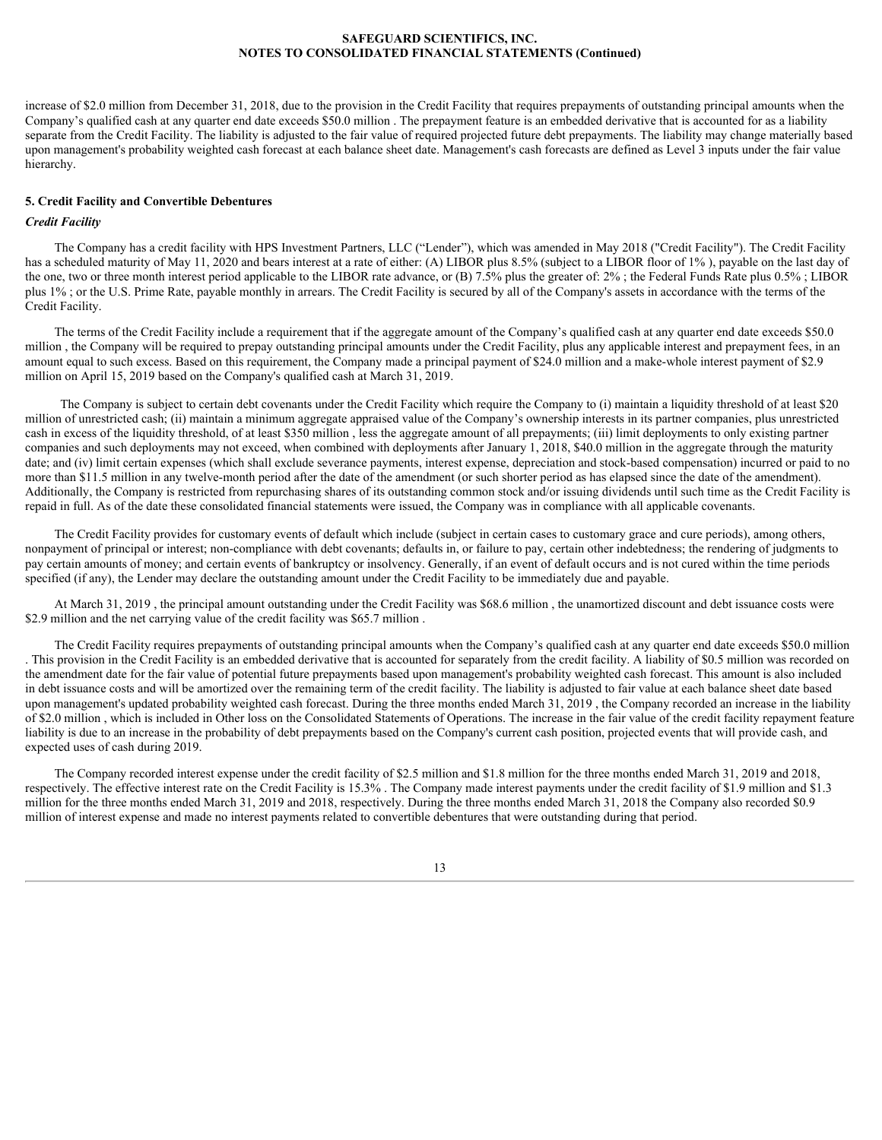increase of \$2.0 million from December 31, 2018, due to the provision in the Credit Facility that requires prepayments of outstanding principal amounts when the Company's qualified cash at any quarter end date exceeds \$50.0 million . The prepayment feature is an embedded derivative that is accounted for as a liability separate from the Credit Facility. The liability is adjusted to the fair value of required projected future debt prepayments. The liability may change materially based upon management's probability weighted cash forecast at each balance sheet date. Management's cash forecasts are defined as Level 3 inputs under the fair value hierarchy.

#### **5. Credit Facility and Convertible Debentures**

## *Credit Facility*

The Company has a credit facility with HPS Investment Partners, LLC ("Lender"), which was amended in May 2018 ("Credit Facility"). The Credit Facility has a scheduled maturity of May 11, 2020 and bears interest at a rate of either: (A) LIBOR plus 8.5% (subject to a LIBOR floor of 1%), payable on the last day of the one, two or three month interest period applicable to the LIBOR rate advance, or (B) 7.5% plus the greater of: 2% ; the Federal Funds Rate plus 0.5% ; LIBOR plus 1% ; or the U.S. Prime Rate, payable monthly in arrears. The Credit Facility is secured by all of the Company's assets in accordance with the terms of the Credit Facility.

The terms of the Credit Facility include a requirement that if the aggregate amount of the Company's qualified cash at any quarter end date exceeds \$50.0 million , the Company will be required to prepay outstanding principal amounts under the Credit Facility, plus any applicable interest and prepayment fees, in an amount equal to such excess. Based on this requirement, the Company made a principal payment of \$24.0 million and a make-whole interest payment of \$2.9 million on April 15, 2019 based on the Company's qualified cash at March 31, 2019.

The Company is subject to certain debt covenants under the Credit Facility which require the Company to (i) maintain a liquidity threshold of at least \$20 million of unrestricted cash; (ii) maintain a minimum aggregate appraised value of the Company's ownership interests in its partner companies, plus unrestricted cash in excess of the liquidity threshold, of at least \$350 million , less the aggregate amount of all prepayments; (iii) limit deployments to only existing partner companies and such deployments may not exceed, when combined with deployments after January 1, 2018, \$40.0 million in the aggregate through the maturity date; and (iv) limit certain expenses (which shall exclude severance payments, interest expense, depreciation and stock-based compensation) incurred or paid to no more than \$11.5 million in any twelve-month period after the date of the amendment (or such shorter period as has elapsed since the date of the amendment). Additionally, the Company is restricted from repurchasing shares of its outstanding common stock and/or issuing dividends until such time as the Credit Facility is repaid in full. As of the date these consolidated financial statements were issued, the Company was in compliance with all applicable covenants.

The Credit Facility provides for customary events of default which include (subject in certain cases to customary grace and cure periods), among others, nonpayment of principal or interest; non-compliance with debt covenants; defaults in, or failure to pay, certain other indebtedness; the rendering of judgments to pay certain amounts of money; and certain events of bankruptcy or insolvency. Generally, if an event of default occurs and is not cured within the time periods specified (if any), the Lender may declare the outstanding amount under the Credit Facility to be immediately due and payable.

At March 31, 2019 , the principal amount outstanding under the Credit Facility was \$68.6 million , the unamortized discount and debt issuance costs were \$2.9 million and the net carrying value of the credit facility was \$65.7 million .

The Credit Facility requires prepayments of outstanding principal amounts when the Company's qualified cash at any quarter end date exceeds \$50.0 million . This provision in the Credit Facility is an embedded derivative that is accounted for separately from the credit facility. A liability of \$0.5 million was recorded on the amendment date for the fair value of potential future prepayments based upon management's probability weighted cash forecast. This amount is also included in debt issuance costs and will be amortized over the remaining term of the credit facility. The liability is adjusted to fair value at each balance sheet date based upon management's updated probability weighted cash forecast. During the three months ended March 31, 2019 , the Company recorded an increase in the liability of \$2.0 million , which is included in Other loss on the Consolidated Statements of Operations. The increase in the fair value of the credit facility repayment feature liability is due to an increase in the probability of debt prepayments based on the Company's current cash position, projected events that will provide cash, and expected uses of cash during 2019.

The Company recorded interest expense under the credit facility of \$2.5 million and \$1.8 million for the three months ended March 31, 2019 and 2018, respectively. The effective interest rate on the Credit Facility is 15.3% . The Company made interest payments under the credit facility of \$1.9 million and \$1.3 million for the three months ended March 31, 2019 and 2018, respectively. During the three months ended March 31, 2018 the Company also recorded \$0.9 million of interest expense and made no interest payments related to convertible debentures that were outstanding during that period.

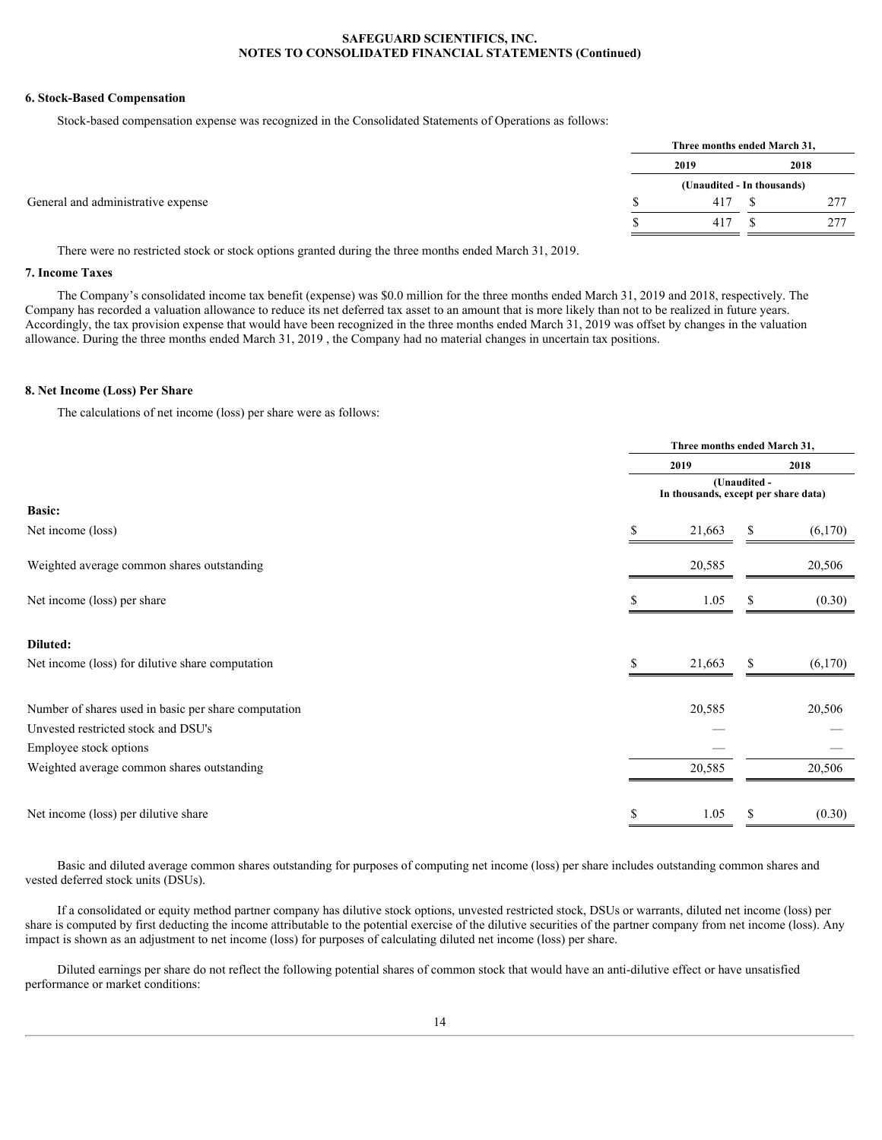#### **6. Stock-Based Compensation**

Stock-based compensation expense was recognized in the Consolidated Statements of Operations as follows:

|                                    |      | Three months ended March 31, |  |      |
|------------------------------------|------|------------------------------|--|------|
|                                    | 2019 |                              |  | 2018 |
|                                    |      | (Unaudited - In thousands)   |  |      |
| General and administrative expense |      | 417                          |  | 277  |
|                                    |      | 417                          |  | 277  |
|                                    |      |                              |  |      |

There were no restricted stock or stock options granted during the three months ended March 31, 2019.

## **7. Income Taxes**

The Company's consolidated income tax benefit (expense) was \$0.0 million for the three months ended March 31, 2019 and 2018, respectively. The Company has recorded a valuation allowance to reduce its net deferred tax asset to an amount that is more likely than not to be realized in future years. Accordingly, the tax provision expense that would have been recognized in the three months ended March 31, 2019 was offset by changes in the valuation allowance. During the three months ended March 31, 2019 , the Company had no material changes in uncertain tax positions.

#### **8. Net Income (Loss) Per Share**

The calculations of net income (loss) per share were as follows:

| Three months ended March 31,                         |      |         |  |
|------------------------------------------------------|------|---------|--|
| 2019                                                 |      |         |  |
| (Unaudited -<br>In thousands, except per share data) |      |         |  |
|                                                      |      |         |  |
| 21,663                                               | - \$ | (6,170) |  |
| 20,585                                               |      | 20,506  |  |
| 1.05                                                 | -S   | (0.30)  |  |
|                                                      |      |         |  |
| 21,663                                               |      | (6,170) |  |
| 20,585                                               |      | 20,506  |  |
| __                                                   |      |         |  |
| $\overbrace{\hspace{25mm}}^{}$                       |      |         |  |
| 20,585                                               |      | 20,506  |  |
| 1.05                                                 | \$   | (0.30)  |  |
|                                                      |      |         |  |

Basic and diluted average common shares outstanding for purposes of computing net income (loss) per share includes outstanding common shares and vested deferred stock units (DSUs).

If a consolidated or equity method partner company has dilutive stock options, unvested restricted stock, DSUs or warrants, diluted net income (loss) per share is computed by first deducting the income attributable to the potential exercise of the dilutive securities of the partner company from net income (loss). Any impact is shown as an adjustment to net income (loss) for purposes of calculating diluted net income (loss) per share.

Diluted earnings per share do not reflect the following potential shares of common stock that would have an anti-dilutive effect or have unsatisfied performance or market conditions: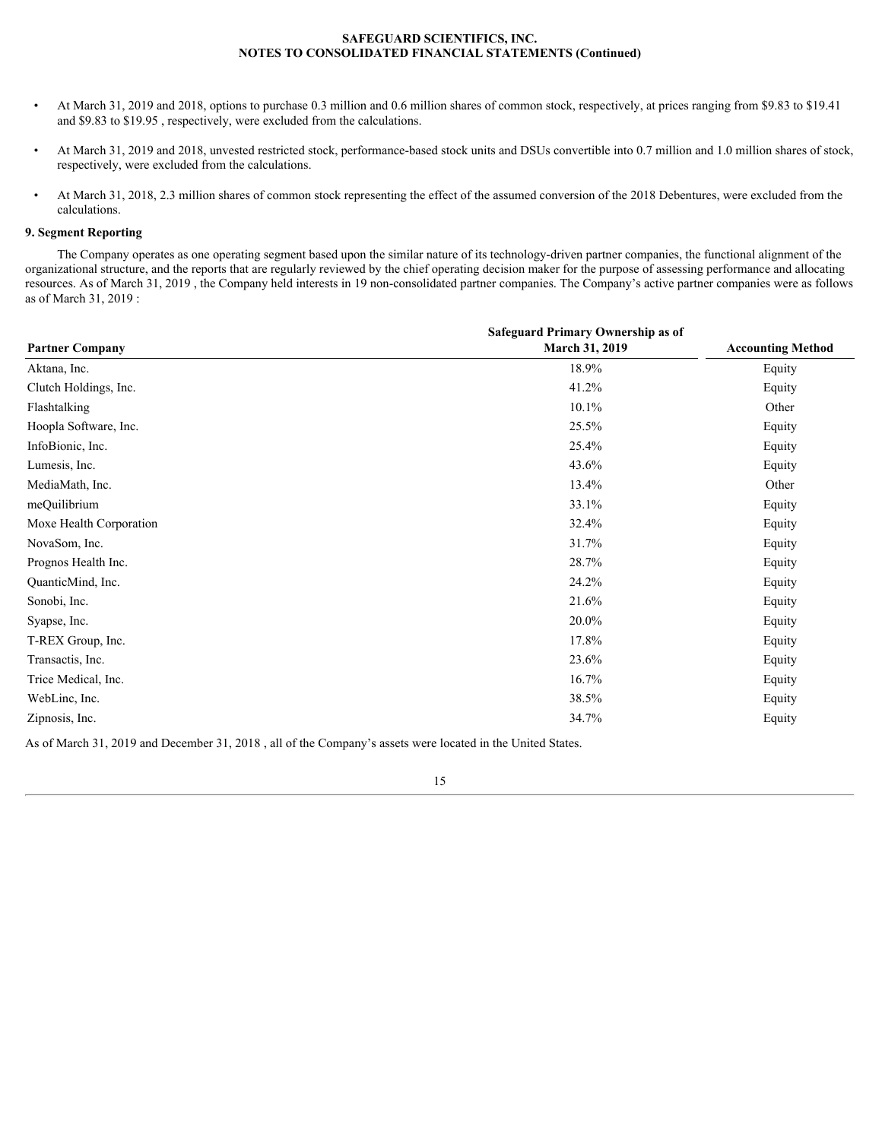- At March 31, 2019 and 2018, options to purchase 0.3 million and 0.6 million shares of common stock, respectively, at prices ranging from \$9.83 to \$19.41 and \$9.83 to \$19.95 , respectively, were excluded from the calculations.
- At March 31, 2019 and 2018, unvested restricted stock, performance-based stock units and DSUs convertible into 0.7 million and 1.0 million shares of stock, respectively, were excluded from the calculations.
- At March 31, 2018, 2.3 million shares of common stock representing the effect of the assumed conversion of the 2018 Debentures, were excluded from the calculations.

## **9. Segment Reporting**

The Company operates as one operating segment based upon the similar nature of its technology-driven partner companies, the functional alignment of the organizational structure, and the reports that are regularly reviewed by the chief operating decision maker for the purpose of assessing performance and allocating resources. As of March 31, 2019 , the Company held interests in 19 non-consolidated partner companies. The Company's active partner companies were as follows as of March 31, 2019 :

|                         | <b>Safeguard Primary Ownership as of</b> |                          |
|-------------------------|------------------------------------------|--------------------------|
| <b>Partner Company</b>  | <b>March 31, 2019</b>                    | <b>Accounting Method</b> |
| Aktana, Inc.            | 18.9%                                    | Equity                   |
| Clutch Holdings, Inc.   | 41.2%                                    | Equity                   |
| Flashtalking            | 10.1%                                    | Other                    |
| Hoopla Software, Inc.   | 25.5%                                    | Equity                   |
| InfoBionic, Inc.        | 25.4%                                    | Equity                   |
| Lumesis, Inc.           | 43.6%                                    | Equity                   |
| MediaMath, Inc.         | 13.4%                                    | Other                    |
| meQuilibrium            | 33.1%                                    | Equity                   |
| Moxe Health Corporation | 32.4%                                    | Equity                   |
| NovaSom, Inc.           | 31.7%                                    | Equity                   |
| Prognos Health Inc.     | 28.7%                                    | Equity                   |
| QuanticMind, Inc.       | 24.2%                                    | Equity                   |
| Sonobi, Inc.            | 21.6%                                    | Equity                   |
| Syapse, Inc.            | 20.0%                                    | Equity                   |
| T-REX Group, Inc.       | 17.8%                                    | Equity                   |
| Transactis, Inc.        | 23.6%                                    | Equity                   |
| Trice Medical, Inc.     | 16.7%                                    | Equity                   |
| WebLinc, Inc.           | 38.5%                                    | Equity                   |
| Zipnosis, Inc.          | 34.7%                                    | Equity                   |
|                         |                                          |                          |

As of March 31, 2019 and December 31, 2018 , all of the Company's assets were located in the United States.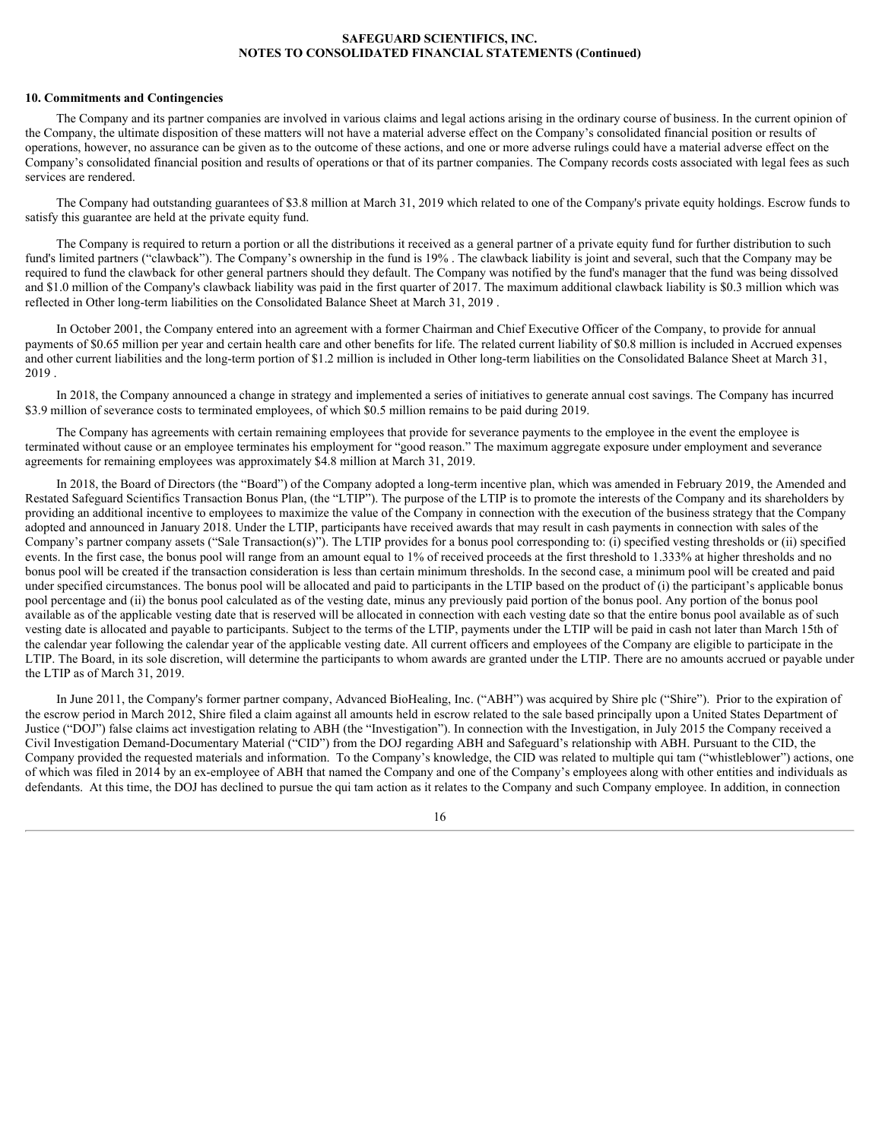#### **10. Commitments and Contingencies**

The Company and its partner companies are involved in various claims and legal actions arising in the ordinary course of business. In the current opinion of the Company, the ultimate disposition of these matters will not have a material adverse effect on the Company's consolidated financial position or results of operations, however, no assurance can be given as to the outcome of these actions, and one or more adverse rulings could have a material adverse effect on the Company's consolidated financial position and results of operations or that of its partner companies. The Company records costs associated with legal fees as such services are rendered.

The Company had outstanding guarantees of \$3.8 million at March 31, 2019 which related to one of the Company's private equity holdings. Escrow funds to satisfy this guarantee are held at the private equity fund.

The Company is required to return a portion or all the distributions it received as a general partner of a private equity fund for further distribution to such fund's limited partners ("clawback"). The Company's ownership in the fund is 19% . The clawback liability is joint and several, such that the Company may be required to fund the clawback for other general partners should they default. The Company was notified by the fund's manager that the fund was being dissolved and \$1.0 million of the Company's clawback liability was paid in the first quarter of 2017. The maximum additional clawback liability is \$0.3 million which was reflected in Other long-term liabilities on the Consolidated Balance Sheet at March 31, 2019 .

In October 2001, the Company entered into an agreement with a former Chairman and Chief Executive Officer of the Company, to provide for annual payments of \$0.65 million per year and certain health care and other benefits for life. The related current liability of \$0.8 million is included in Accrued expenses and other current liabilities and the long-term portion of \$1.2 million is included in Other long-term liabilities on the Consolidated Balance Sheet at March 31, 2019 .<br>In 2018, the Company announced a change in strategy and implemented a series of initiatives to generate annual cost savings. The Company has incurred

\$3.9 million of severance costs to terminated employees, of which \$0.5 million remains to be paid during 2019.

The Company has agreements with certain remaining employees that provide for severance payments to the employee in the event the employee is terminated without cause or an employee terminates his employment for "good reason." The maximum aggregate exposure under employment and severance agreements for remaining employees was approximately \$4.8 million at March 31, 2019.

In 2018, the Board of Directors (the "Board") of the Company adopted a long-term incentive plan, which was amended in February 2019, the Amended and Restated Safeguard Scientifics Transaction Bonus Plan, (the "LTIP"). The purpose of the LTIP is to promote the interests of the Company and its shareholders by providing an additional incentive to employees to maximize the value of the Company in connection with the execution of the business strategy that the Company adopted and announced in January 2018. Under the LTIP, participants have received awards that may result in cash payments in connection with sales of the Company's partner company assets ("Sale Transaction(s)"). The LTIP provides for a bonus pool corresponding to: (i) specified vesting thresholds or (ii) specified events. In the first case, the bonus pool will range from an amount equal to 1% of received proceeds at the first threshold to 1.333% at higher thresholds and no bonus pool will be created if the transaction consideration is less than certain minimum thresholds. In the second case, a minimum pool will be created and paid under specified circumstances. The bonus pool will be allocated and paid to participants in the LTIP based on the product of (i) the participant's applicable bonus pool percentage and (ii) the bonus pool calculated as of the vesting date, minus any previously paid portion of the bonus pool. Any portion of the bonus pool available as of the applicable vesting date that is reserved will be allocated in connection with each vesting date so that the entire bonus pool available as of such vesting date is allocated and payable to participants. Subject to the terms of the LTIP, payments under the LTIP will be paid in cash not later than March 15th of the calendar year following the calendar year of the applicable vesting date. All current officers and employees of the Company are eligible to participate in the LTIP. The Board, in its sole discretion, will determine the participants to whom awards are granted under the LTIP. There are no amounts accrued or payable under the LTIP as of March 31, 2019.

In June 2011, the Company's former partner company, Advanced BioHealing, Inc. ("ABH") was acquired by Shire plc ("Shire"). Prior to the expiration of the escrow period in March 2012, Shire filed a claim against all amounts held in escrow related to the sale based principally upon a United States Department of Justice ("DOJ") false claims act investigation relating to ABH (the "Investigation"). In connection with the Investigation, in July 2015 the Company received a Civil Investigation Demand-Documentary Material ("CID") from the DOJ regarding ABH and Safeguard's relationship with ABH. Pursuant to the CID, the Company provided the requested materials and information. To the Company's knowledge, the CID was related to multiple qui tam ("whistleblower") actions, one of which was filed in 2014 by an ex-employee of ABH that named the Company and one of the Company's employees along with other entities and individuals as defendants. At this time, the DOJ has declined to pursue the qui tam action as it relates to the Company and such Company employee. In addition, in connection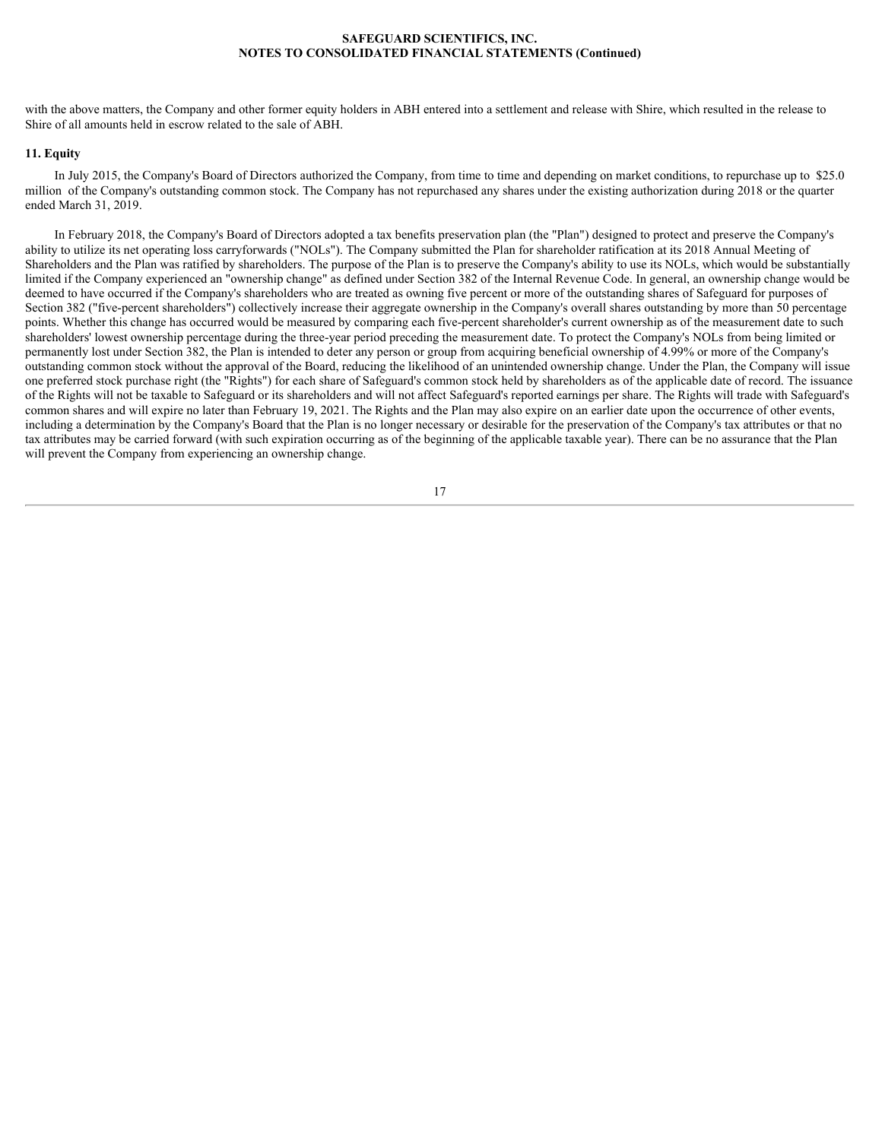with the above matters, the Company and other former equity holders in ABH entered into a settlement and release with Shire, which resulted in the release to Shire of all amounts held in escrow related to the sale of ABH.

## **11. Equity**

In July 2015, the Company's Board of Directors authorized the Company, from time to time and depending on market conditions, to repurchase up to \$25.0 million of the Company's outstanding common stock. The Company has not repurchased any shares under the existing authorization during 2018 or the quarter ended March 31, 2019.

In February 2018, the Company's Board of Directors adopted a tax benefits preservation plan (the "Plan") designed to protect and preserve the Company's ability to utilize its net operating loss carryforwards ("NOLs"). The Company submitted the Plan for shareholder ratification at its 2018 Annual Meeting of Shareholders and the Plan was ratified by shareholders. The purpose of the Plan is to preserve the Company's ability to use its NOLs, which would be substantially limited if the Company experienced an "ownership change" as defined under Section 382 of the Internal Revenue Code. In general, an ownership change would be deemed to have occurred if the Company's shareholders who are treated as owning five percent or more of the outstanding shares of Safeguard for purposes of Section 382 ("five-percent shareholders") collectively increase their aggregate ownership in the Company's overall shares outstanding by more than 50 percentage points. Whether this change has occurred would be measured by comparing each five-percent shareholder's current ownership as of the measurement date to such shareholders' lowest ownership percentage during the three-year period preceding the measurement date. To protect the Company's NOLs from being limited or permanently lost under Section 382, the Plan is intended to deter any person or group from acquiring beneficial ownership of 4.99% or more of the Company's outstanding common stock without the approval of the Board, reducing the likelihood of an unintended ownership change. Under the Plan, the Company will issue one preferred stock purchase right (the "Rights") for each share of Safeguard's common stock held by shareholders as of the applicable date of record. The issuance of the Rights will not be taxable to Safeguard or its shareholders and will not affect Safeguard's reported earnings per share. The Rights will trade with Safeguard's common shares and will expire no later than February 19, 2021. The Rights and the Plan may also expire on an earlier date upon the occurrence of other events, including a determination by the Company's Board that the Plan is no longer necessary or desirable for the preservation of the Company's tax attributes or that no tax attributes may be carried forward (with such expiration occurring as of the beginning of the applicable taxable year). There can be no assurance that the Plan will prevent the Company from experiencing an ownership change.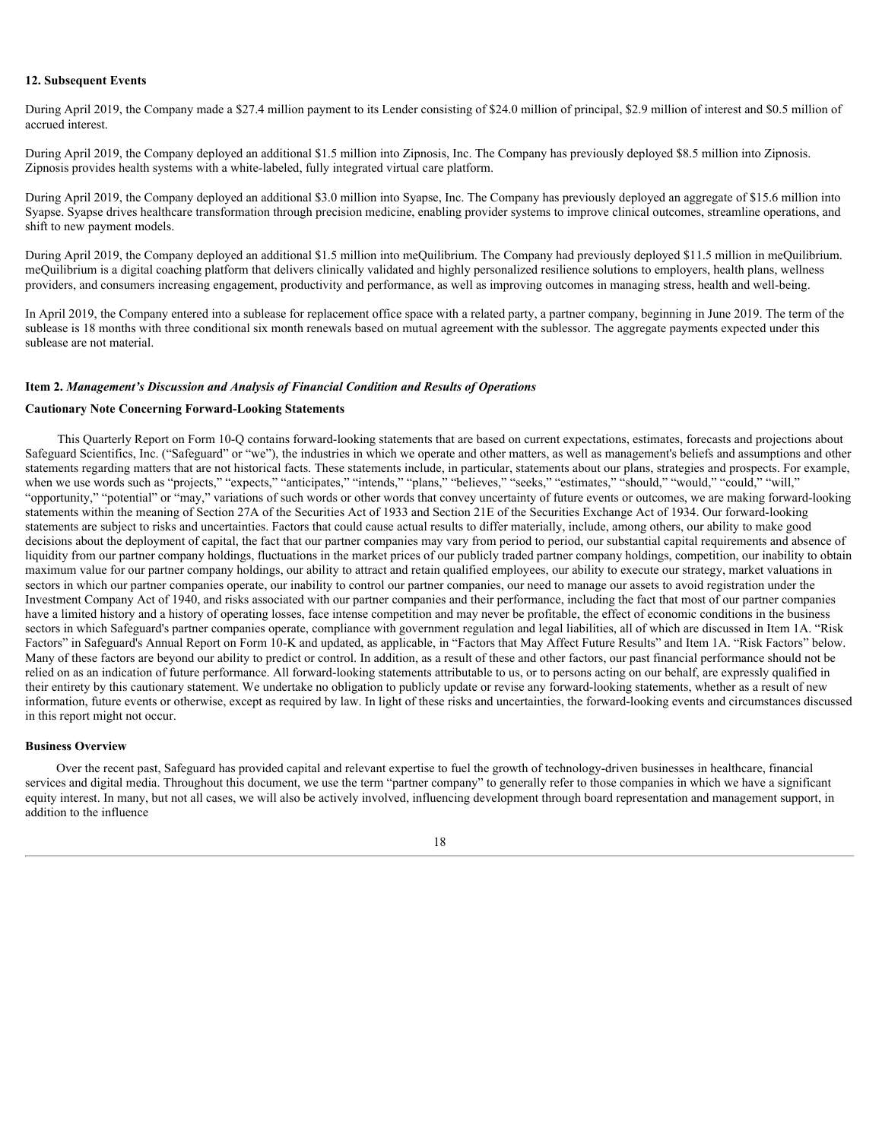#### **12. Subsequent Events**

During April 2019, the Company made a \$27.4 million payment to its Lender consisting of \$24.0 million of principal, \$2.9 million of interest and \$0.5 million of accrued interest.

During April 2019, the Company deployed an additional \$1.5 million into Zipnosis, Inc. The Company has previously deployed \$8.5 million into Zipnosis. Zipnosis provides health systems with a white-labeled, fully integrated virtual care platform.

During April 2019, the Company deployed an additional \$3.0 million into Syapse, Inc. The Company has previously deployed an aggregate of \$15.6 million into Syapse. Syapse drives healthcare transformation through precision medicine, enabling provider systems to improve clinical outcomes, streamline operations, and shift to new payment models.

During April 2019, the Company deployed an additional \$1.5 million into meQuilibrium. The Company had previously deployed \$11.5 million in meQuilibrium. meQuilibrium is a digital coaching platform that delivers clinically validated and highly personalized resilience solutions to employers, health plans, wellness providers, and consumers increasing engagement, productivity and performance, as well as improving outcomes in managing stress, health and well-being.

In April 2019, the Company entered into a sublease for replacement office space with a related party, a partner company, beginning in June 2019. The term of the sublease is 18 months with three conditional six month renewals based on mutual agreement with the sublessor. The aggregate payments expected under this sublease are not material.

#### <span id="page-17-0"></span>**Item 2.** *Management's Discussion and Analysis of Financial Condition and Results of Operations*

## **Cautionary Note Concerning Forward-Looking Statements**

This Quarterly Report on Form 10-Q contains forward-looking statements that are based on current expectations, estimates, forecasts and projections about Safeguard Scientifics, Inc. ("Safeguard" or "we"), the industries in which we operate and other matters, as well as management's beliefs and assumptions and other statements regarding matters that are not historical facts. These statements include, in particular, statements about our plans, strategies and prospects. For example, when we use words such as "projects," "expects," "anticipates," "intends," "plans," "believes," "seeks," "estimates," "should," "would," "could," "will," "opportunity," "potential" or "may," variations of such words or other words that convey uncertainty of future events or outcomes, we are making forward-looking statements within the meaning of Section 27A of the Securities Act of 1933 and Section 21E of the Securities Exchange Act of 1934. Our forward-looking statements are subject to risks and uncertainties. Factors that could cause actual results to differ materially, include, among others, our ability to make good decisions about the deployment of capital, the fact that our partner companies may vary from period to period, our substantial capital requirements and absence of liquidity from our partner company holdings, fluctuations in the market prices of our publicly traded partner company holdings, competition, our inability to obtain maximum value for our partner company holdings, our ability to attract and retain qualified employees, our ability to execute our strategy, market valuations in sectors in which our partner companies operate, our inability to control our partner companies, our need to manage our assets to avoid registration under the Investment Company Act of 1940, and risks associated with our partner companies and their performance, including the fact that most of our partner companies have a limited history and a history of operating losses, face intense competition and may never be profitable, the effect of economic conditions in the business sectors in which Safeguard's partner companies operate, compliance with government regulation and legal liabilities, all of which are discussed in Item 1A. "Risk Factors" in Safeguard's Annual Report on Form 10-K and updated, as applicable, in "Factors that May Affect Future Results" and Item 1A. "Risk Factors" below. Many of these factors are beyond our ability to predict or control. In addition, as a result of these and other factors, our past financial performance should not be relied on as an indication of future performance. All forward-looking statements attributable to us, or to persons acting on our behalf, are expressly qualified in their entirety by this cautionary statement. We undertake no obligation to publicly update or revise any forward-looking statements, whether as a result of new information, future events or otherwise, except as required by law. In light of these risks and uncertainties, the forward-looking events and circumstances discussed in this report might not occur.

#### **Business Overview**

Over the recent past, Safeguard has provided capital and relevant expertise to fuel the growth of technology-driven businesses in healthcare, financial services and digital media. Throughout this document, we use the term "partner company" to generally refer to those companies in which we have a significant equity interest. In many, but not all cases, we will also be actively involved, influencing development through board representation and management support, in addition to the influence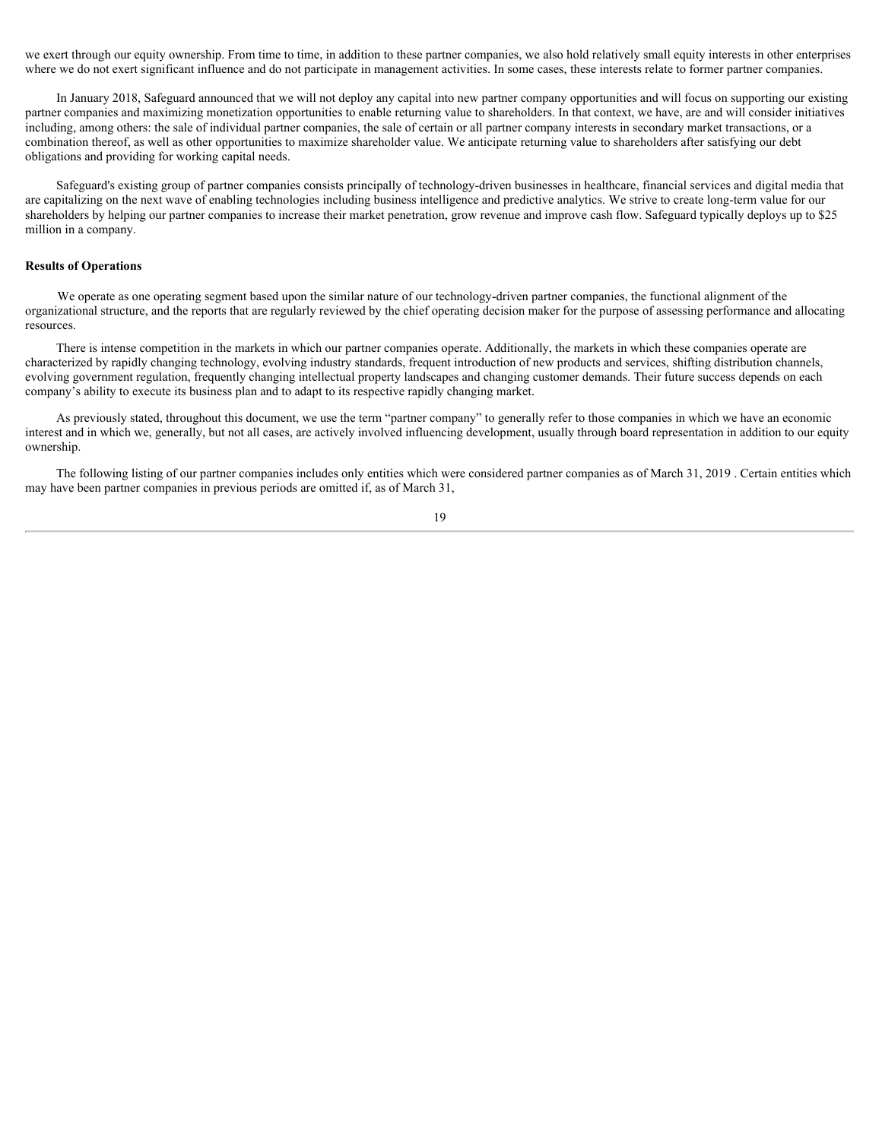we exert through our equity ownership. From time to time, in addition to these partner companies, we also hold relatively small equity interests in other enterprises where we do not exert significant influence and do not participate in management activities. In some cases, these interests relate to former partner companies.

In January 2018, Safeguard announced that we will not deploy any capital into new partner company opportunities and will focus on supporting our existing partner companies and maximizing monetization opportunities to enable returning value to shareholders. In that context, we have, are and will consider initiatives including, among others: the sale of individual partner companies, the sale of certain or all partner company interests in secondary market transactions, or a combination thereof, as well as other opportunities to maximize shareholder value. We anticipate returning value to shareholders after satisfying our debt obligations and providing for working capital needs.

Safeguard's existing group of partner companies consists principally of technology-driven businesses in healthcare, financial services and digital media that are capitalizing on the next wave of enabling technologies including business intelligence and predictive analytics. We strive to create long-term value for our shareholders by helping our partner companies to increase their market penetration, grow revenue and improve cash flow. Safeguard typically deploys up to \$25 million in a company.

#### **Results of Operations**

We operate as one operating segment based upon the similar nature of our technology-driven partner companies, the functional alignment of the organizational structure, and the reports that are regularly reviewed by the chief operating decision maker for the purpose of assessing performance and allocating resources.

There is intense competition in the markets in which our partner companies operate. Additionally, the markets in which these companies operate are characterized by rapidly changing technology, evolving industry standards, frequent introduction of new products and services, shifting distribution channels, evolving government regulation, frequently changing intellectual property landscapes and changing customer demands. Their future success depends on each company's ability to execute its business plan and to adapt to its respective rapidly changing market.

As previously stated, throughout this document, we use the term "partner company" to generally refer to those companies in which we have an economic interest and in which we, generally, but not all cases, are actively involved influencing development, usually through board representation in addition to our equity ownership.

The following listing of our partner companies includes only entities which were considered partner companies as of March 31, 2019 . Certain entities which may have been partner companies in previous periods are omitted if, as of March 31,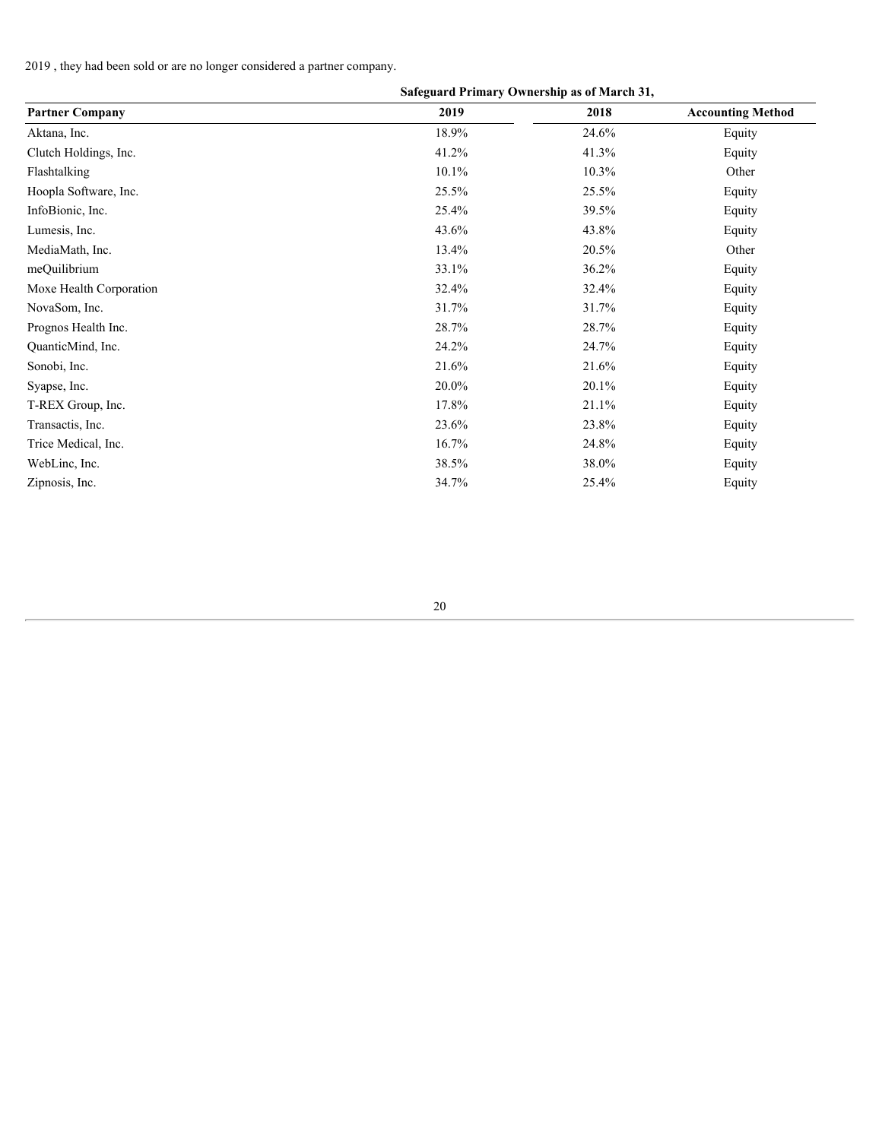2019 , they had been sold or are no longer considered a partner company.

**Safeguard Primary Ownership as of March 31,**

| <b>Partner Company</b>  | 2019  | 2018  | <b>Accounting Method</b> |
|-------------------------|-------|-------|--------------------------|
| Aktana, Inc.            | 18.9% | 24.6% | Equity                   |
| Clutch Holdings, Inc.   | 41.2% | 41.3% | Equity                   |
| Flashtalking            | 10.1% | 10.3% | Other                    |
| Hoopla Software, Inc.   | 25.5% | 25.5% | Equity                   |
| InfoBionic, Inc.        | 25.4% | 39.5% | Equity                   |
| Lumesis, Inc.           | 43.6% | 43.8% | Equity                   |
| MediaMath, Inc.         | 13.4% | 20.5% | Other                    |
| meQuilibrium            | 33.1% | 36.2% | Equity                   |
| Moxe Health Corporation | 32.4% | 32.4% | Equity                   |
| NovaSom, Inc.           | 31.7% | 31.7% | Equity                   |
| Prognos Health Inc.     | 28.7% | 28.7% | Equity                   |
| QuanticMind, Inc.       | 24.2% | 24.7% | Equity                   |
| Sonobi, Inc.            | 21.6% | 21.6% | Equity                   |
| Syapse, Inc.            | 20.0% | 20.1% | Equity                   |
| T-REX Group, Inc.       | 17.8% | 21.1% | Equity                   |
| Transactis, Inc.        | 23.6% | 23.8% | Equity                   |
| Trice Medical, Inc.     | 16.7% | 24.8% | Equity                   |
| WebLinc, Inc.           | 38.5% | 38.0% | Equity                   |
| Zipnosis, Inc.          | 34.7% | 25.4% | Equity                   |
|                         |       |       |                          |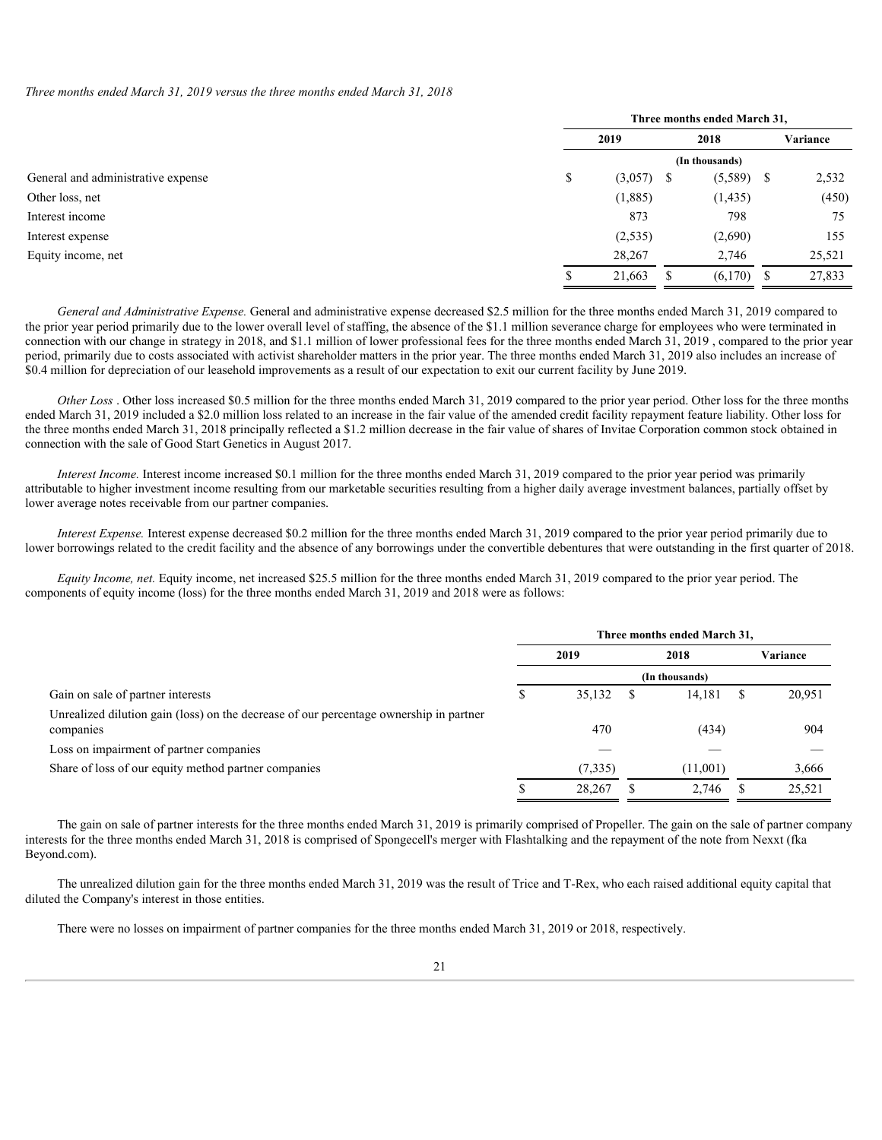*Three months ended March 31, 2019 versus the three months ended March 31, 2018*

|                                    |    | Three months ended March 31, |          |              |          |  |  |
|------------------------------------|----|------------------------------|----------|--------------|----------|--|--|
|                                    |    | 2019                         | 2018     |              | Variance |  |  |
|                                    |    | (In thousands)               |          |              |          |  |  |
| General and administrative expense | ×. | $(3,057)$ \$                 |          | $(5,589)$ \$ | 2,532    |  |  |
| Other loss, net                    |    | (1,885)                      | (1, 435) |              | (450)    |  |  |
| Interest income                    |    | 873                          | 798      |              | 75       |  |  |
| Interest expense                   |    | (2, 535)                     | (2,690)  |              | 155      |  |  |
| Equity income, net                 |    | 28,267                       | 2,746    |              | 25,521   |  |  |
|                                    |    | 21,663                       |          | $(6,170)$ \$ | 27,833   |  |  |
|                                    |    |                              |          |              |          |  |  |

*General and Administrative Expense.* General and administrative expense decreased \$2.5 million for the three months ended March 31, 2019 compared to the prior year period primarily due to the lower overall level of staffing, the absence of the \$1.1 million severance charge for employees who were terminated in connection with our change in strategy in 2018, and \$1.1 million of lower professional fees for the three months ended March 31, 2019 , compared to the prior year period, primarily due to costs associated with activist shareholder matters in the prior year. The three months ended March 31, 2019 also includes an increase of \$0.4 million for depreciation of our leasehold improvements as a result of our expectation to exit our current facility by June 2019.

*Other Loss* . Other loss increased \$0.5 million for the three months ended March 31, 2019 compared to the prior year period. Other loss for the three months ended March 31, 2019 included a \$2.0 million loss related to an increase in the fair value of the amended credit facility repayment feature liability. Other loss for the three months ended March 31, 2018 principally reflected a \$1.2 million decrease in the fair value of shares of Invitae Corporation common stock obtained in connection with the sale of Good Start Genetics in August 2017.

*Interest Income.* Interest income increased \$0.1 million for the three months ended March 31, 2019 compared to the prior year period was primarily attributable to higher investment income resulting from our marketable securities resulting from a higher daily average investment balances, partially offset by lower average notes receivable from our partner companies.

*Interest Expense.* Interest expense decreased \$0.2 million for the three months ended March 31, 2019 compared to the prior year period primarily due to lower borrowings related to the credit facility and the absence of any borrowings under the convertible debentures that were outstanding in the first quarter of 2018.

*Equity Income, net.* Equity income, net increased \$25.5 million for the three months ended March 31, 2019 compared to the prior year period. The components of equity income (loss) for the three months ended March 31, 2019 and 2018 were as follows:

|                                                                                        | Three months ended March 31, |                                 |  |                                 |  |                          |  |
|----------------------------------------------------------------------------------------|------------------------------|---------------------------------|--|---------------------------------|--|--------------------------|--|
|                                                                                        |                              | 2019                            |  | 2018                            |  | Variance                 |  |
|                                                                                        |                              | (In thousands)                  |  |                                 |  |                          |  |
| Gain on sale of partner interests                                                      |                              | 35,132                          |  | 14,181                          |  | 20,951                   |  |
| Unrealized dilution gain (loss) on the decrease of our percentage ownership in partner |                              |                                 |  |                                 |  |                          |  |
| companies                                                                              |                              | 470                             |  | (434)                           |  | 904                      |  |
| Loss on impairment of partner companies                                                |                              | $\hspace{0.1mm}-\hspace{0.1mm}$ |  | $\hspace{0.1mm}-\hspace{0.1mm}$ |  | $\overline{\phantom{m}}$ |  |
| Share of loss of our equity method partner companies                                   |                              | (7, 335)                        |  | (11,001)                        |  | 3,666                    |  |
|                                                                                        |                              | 28,267                          |  | 2,746                           |  | 25,521                   |  |

The gain on sale of partner interests for the three months ended March 31, 2019 is primarily comprised of Propeller. The gain on the sale of partner company interests for the three months ended March 31, 2018 is comprised of Spongecell's merger with Flashtalking and the repayment of the note from Nexxt (fka Beyond.com).

The unrealized dilution gain for the three months ended March 31, 2019 was the result of Trice and T-Rex, who each raised additional equity capital that diluted the Company's interest in those entities.

There were no losses on impairment of partner companies for the three months ended March 31, 2019 or 2018, respectively.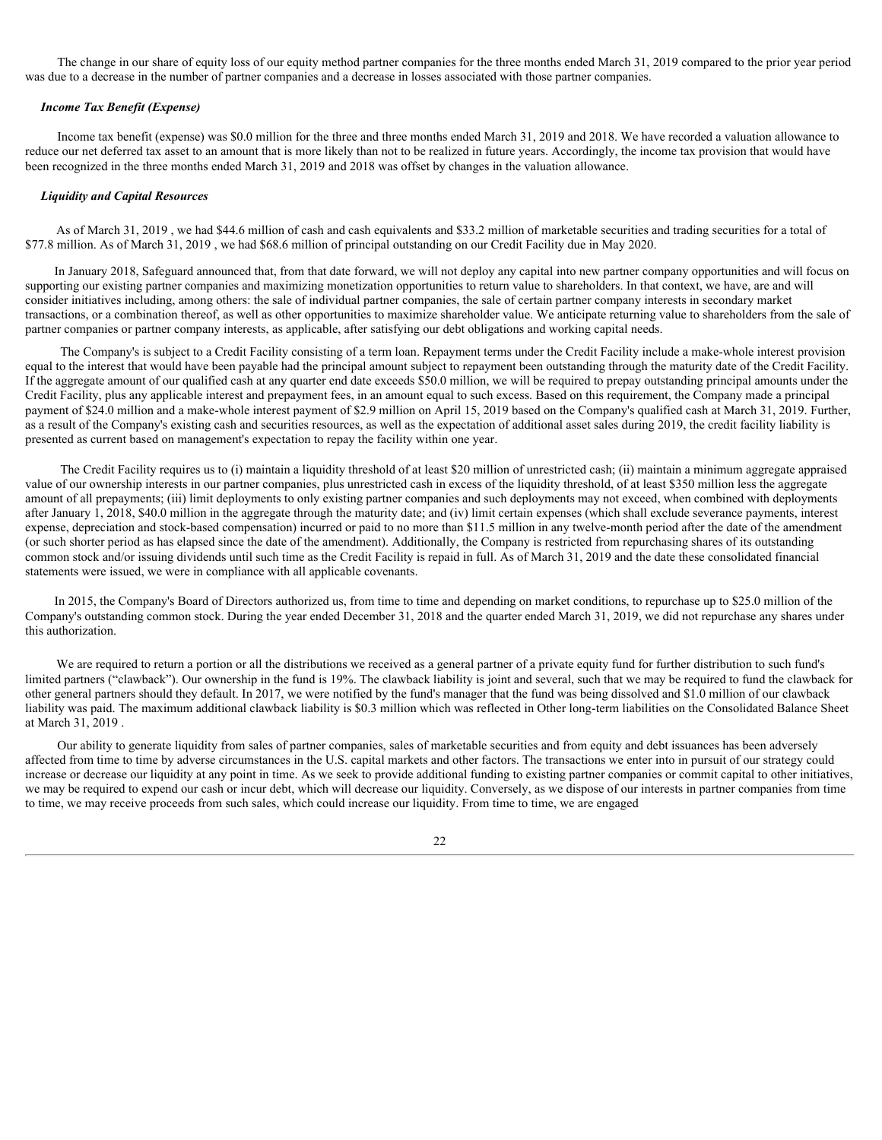The change in our share of equity loss of our equity method partner companies for the three months ended March 31, 2019 compared to the prior year period was due to a decrease in the number of partner companies and a decrease in losses associated with those partner companies.

#### *Income Tax Benefit (Expense)*

Income tax benefit (expense) was \$0.0 million for the three and three months ended March 31, 2019 and 2018. We have recorded a valuation allowance to reduce our net deferred tax asset to an amount that is more likely than not to be realized in future years. Accordingly, the income tax provision that would have been recognized in the three months ended March 31, 2019 and 2018 was offset by changes in the valuation allowance.

#### *Liquidity and Capital Resources*

As of March 31, 2019 , we had \$44.6 million of cash and cash equivalents and \$33.2 million of marketable securities and trading securities for a total of \$77.8 million. As of March 31, 2019 , we had \$68.6 million of principal outstanding on our Credit Facility due in May 2020.

In January 2018, Safeguard announced that, from that date forward, we will not deploy any capital into new partner company opportunities and will focus on supporting our existing partner companies and maximizing monetization opportunities to return value to shareholders. In that context, we have, are and will consider initiatives including, among others: the sale of individual partner companies, the sale of certain partner company interests in secondary market transactions, or a combination thereof, as well as other opportunities to maximize shareholder value. We anticipate returning value to shareholders from the sale of partner companies or partner company interests, as applicable, after satisfying our debt obligations and working capital needs.

The Company's is subject to a Credit Facility consisting of a term loan. Repayment terms under the Credit Facility include a make-whole interest provision equal to the interest that would have been payable had the principal amount subject to repayment been outstanding through the maturity date of the Credit Facility. If the aggregate amount of our qualified cash at any quarter end date exceeds \$50.0 million, we will be required to prepay outstanding principal amounts under the Credit Facility, plus any applicable interest and prepayment fees, in an amount equal to such excess. Based on this requirement, the Company made a principal payment of \$24.0 million and a make-whole interest payment of \$2.9 million on April 15, 2019 based on the Company's qualified cash at March 31, 2019. Further, as a result of the Company's existing cash and securities resources, as well as the expectation of additional asset sales during 2019, the credit facility liability is presented as current based on management's expectation to repay the facility within one year.

The Credit Facility requires us to (i) maintain a liquidity threshold of at least \$20 million of unrestricted cash; (ii) maintain a minimum aggregate appraised value of our ownership interests in our partner companies, plus unrestricted cash in excess of the liquidity threshold, of at least \$350 million less the aggregate amount of all prepayments; (iii) limit deployments to only existing partner companies and such deployments may not exceed, when combined with deployments after January 1, 2018, \$40.0 million in the aggregate through the maturity date; and (iv) limit certain expenses (which shall exclude severance payments, interest expense, depreciation and stock-based compensation) incurred or paid to no more than \$11.5 million in any twelve-month period after the date of the amendment (or such shorter period as has elapsed since the date of the amendment). Additionally, the Company is restricted from repurchasing shares of its outstanding common stock and/or issuing dividends until such time as the Credit Facility is repaid in full. As of March 31, 2019 and the date these consolidated financial statements were issued, we were in compliance with all applicable covenants.

In 2015, the Company's Board of Directors authorized us, from time to time and depending on market conditions, to repurchase up to \$25.0 million of the Company's outstanding common stock. During the year ended December 31, 2018 and the quarter ended March 31, 2019, we did not repurchase any shares under this authorization.

We are required to return a portion or all the distributions we received as a general partner of a private equity fund for further distribution to such fund's limited partners ("clawback"). Our ownership in the fund is 19%. The clawback liability is joint and several, such that we may be required to fund the clawback for other general partners should they default. In 2017, we were notified by the fund's manager that the fund was being dissolved and \$1.0 million of our clawback liability was paid. The maximum additional clawback liability is \$0.3 million which was reflected in Other long-term liabilities on the Consolidated Balance Sheet at March 31, 2019 .

Our ability to generate liquidity from sales of partner companies, sales of marketable securities and from equity and debt issuances has been adversely affected from time to time by adverse circumstances in the U.S. capital markets and other factors. The transactions we enter into in pursuit of our strategy could increase or decrease our liquidity at any point in time. As we seek to provide additional funding to existing partner companies or commit capital to other initiatives, we may be required to expend our cash or incur debt, which will decrease our liquidity. Conversely, as we dispose of our interests in partner companies from time to time, we may receive proceeds from such sales, which could increase our liquidity. From time to time, we are engaged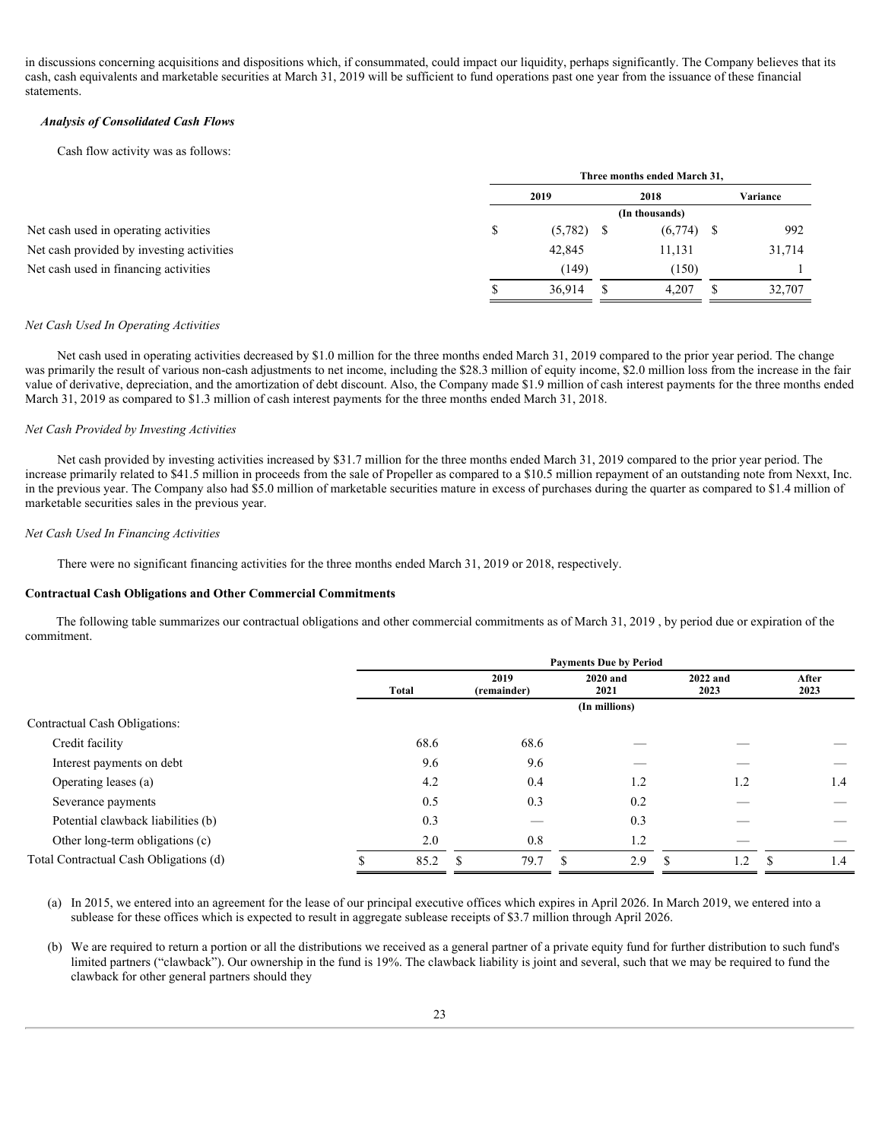in discussions concerning acquisitions and dispositions which, if consummated, could impact our liquidity, perhaps significantly. The Company believes that its cash, cash equivalents and marketable securities at March 31, 2019 will be sufficient to fund operations past one year from the issuance of these financial statements.

#### *Analysis of Consolidated Cash Flows*

Cash flow activity was as follows:

|                                           |                | Three months ended March 31, |     |              |  |          |  |
|-------------------------------------------|----------------|------------------------------|-----|--------------|--|----------|--|
|                                           |                | 2019                         |     | 2018         |  | Variance |  |
|                                           | (In thousands) |                              |     |              |  |          |  |
| Net cash used in operating activities     |                | (5,782)                      | - 8 | $(6,774)$ \$ |  | 992      |  |
| Net cash provided by investing activities |                | 42,845                       |     | 11,131       |  | 31,714   |  |
| Net cash used in financing activities     |                | (149)                        |     | (150)        |  |          |  |
|                                           |                | 36,914                       |     | 4,207        |  | 32,707   |  |

#### *Net Cash Used In Operating Activities*

Net cash used in operating activities decreased by \$1.0 million for the three months ended March 31, 2019 compared to the prior year period. The change was primarily the result of various non-cash adjustments to net income, including the \$28.3 million of equity income, \$2.0 million loss from the increase in the fair value of derivative, depreciation, and the amortization of debt discount. Also, the Company made \$1.9 million of cash interest payments for the three months ended March 31, 2019 as compared to \$1.3 million of cash interest payments for the three months ended March 31, 2018.

#### *Net Cash Provided by Investing Activities*

Net cash provided by investing activities increased by \$31.7 million for the three months ended March 31, 2019 compared to the prior year period. The increase primarily related to \$41.5 million in proceeds from the sale of Propeller as compared to a \$10.5 million repayment of an outstanding note from Nexxt, Inc. in the previous year. The Company also had \$5.0 million of marketable securities mature in excess of purchases during the quarter as compared to \$1.4 million of marketable securities sales in the previous year.

#### *Net Cash Used In Financing Activities*

There were no significant financing activities for the three months ended March 31, 2019 or 2018, respectively.

## **Contractual Cash Obligations and Other Commercial Commitments**

The following table summarizes our contractual obligations and other commercial commitments as of March 31, 2019 , by period due or expiration of the commitment.

| 2022 and<br>After<br>2019<br>2020 and<br>2023<br>2023<br>Total<br>(remainder)<br>2021                                                                   |
|---------------------------------------------------------------------------------------------------------------------------------------------------------|
| (In millions)                                                                                                                                           |
| Contractual Cash Obligations:                                                                                                                           |
| Credit facility<br>68.6<br>68.6<br>$\overbrace{\hspace{25mm}}^{}$                                                                                       |
| 9.6<br>Interest payments on debt<br>9.6<br>$\hspace{0.05cm}$<br>$\hspace{0.05cm}$                                                                       |
| Operating leases (a)<br>4.2<br>0.4<br>1.2<br>1.2<br>1.4                                                                                                 |
| 0.3<br>0.2<br>0.5<br>Severance payments                                                                                                                 |
| Potential clawback liabilities (b)<br>0.3<br>0.3<br>$\hspace{0.1mm}-\hspace{0.1mm}$<br>$\overbrace{\phantom{13333}}$<br>$\hspace{0.1mm}-\hspace{0.1mm}$ |
| Other long-term obligations (c)<br>0.8<br>1.2<br>2.0                                                                                                    |
| Total Contractual Cash Obligations (d)<br>85.2<br>79.7<br>2.9<br>1.2<br>1.4                                                                             |

(a) In 2015, we entered into an agreement for the lease of our principal executive offices which expires in April 2026. In March 2019, we entered into a sublease for these offices which is expected to result in aggregate sublease receipts of \$3.7 million through April 2026.

(b) We are required to return a portion or all the distributions we received as a general partner of a private equity fund for further distribution to such fund's limited partners ("clawback"). Our ownership in the fund is 19%. The clawback liability is joint and several, such that we may be required to fund the clawback for other general partners should they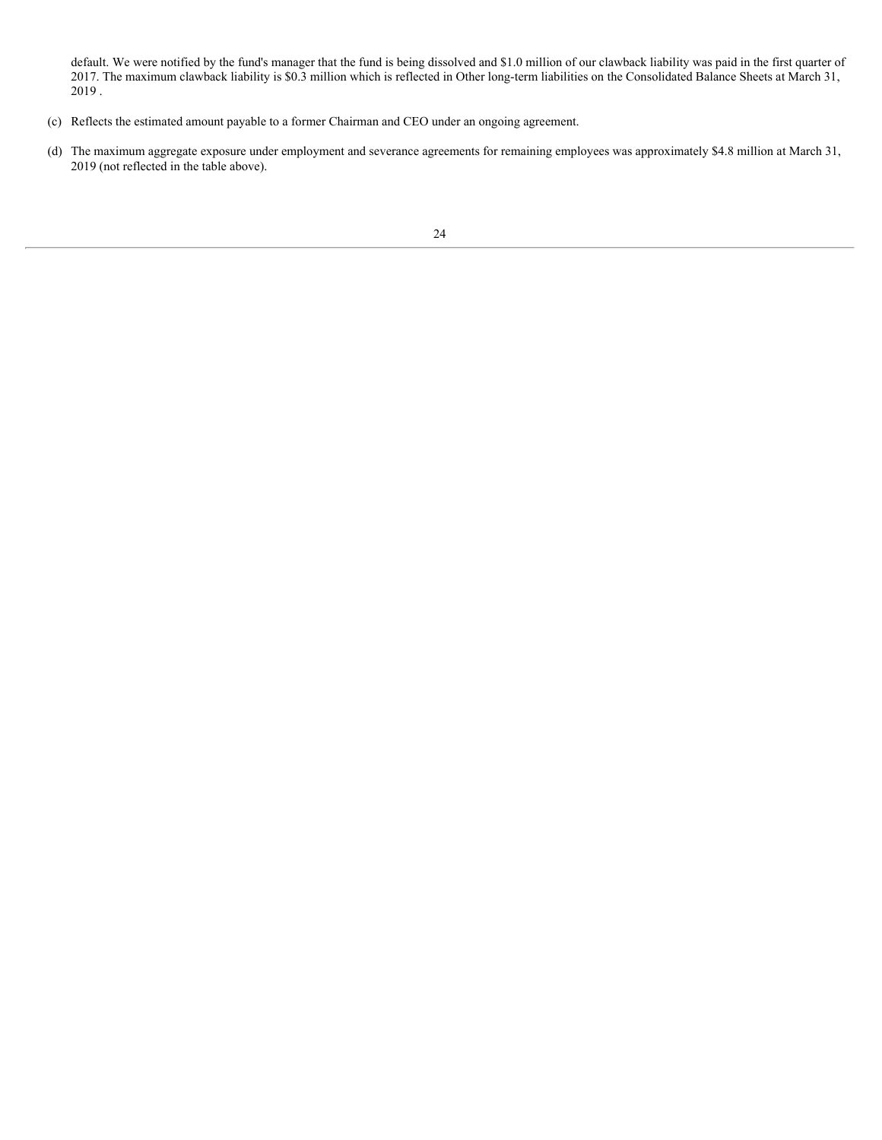default. We were notified by the fund's manager that the fund is being dissolved and \$1.0 million of our clawback liability was paid in the first quarter of 2017. The maximum clawback liability is \$0.3 million which is reflected in Other long-term liabilities on the Consolidated Balance Sheets at March 31, 2019 .

- (c) Reflects the estimated amount payable to a former Chairman and CEO under an ongoing agreement.
- (d) The maximum aggregate exposure under employment and severance agreements for remaining employees was approximately \$4.8 million at March 31, 2019 (not reflected in the table above).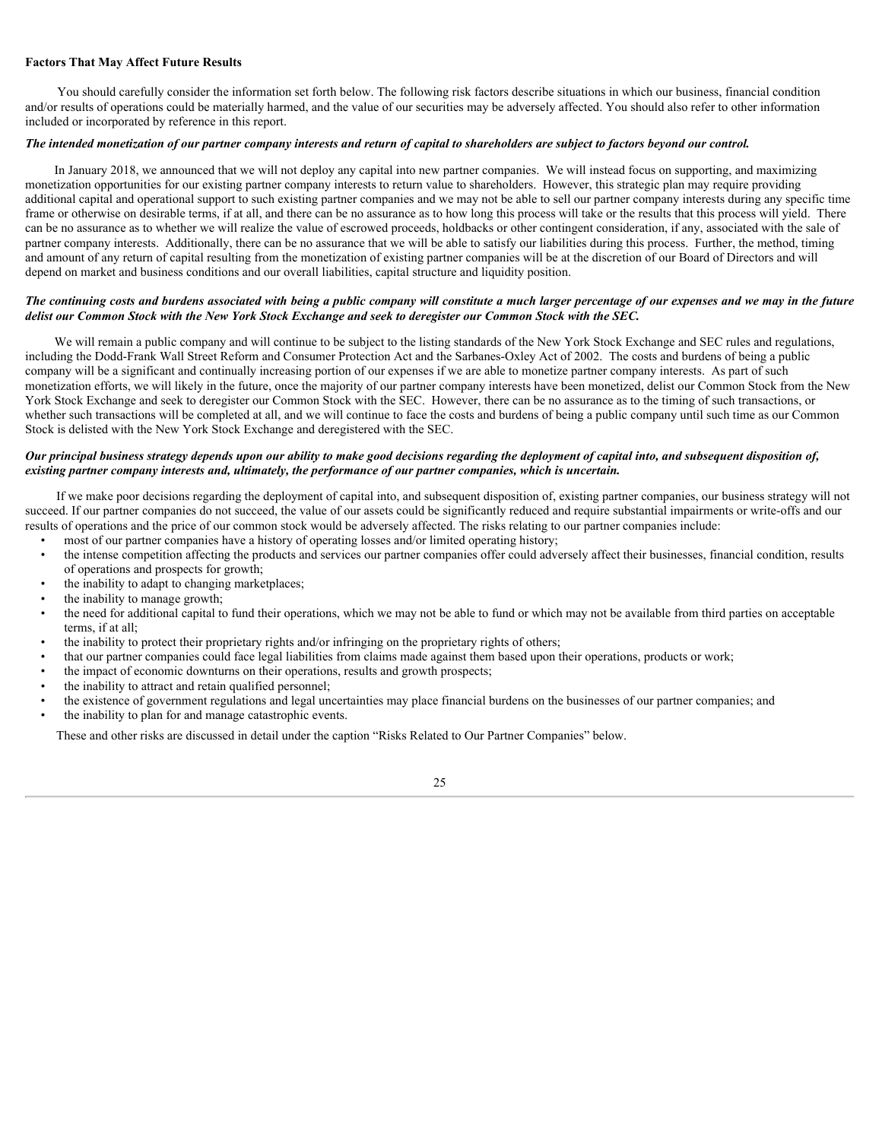## **Factors That May Affect Future Results**

You should carefully consider the information set forth below. The following risk factors describe situations in which our business, financial condition and/or results of operations could be materially harmed, and the value of our securities may be adversely affected. You should also refer to other information included or incorporated by reference in this report.

#### *The intended monetization of our partner company interests and return of capital to shareholders are subject to factors beyond our control.*

In January 2018, we announced that we will not deploy any capital into new partner companies. We will instead focus on supporting, and maximizing monetization opportunities for our existing partner company interests to return value to shareholders. However, this strategic plan may require providing additional capital and operational support to such existing partner companies and we may not be able to sell our partner company interests during any specific time frame or otherwise on desirable terms, if at all, and there can be no assurance as to how long this process will take or the results that this process will yield. There can be no assurance as to whether we will realize the value of escrowed proceeds, holdbacks or other contingent consideration, if any, associated with the sale of partner company interests. Additionally, there can be no assurance that we will be able to satisfy our liabilities during this process. Further, the method, timing and amount of any return of capital resulting from the monetization of existing partner companies will be at the discretion of our Board of Directors and will depend on market and business conditions and our overall liabilities, capital structure and liquidity position.

## *The continuing costs and burdens associated with being a public company will constitute a much larger percentage of our expenses and we may in the future delist our Common Stock with the New York Stock Exchange and seek to deregister our Common Stock with the SEC.*

We will remain a public company and will continue to be subject to the listing standards of the New York Stock Exchange and SEC rules and regulations, including the Dodd-Frank Wall Street Reform and Consumer Protection Act and the Sarbanes-Oxley Act of 2002. The costs and burdens of being a public company will be a significant and continually increasing portion of our expenses if we are able to monetize partner company interests. As part of such monetization efforts, we will likely in the future, once the majority of our partner company interests have been monetized, delist our Common Stock from the New York Stock Exchange and seek to deregister our Common Stock with the SEC. However, there can be no assurance as to the timing of such transactions, or whether such transactions will be completed at all, and we will continue to face the costs and burdens of being a public company until such time as our Common Stock is delisted with the New York Stock Exchange and deregistered with the SEC.

#### *Our principal business strategy depends upon our ability to make good decisions regarding the deployment of capital into, and subsequent disposition of, existing partner company interests and, ultimately, the performance of our partner companies, which is uncertain.*

If we make poor decisions regarding the deployment of capital into, and subsequent disposition of, existing partner companies, our business strategy will not succeed. If our partner companies do not succeed, the value of our assets could be significantly reduced and require substantial impairments or write-offs and our results of operations and the price of our common stock would be adversely affected. The risks relating to our partner companies include:

- most of our partner companies have a history of operating losses and/or limited operating history;
- the intense competition affecting the products and services our partner companies offer could adversely affect their businesses, financial condition, results of operations and prospects for growth;
- the inability to adapt to changing marketplaces;
- the inability to manage growth;
- the need for additional capital to fund their operations, which we may not be able to fund or which may not be available from third parties on acceptable terms, if at all;
- the inability to protect their proprietary rights and/or infringing on the proprietary rights of others;
- that our partner companies could face legal liabilities from claims made against them based upon their operations, products or work;
- the impact of economic downturns on their operations, results and growth prospects;
- the inability to attract and retain qualified personnel;
- the existence of government regulations and legal uncertainties may place financial burdens on the businesses of our partner companies; and
- the inability to plan for and manage catastrophic events.

These and other risks are discussed in detail under the caption "Risks Related to Our Partner Companies" below.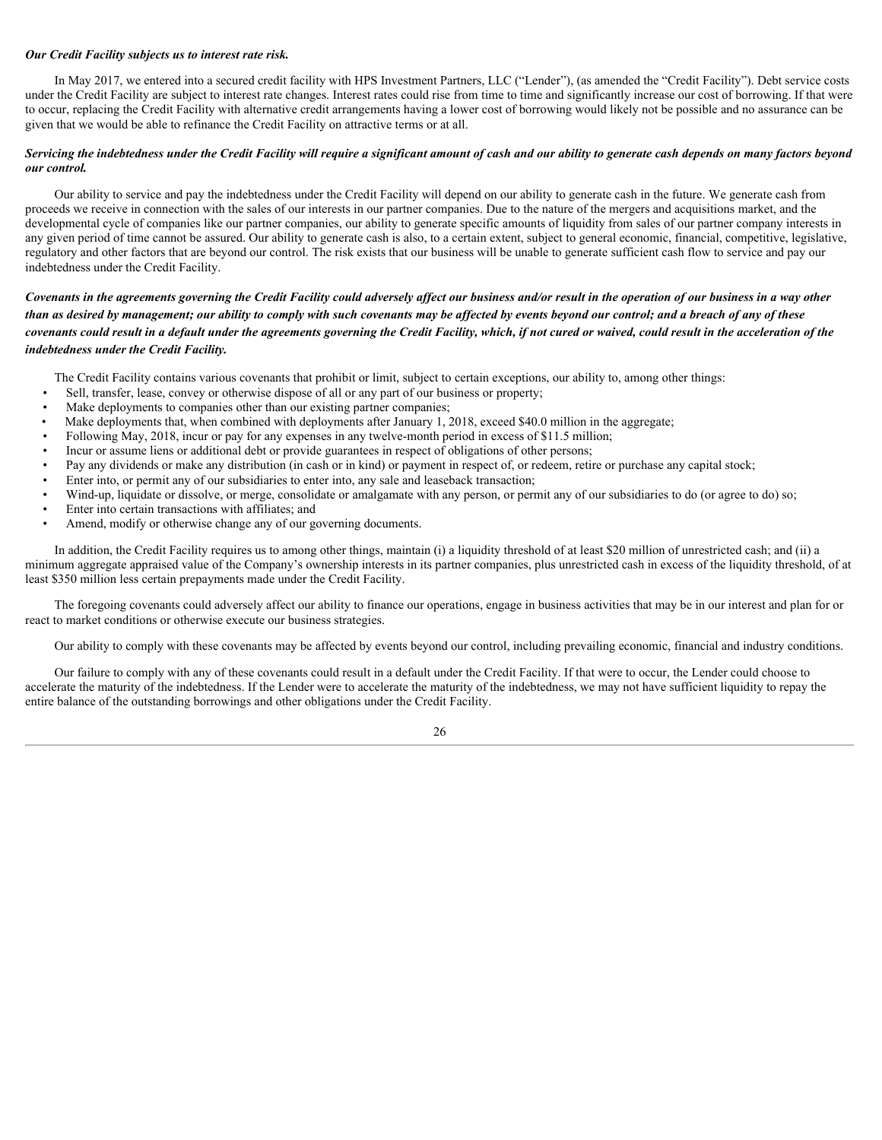## *Our Credit Facility subjects us to interest rate risk.*

In May 2017, we entered into a secured credit facility with HPS Investment Partners, LLC ("Lender"), (as amended the "Credit Facility"). Debt service costs under the Credit Facility are subject to interest rate changes. Interest rates could rise from time to time and significantly increase our cost of borrowing. If that were to occur, replacing the Credit Facility with alternative credit arrangements having a lower cost of borrowing would likely not be possible and no assurance can be given that we would be able to refinance the Credit Facility on attractive terms or at all.

## *Servicing the indebtedness under the Credit Facility will require a significant amount of cash and our ability to generate cash depends on many factors beyond our control.*

Our ability to service and pay the indebtedness under the Credit Facility will depend on our ability to generate cash in the future. We generate cash from proceeds we receive in connection with the sales of our interests in our partner companies. Due to the nature of the mergers and acquisitions market, and the developmental cycle of companies like our partner companies, our ability to generate specific amounts of liquidity from sales of our partner company interests in any given period of time cannot be assured. Our ability to generate cash is also, to a certain extent, subject to general economic, financial, competitive, legislative, regulatory and other factors that are beyond our control. The risk exists that our business will be unable to generate sufficient cash flow to service and pay our indebtedness under the Credit Facility.

## *Covenants in the agreements governing the Credit Facility could adversely affect our business and/or result in the operation of our business in a way other than as desired by management; our ability to comply with such covenants may be affected by events beyond our control; and a breach of any of these covenants could result in a default under the agreements governing the Credit Facility, which, if not cured or waived, could result in the acceleration of the indebtedness under the Credit Facility.*

The Credit Facility contains various covenants that prohibit or limit, subject to certain exceptions, our ability to, among other things:

- Sell, transfer, lease, convey or otherwise dispose of all or any part of our business or property;
- Make deployments to companies other than our existing partner companies;
- Make deployments that, when combined with deployments after January 1, 2018, exceed \$40.0 million in the aggregate;
- Following May, 2018, incur or pay for any expenses in any twelve-month period in excess of \$11.5 million;
- Incur or assume liens or additional debt or provide guarantees in respect of obligations of other persons;
- Pay any dividends or make any distribution (in cash or in kind) or payment in respect of, or redeem, retire or purchase any capital stock;
- Enter into, or permit any of our subsidiaries to enter into, any sale and leaseback transaction;
- Wind-up, liquidate or dissolve, or merge, consolidate or amalgamate with any person, or permit any of our subsidiaries to do (or agree to do) so;
- Enter into certain transactions with affiliates; and
- Amend, modify or otherwise change any of our governing documents.

In addition, the Credit Facility requires us to among other things, maintain (i) a liquidity threshold of at least \$20 million of unrestricted cash; and (ii) a minimum aggregate appraised value of the Company's ownership interests in its partner companies, plus unrestricted cash in excess of the liquidity threshold, of at least \$350 million less certain prepayments made under the Credit Facility.

The foregoing covenants could adversely affect our ability to finance our operations, engage in business activities that may be in our interest and plan for or react to market conditions or otherwise execute our business strategies.

Our ability to comply with these covenants may be affected by events beyond our control, including prevailing economic, financial and industry conditions.

Our failure to comply with any of these covenants could result in a default under the Credit Facility. If that were to occur, the Lender could choose to accelerate the maturity of the indebtedness. If the Lender were to accelerate the maturity of the indebtedness, we may not have sufficient liquidity to repay the entire balance of the outstanding borrowings and other obligations under the Credit Facility.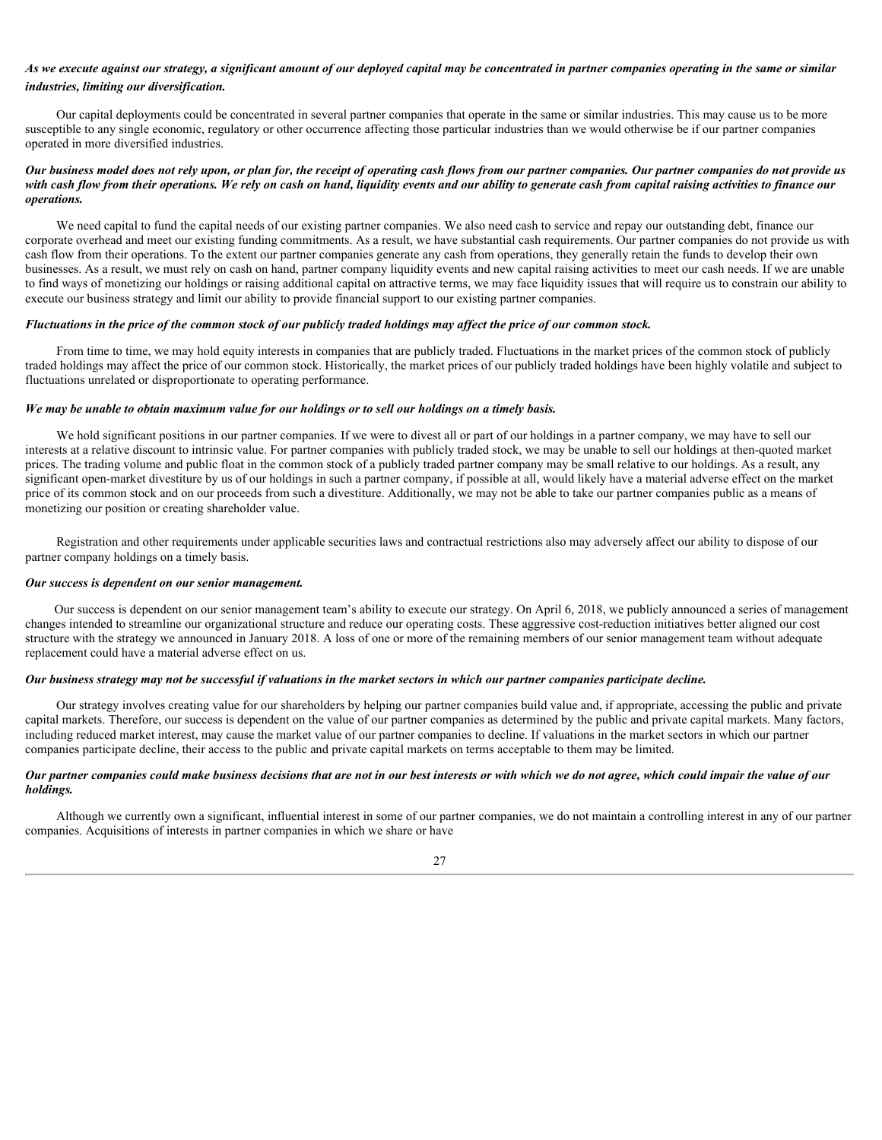## *As we execute against our strategy, a significant amount of our deployed capital may be concentrated in partner companies operating in the same or similar industries, limiting our diversification.*

Our capital deployments could be concentrated in several partner companies that operate in the same or similar industries. This may cause us to be more susceptible to any single economic, regulatory or other occurrence affecting those particular industries than we would otherwise be if our partner companies operated in more diversified industries.

## *Our business model does not rely upon, or plan for, the receipt of operating cash flows from our partner companies. Our partner companies do not provide us with cash flow from their operations. We rely on cash on hand, liquidity events and our ability to generate cash from capital raising activities to finance our operations.*

We need capital to fund the capital needs of our existing partner companies. We also need cash to service and repay our outstanding debt, finance our corporate overhead and meet our existing funding commitments. As a result, we have substantial cash requirements. Our partner companies do not provide us with cash flow from their operations. To the extent our partner companies generate any cash from operations, they generally retain the funds to develop their own businesses. As a result, we must rely on cash on hand, partner company liquidity events and new capital raising activities to meet our cash needs. If we are unable to find ways of monetizing our holdings or raising additional capital on attractive terms, we may face liquidity issues that will require us to constrain our ability to execute our business strategy and limit our ability to provide financial support to our existing partner companies.

#### *Fluctuations in the price of the common stock of our publicly traded holdings may affect the price of our common stock.*

From time to time, we may hold equity interests in companies that are publicly traded. Fluctuations in the market prices of the common stock of publicly traded holdings may affect the price of our common stock. Historically, the market prices of our publicly traded holdings have been highly volatile and subject to fluctuations unrelated or disproportionate to operating performance.

#### *We may be unable to obtain maximum value for our holdings or to sell our holdings on a timely basis.*

We hold significant positions in our partner companies. If we were to divest all or part of our holdings in a partner company, we may have to sell our interests at a relative discount to intrinsic value. For partner companies with publicly traded stock, we may be unable to sell our holdings at then-quoted market prices. The trading volume and public float in the common stock of a publicly traded partner company may be small relative to our holdings. As a result, any significant open-market divestiture by us of our holdings in such a partner company, if possible at all, would likely have a material adverse effect on the market price of its common stock and on our proceeds from such a divestiture. Additionally, we may not be able to take our partner companies public as a means of monetizing our position or creating shareholder value.

Registration and other requirements under applicable securities laws and contractual restrictions also may adversely affect our ability to dispose of our partner company holdings on a timely basis.

#### *Our success is dependent on our senior management.*

Our success is dependent on our senior management team's ability to execute our strategy. On April 6, 2018, we publicly announced a series of management changes intended to streamline our organizational structure and reduce our operating costs. These aggressive cost-reduction initiatives better aligned our cost structure with the strategy we announced in January 2018. A loss of one or more of the remaining members of our senior management team without adequate replacement could have a material adverse effect on us.

#### *Our business strategy may not be successful if valuations in the market sectors in which our partner companies participate decline.*

Our strategy involves creating value for our shareholders by helping our partner companies build value and, if appropriate, accessing the public and private capital markets. Therefore, our success is dependent on the value of our partner companies as determined by the public and private capital markets. Many factors, including reduced market interest, may cause the market value of our partner companies to decline. If valuations in the market sectors in which our partner companies participate decline, their access to the public and private capital markets on terms acceptable to them may be limited.

## *Our partner companies could make business decisions that are not in our best interests or with which we do not agree, which could impair the value of our holdings.*

Although we currently own a significant, influential interest in some of our partner companies, we do not maintain a controlling interest in any of our partner companies. Acquisitions of interests in partner companies in which we share or have

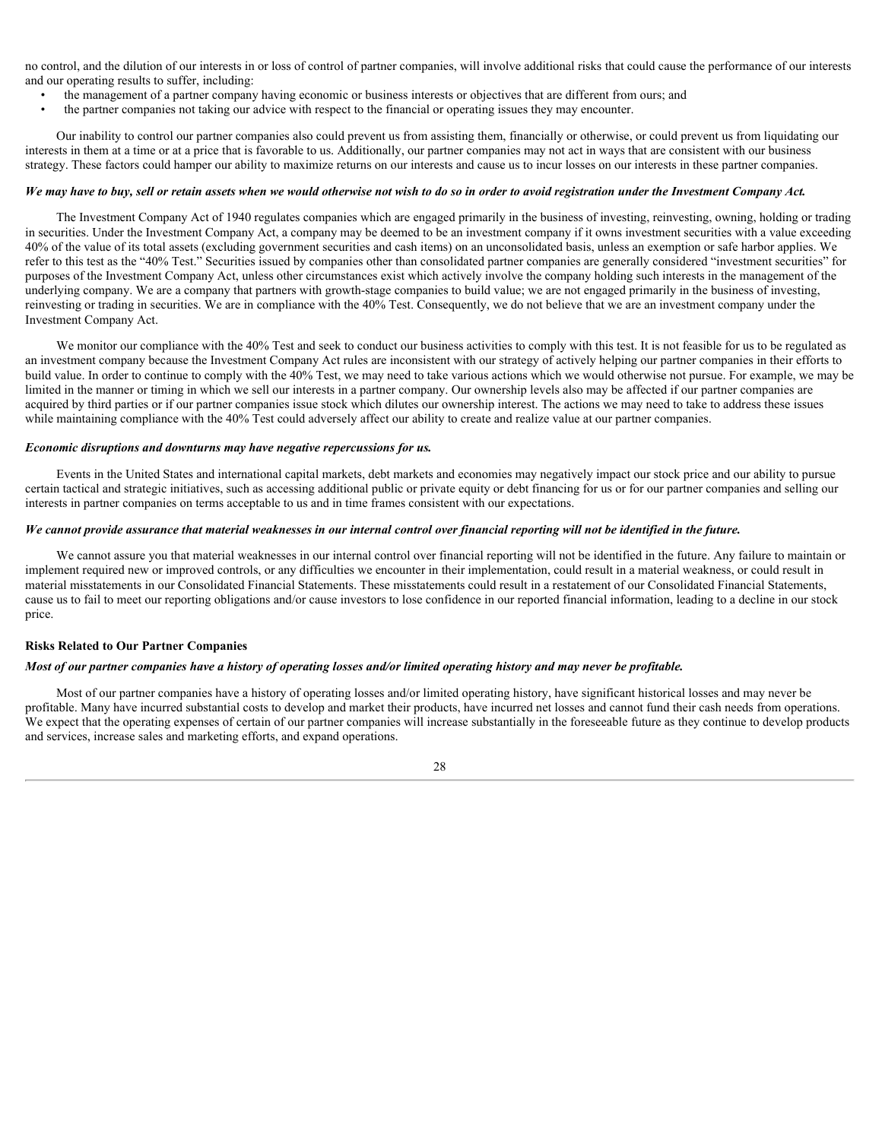no control, and the dilution of our interests in or loss of control of partner companies, will involve additional risks that could cause the performance of our interests and our operating results to suffer, including:

- the management of a partner company having economic or business interests or objectives that are different from ours; and
- the partner companies not taking our advice with respect to the financial or operating issues they may encounter.

Our inability to control our partner companies also could prevent us from assisting them, financially or otherwise, or could prevent us from liquidating our interests in them at a time or at a price that is favorable to us. Additionally, our partner companies may not act in ways that are consistent with our business strategy. These factors could hamper our ability to maximize returns on our interests and cause us to incur losses on our interests in these partner companies.

## *We may have to buy, sell or retain assets when we would otherwise not wish to do so in order to avoid registration under the Investment Company Act.*

The Investment Company Act of 1940 regulates companies which are engaged primarily in the business of investing, reinvesting, owning, holding or trading in securities. Under the Investment Company Act, a company may be deemed to be an investment company if it owns investment securities with a value exceeding 40% of the value of its total assets (excluding government securities and cash items) on an unconsolidated basis, unless an exemption or safe harbor applies. We refer to this test as the "40% Test." Securities issued by companies other than consolidated partner companies are generally considered "investment securities" for purposes of the Investment Company Act, unless other circumstances exist which actively involve the company holding such interests in the management of the underlying company. We are a company that partners with growth-stage companies to build value; we are not engaged primarily in the business of investing, reinvesting or trading in securities. We are in compliance with the 40% Test. Consequently, we do not believe that we are an investment company under the Investment Company Act.

We monitor our compliance with the 40% Test and seek to conduct our business activities to comply with this test. It is not feasible for us to be regulated as an investment company because the Investment Company Act rules are inconsistent with our strategy of actively helping our partner companies in their efforts to build value. In order to continue to comply with the 40% Test, we may need to take various actions which we would otherwise not pursue. For example, we may be limited in the manner or timing in which we sell our interests in a partner company. Our ownership levels also may be affected if our partner companies are acquired by third parties or if our partner companies issue stock which dilutes our ownership interest. The actions we may need to take to address these issues while maintaining compliance with the 40% Test could adversely affect our ability to create and realize value at our partner companies.

#### *Economic disruptions and downturns may have negative repercussions for us.*

Events in the United States and international capital markets, debt markets and economies may negatively impact our stock price and our ability to pursue certain tactical and strategic initiatives, such as accessing additional public or private equity or debt financing for us or for our partner companies and selling our interests in partner companies on terms acceptable to us and in time frames consistent with our expectations.

## *We cannot provide assurance that material weaknesses in our internal control over financial reporting will not be identified in the future.*

We cannot assure you that material weaknesses in our internal control over financial reporting will not be identified in the future. Any failure to maintain or implement required new or improved controls, or any difficulties we encounter in their implementation, could result in a material weakness, or could result in material misstatements in our Consolidated Financial Statements. These misstatements could result in a restatement of our Consolidated Financial Statements, cause us to fail to meet our reporting obligations and/or cause investors to lose confidence in our reported financial information, leading to a decline in our stock price.

#### **Risks Related to Our Partner Companies**

#### *Most of our partner companies have a history of operating losses and/or limited operating history and may never be profitable.*

Most of our partner companies have a history of operating losses and/or limited operating history, have significant historical losses and may never be profitable. Many have incurred substantial costs to develop and market their products, have incurred net losses and cannot fund their cash needs from operations. We expect that the operating expenses of certain of our partner companies will increase substantially in the foreseeable future as they continue to develop products and services, increase sales and marketing efforts, and expand operations.

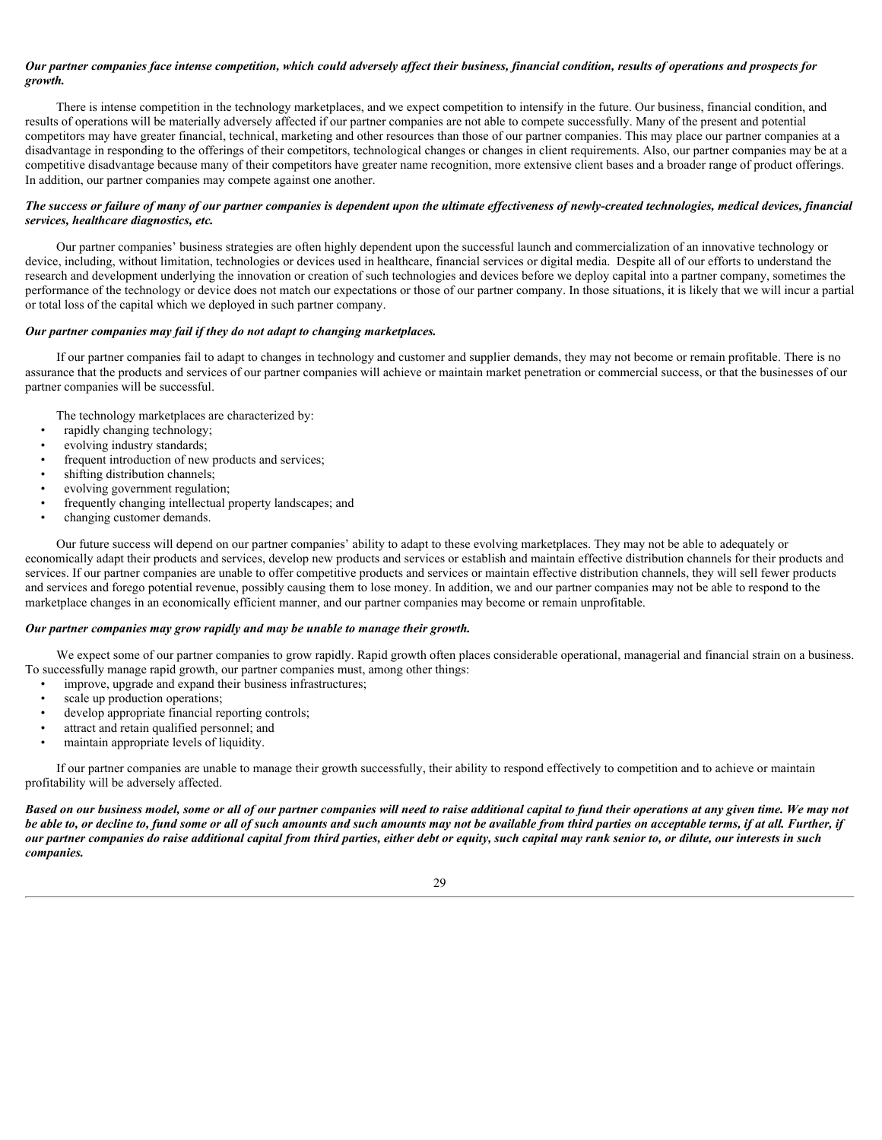## *Our partner companies face intense competition, which could adversely affect their business, financial condition, results of operations and prospects for growth.*

There is intense competition in the technology marketplaces, and we expect competition to intensify in the future. Our business, financial condition, and results of operations will be materially adversely affected if our partner companies are not able to compete successfully. Many of the present and potential competitors may have greater financial, technical, marketing and other resources than those of our partner companies. This may place our partner companies at a disadvantage in responding to the offerings of their competitors, technological changes or changes in client requirements. Also, our partner companies may be at a competitive disadvantage because many of their competitors have greater name recognition, more extensive client bases and a broader range of product offerings. In addition, our partner companies may compete against one another.

## *The success or failure of many of our partner companies is dependent upon the ultimate effectiveness of newly-created technologies, medical devices, financial services, healthcare diagnostics, etc.*

Our partner companies' business strategies are often highly dependent upon the successful launch and commercialization of an innovative technology or device, including, without limitation, technologies or devices used in healthcare, financial services or digital media. Despite all of our efforts to understand the research and development underlying the innovation or creation of such technologies and devices before we deploy capital into a partner company, sometimes the performance of the technology or device does not match our expectations or those of our partner company. In those situations, it is likely that we will incur a partial or total loss of the capital which we deployed in such partner company.

## *Our partner companies may fail if they do not adapt to changing marketplaces.*

If our partner companies fail to adapt to changes in technology and customer and supplier demands, they may not become or remain profitable. There is no assurance that the products and services of our partner companies will achieve or maintain market penetration or commercial success, or that the businesses of our partner companies will be successful.

The technology marketplaces are characterized by:

- rapidly changing technology;
- evolving industry standards;
- frequent introduction of new products and services;
- shifting distribution channels;
- evolving government regulation;
- frequently changing intellectual property landscapes; and
- changing customer demands.

Our future success will depend on our partner companies' ability to adapt to these evolving marketplaces. They may not be able to adequately or economically adapt their products and services, develop new products and services or establish and maintain effective distribution channels for their products and services. If our partner companies are unable to offer competitive products and services or maintain effective distribution channels, they will sell fewer products and services and forego potential revenue, possibly causing them to lose money. In addition, we and our partner companies may not be able to respond to the marketplace changes in an economically efficient manner, and our partner companies may become or remain unprofitable.

## *Our partner companies may grow rapidly and may be unable to manage their growth.*

We expect some of our partner companies to grow rapidly. Rapid growth often places considerable operational, managerial and financial strain on a business. To successfully manage rapid growth, our partner companies must, among other things:

- improve, upgrade and expand their business infrastructures;
- scale up production operations;
- develop appropriate financial reporting controls;
- attract and retain qualified personnel; and
- maintain appropriate levels of liquidity.

If our partner companies are unable to manage their growth successfully, their ability to respond effectively to competition and to achieve or maintain profitability will be adversely affected.

*Based on our business model, some or all of our partner companies will need to raise additional capital to fund their operations at any given time. We may not be able to, or decline to, fund some or all of such amounts and such amounts may not be available from third parties on acceptable terms, if at all. Further, if our partner companies do raise additional capital from third parties, either debt or equity, such capital may rank senior to, or dilute, our interests in such companies.*

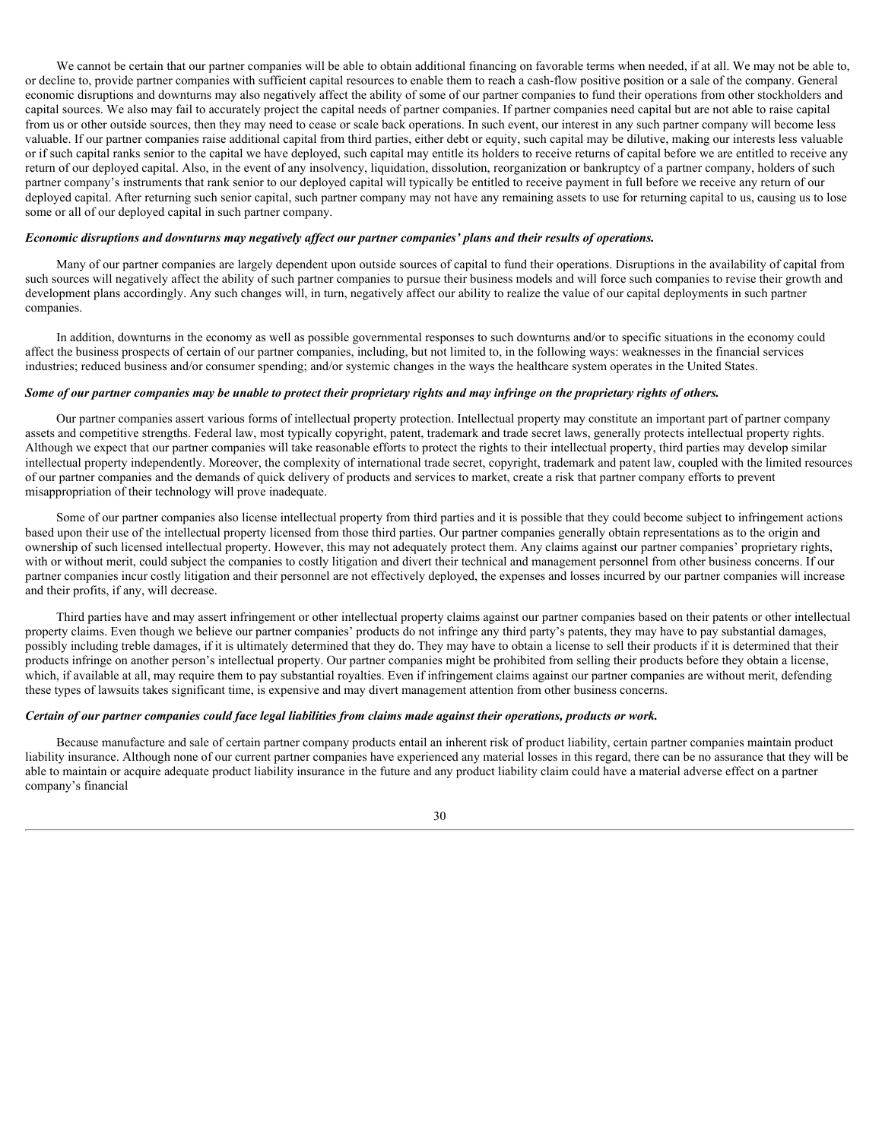We cannot be certain that our partner companies will be able to obtain additional financing on favorable terms when needed, if at all. We may not be able to, or decline to, provide partner companies with sufficient capital resources to enable them to reach a cash-flow positive position or a sale of the company. General economic disruptions and downturns may also negatively affect the ability of some of our partner companies to fund their operations from other stockholders and capital sources. We also may fail to accurately project the capital needs of partner companies. If partner companies need capital but are not able to raise capital from us or other outside sources, then they may need to cease or scale back operations. In such event, our interest in any such partner company will become less valuable. If our partner companies raise additional capital from third parties, either debt or equity, such capital may be dilutive, making our interests less valuable or if such capital ranks senior to the capital we have deployed, such capital may entitle its holders to receive returns of capital before we are entitled to receive any return of our deployed capital. Also, in the event of any insolvency, liquidation, dissolution, reorganization or bankruptcy of a partner company, holders of such partner company's instruments that rank senior to our deployed capital will typically be entitled to receive payment in full before we receive any return of our deployed capital. After returning such senior capital, such partner company may not have any remaining assets to use for returning capital to us, causing us to lose some or all of our deployed capital in such partner company.

## *Economic disruptions and downturns may negatively affect our partner companies' plans and their results of operations.*

Many of our partner companies are largely dependent upon outside sources of capital to fund their operations. Disruptions in the availability of capital from such sources will negatively affect the ability of such partner companies to pursue their business models and will force such companies to revise their growth and development plans accordingly. Any such changes will, in turn, negatively affect our ability to realize the value of our capital deployments in such partner companies.

In addition, downturns in the economy as well as possible governmental responses to such downturns and/or to specific situations in the economy could affect the business prospects of certain of our partner companies, including, but not limited to, in the following ways: weaknesses in the financial services industries; reduced business and/or consumer spending; and/or systemic changes in the ways the healthcare system operates in the United States.

#### *Some of our partner companies may be unable to protect their proprietary rights and may infringe on the proprietary rights of others.*

Our partner companies assert various forms of intellectual property protection. Intellectual property may constitute an important part of partner company assets and competitive strengths. Federal law, most typically copyright, patent, trademark and trade secret laws, generally protects intellectual property rights. Although we expect that our partner companies will take reasonable efforts to protect the rights to their intellectual property, third parties may develop similar intellectual property independently. Moreover, the complexity of international trade secret, copyright, trademark and patent law, coupled with the limited resources of our partner companies and the demands of quick delivery of products and services to market, create a risk that partner company efforts to prevent misappropriation of their technology will prove inadequate.

Some of our partner companies also license intellectual property from third parties and it is possible that they could become subject to infringement actions based upon their use of the intellectual property licensed from those third parties. Our partner companies generally obtain representations as to the origin and ownership of such licensed intellectual property. However, this may not adequately protect them. Any claims against our partner companies' proprietary rights, with or without merit, could subject the companies to costly litigation and divert their technical and management personnel from other business concerns. If our partner companies incur costly litigation and their personnel are not effectively deployed, the expenses and losses incurred by our partner companies will increase and their profits, if any, will decrease.

Third parties have and may assert infringement or other intellectual property claims against our partner companies based on their patents or other intellectual property claims. Even though we believe our partner companies' products do not infringe any third party's patents, they may have to pay substantial damages, possibly including treble damages, if it is ultimately determined that they do. They may have to obtain a license to sell their products if it is determined that their products infringe on another person's intellectual property. Our partner companies might be prohibited from selling their products before they obtain a license, which, if available at all, may require them to pay substantial royalties. Even if infringement claims against our partner companies are without merit, defending these types of lawsuits takes significant time, is expensive and may divert management attention from other business concerns.

#### *Certain of our partner companies could face legal liabilities from claims made against their operations, products or work.*

Because manufacture and sale of certain partner company products entail an inherent risk of product liability, certain partner companies maintain product liability insurance. Although none of our current partner companies have experienced any material losses in this regard, there can be no assurance that they will be able to maintain or acquire adequate product liability insurance in the future and any product liability claim could have a material adverse effect on a partner company's financial

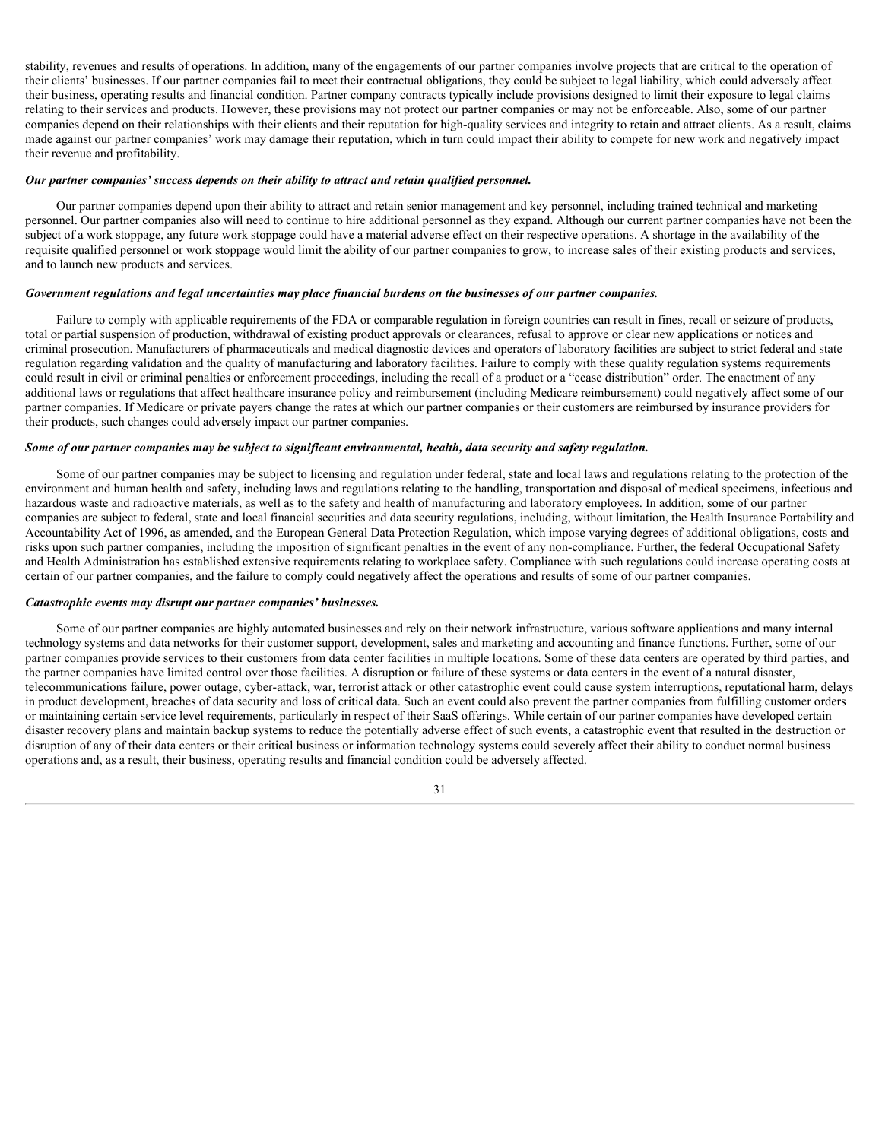stability, revenues and results of operations. In addition, many of the engagements of our partner companies involve projects that are critical to the operation of their clients' businesses. If our partner companies fail to meet their contractual obligations, they could be subject to legal liability, which could adversely affect their business, operating results and financial condition. Partner company contracts typically include provisions designed to limit their exposure to legal claims relating to their services and products. However, these provisions may not protect our partner companies or may not be enforceable. Also, some of our partner companies depend on their relationships with their clients and their reputation for high-quality services and integrity to retain and attract clients. As a result, claims made against our partner companies' work may damage their reputation, which in turn could impact their ability to compete for new work and negatively impact their revenue and profitability.

#### *Our partner companies' success depends on their ability to attract and retain qualified personnel.*

Our partner companies depend upon their ability to attract and retain senior management and key personnel, including trained technical and marketing personnel. Our partner companies also will need to continue to hire additional personnel as they expand. Although our current partner companies have not been the subject of a work stoppage, any future work stoppage could have a material adverse effect on their respective operations. A shortage in the availability of the requisite qualified personnel or work stoppage would limit the ability of our partner companies to grow, to increase sales of their existing products and services, and to launch new products and services.

## *Government regulations and legal uncertainties may place financial burdens on the businesses of our partner companies.*

Failure to comply with applicable requirements of the FDA or comparable regulation in foreign countries can result in fines, recall or seizure of products, total or partial suspension of production, withdrawal of existing product approvals or clearances, refusal to approve or clear new applications or notices and criminal prosecution. Manufacturers of pharmaceuticals and medical diagnostic devices and operators of laboratory facilities are subject to strict federal and state regulation regarding validation and the quality of manufacturing and laboratory facilities. Failure to comply with these quality regulation systems requirements could result in civil or criminal penalties or enforcement proceedings, including the recall of a product or a "cease distribution" order. The enactment of any additional laws or regulations that affect healthcare insurance policy and reimbursement (including Medicare reimbursement) could negatively affect some of our partner companies. If Medicare or private payers change the rates at which our partner companies or their customers are reimbursed by insurance providers for their products, such changes could adversely impact our partner companies.

#### *Some of our partner companies may be subject to significant environmental, health, data security and safety regulation.*

Some of our partner companies may be subject to licensing and regulation under federal, state and local laws and regulations relating to the protection of the environment and human health and safety, including laws and regulations relating to the handling, transportation and disposal of medical specimens, infectious and hazardous waste and radioactive materials, as well as to the safety and health of manufacturing and laboratory employees. In addition, some of our partner companies are subject to federal, state and local financial securities and data security regulations, including, without limitation, the Health Insurance Portability and Accountability Act of 1996, as amended, and the European General Data Protection Regulation, which impose varying degrees of additional obligations, costs and risks upon such partner companies, including the imposition of significant penalties in the event of any non-compliance. Further, the federal Occupational Safety and Health Administration has established extensive requirements relating to workplace safety. Compliance with such regulations could increase operating costs at certain of our partner companies, and the failure to comply could negatively affect the operations and results of some of our partner companies.

#### *Catastrophic events may disrupt our partner companies' businesses.*

Some of our partner companies are highly automated businesses and rely on their network infrastructure, various software applications and many internal technology systems and data networks for their customer support, development, sales and marketing and accounting and finance functions. Further, some of our partner companies provide services to their customers from data center facilities in multiple locations. Some of these data centers are operated by third parties, and the partner companies have limited control over those facilities. A disruption or failure of these systems or data centers in the event of a natural disaster, telecommunications failure, power outage, cyber-attack, war, terrorist attack or other catastrophic event could cause system interruptions, reputational harm, delays in product development, breaches of data security and loss of critical data. Such an event could also prevent the partner companies from fulfilling customer orders or maintaining certain service level requirements, particularly in respect of their SaaS offerings. While certain of our partner companies have developed certain disaster recovery plans and maintain backup systems to reduce the potentially adverse effect of such events, a catastrophic event that resulted in the destruction or disruption of any of their data centers or their critical business or information technology systems could severely affect their ability to conduct normal business operations and, as a result, their business, operating results and financial condition could be adversely affected.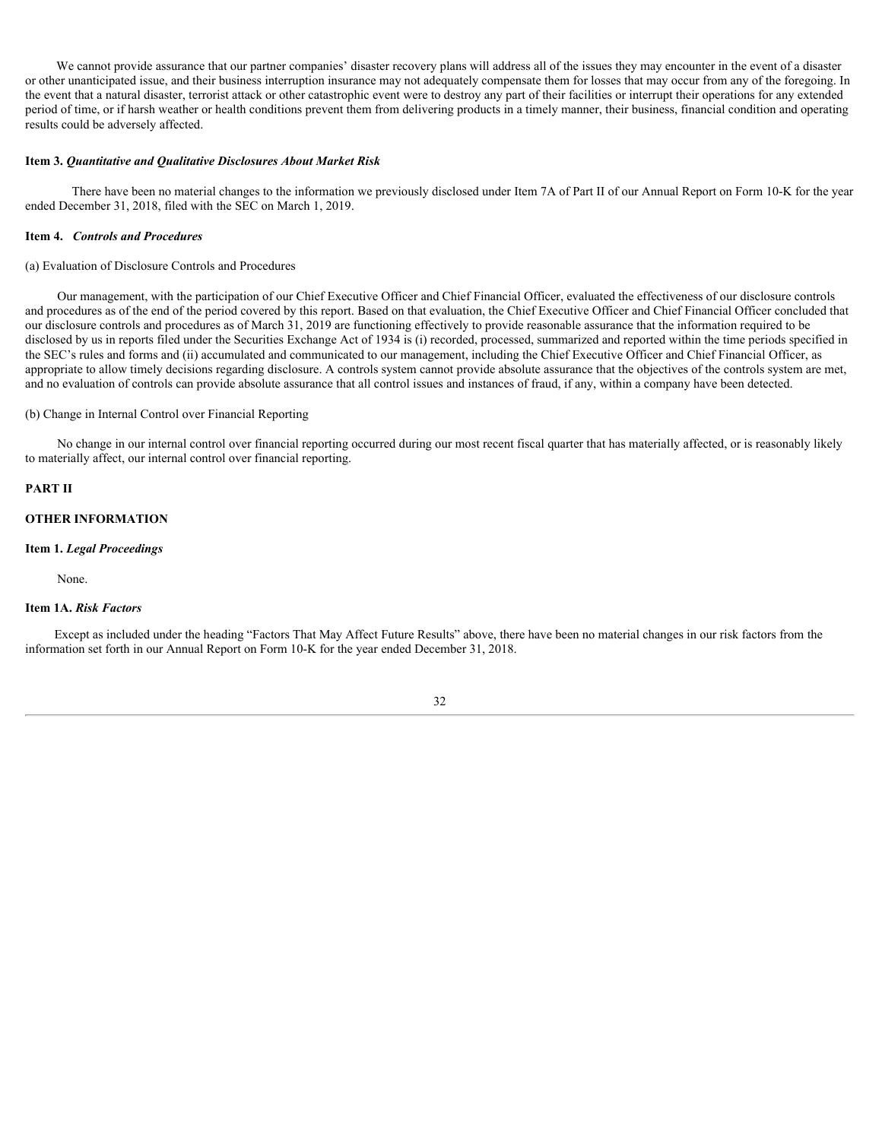We cannot provide assurance that our partner companies' disaster recovery plans will address all of the issues they may encounter in the event of a disaster or other unanticipated issue, and their business interruption insurance may not adequately compensate them for losses that may occur from any of the foregoing. In the event that a natural disaster, terrorist attack or other catastrophic event were to destroy any part of their facilities or interrupt their operations for any extended period of time, or if harsh weather or health conditions prevent them from delivering products in a timely manner, their business, financial condition and operating results could be adversely affected.

#### <span id="page-31-0"></span>**Item 3.** *Quantitative and Qualitative Disclosures About Market Risk*

There have been no material changes to the information we previously disclosed under Item 7A of Part II of our Annual Report on Form 10-K for the year ended December 31, 2018, filed with the SEC on March 1, 2019.

## <span id="page-31-1"></span>**Item 4.** *Controls and Procedures*

#### (a) Evaluation of Disclosure Controls and Procedures

Our management, with the participation of our Chief Executive Officer and Chief Financial Officer, evaluated the effectiveness of our disclosure controls and procedures as of the end of the period covered by this report. Based on that evaluation, the Chief Executive Officer and Chief Financial Officer concluded that our disclosure controls and procedures as of March 31, 2019 are functioning effectively to provide reasonable assurance that the information required to be disclosed by us in reports filed under the Securities Exchange Act of 1934 is (i) recorded, processed, summarized and reported within the time periods specified in the SEC's rules and forms and (ii) accumulated and communicated to our management, including the Chief Executive Officer and Chief Financial Officer, as appropriate to allow timely decisions regarding disclosure. A controls system cannot provide absolute assurance that the objectives of the controls system are met, and no evaluation of controls can provide absolute assurance that all control issues and instances of fraud, if any, within a company have been detected.

#### (b) Change in Internal Control over Financial Reporting

No change in our internal control over financial reporting occurred during our most recent fiscal quarter that has materially affected, or is reasonably likely to materially affect, our internal control over financial reporting.

#### <span id="page-31-2"></span>**PART II**

## **OTHER INFORMATION**

#### **Item 1.** *Legal Proceedings*

None.

#### <span id="page-31-3"></span>**Item 1A.** *Risk Factors*

Except as included under the heading "Factors That May Affect Future Results" above, there have been no material changes in our risk factors from the information set forth in our Annual Report on Form 10-K for the year ended December 31, 2018.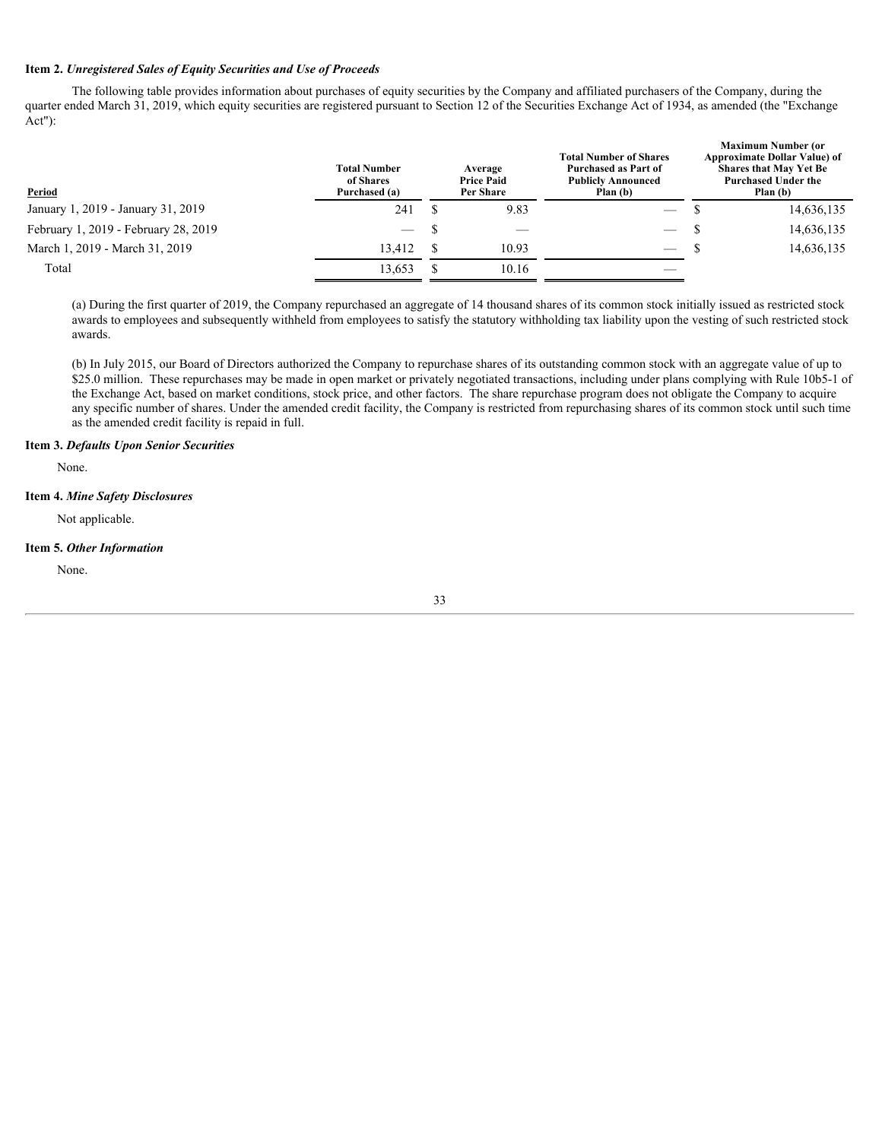## <span id="page-32-0"></span>**Item 2.** *Unregistered Sales of Equity Securities and Use of Proceeds*

The following table provides information about purchases of equity securities by the Company and affiliated purchasers of the Company, during the quarter ended March 31, 2019, which equity securities are registered pursuant to Section 12 of the Securities Exchange Act of 1934, as amended (the "Exchange Act"):

**Maximum Number (or**

| Period                               | <b>Total Number</b><br>of Shares<br>Purchased (a) | Average<br><b>Price Paid</b><br>Per Share | <b>Total Number of Shares</b><br>Purchased as Part of<br><b>Publicly Announced</b><br>Plan (b) | махипин гушност (от<br><b>Approximate Dollar Value) of</b><br><b>Shares that May Yet Be</b><br><b>Purchased Under the</b><br>Plan (b) |            |  |
|--------------------------------------|---------------------------------------------------|-------------------------------------------|------------------------------------------------------------------------------------------------|---------------------------------------------------------------------------------------------------------------------------------------|------------|--|
| January 1, 2019 - January 31, 2019   | 241                                               | 9.83                                      | $\overline{\phantom{m}}$                                                                       |                                                                                                                                       | 14,636,135 |  |
| February 1, 2019 - February 28, 2019 | $\overline{\phantom{a}}$                          | $\overline{\phantom{m}}$                  | $\overline{\phantom{a}}$                                                                       |                                                                                                                                       | 14,636,135 |  |
| March 1, 2019 - March 31, 2019       | 13,412 \$                                         | 10.93                                     | $\overline{\phantom{m}}$                                                                       |                                                                                                                                       | 14,636,135 |  |
| Total                                | 13,653                                            | 10.16                                     |                                                                                                |                                                                                                                                       |            |  |
|                                      |                                                   |                                           |                                                                                                |                                                                                                                                       |            |  |

(a) During the first quarter of 2019, the Company repurchased an aggregate of 14 thousand shares of its common stock initially issued as restricted stock awards to employees and subsequently withheld from employees to satisfy the statutory withholding tax liability upon the vesting of such restricted stock awards.

(b) In July 2015, our Board of Directors authorized the Company to repurchase shares of its outstanding common stock with an aggregate value of up to \$25.0 million. These repurchases may be made in open market or privately negotiated transactions, including under plans complying with Rule 10b5-1 of the Exchange Act, based on market conditions, stock price, and other factors. The share repurchase program does not obligate the Company to acquire any specific number of shares. Under the amended credit facility, the Company is restricted from repurchasing shares of its common stock until such time as the amended credit facility is repaid in full.

## <span id="page-32-1"></span>**Item 3.** *Defaults Upon Senior Securities*

None.

## <span id="page-32-2"></span>**Item 4.** *Mine Safety Disclosures*

Not applicable.

#### <span id="page-32-3"></span>**Item 5.** *Other Information*

None.

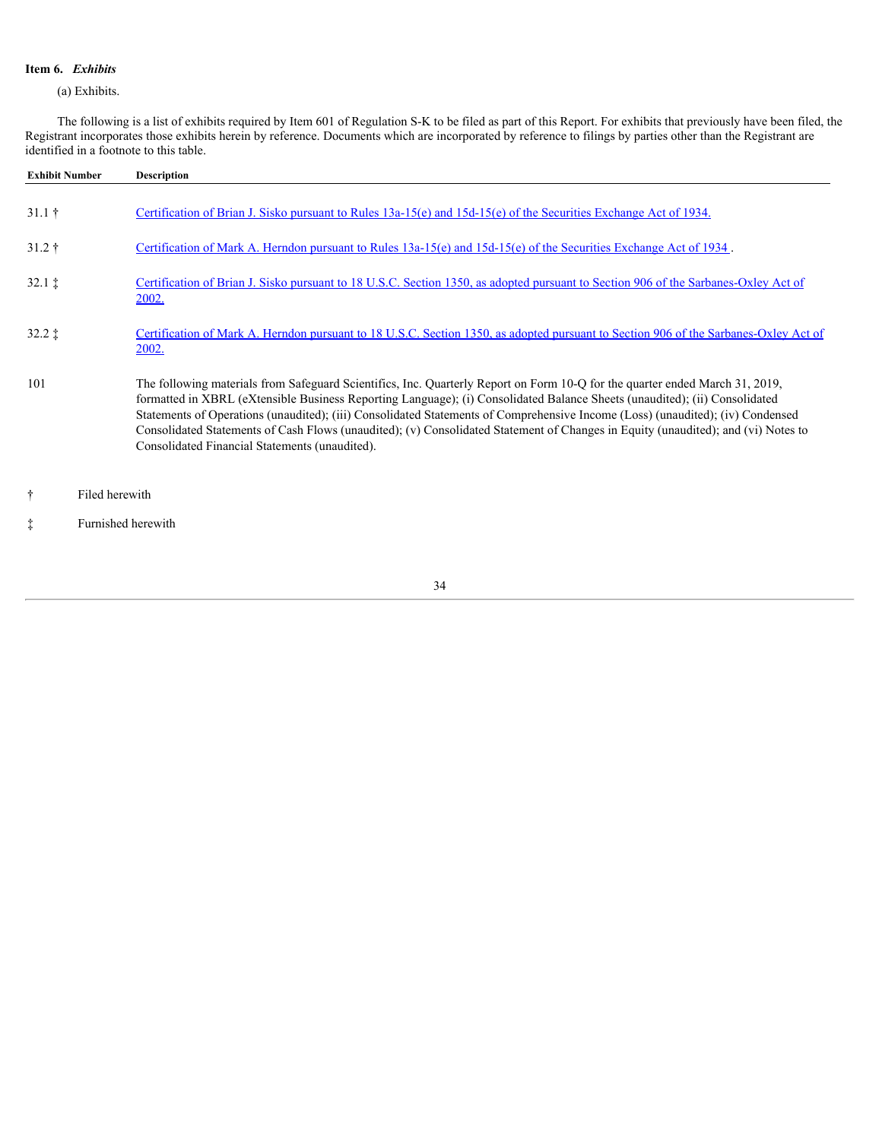## <span id="page-33-0"></span>**Item 6.** *Exhibits*

(a) Exhibits.

The following is a list of exhibits required by Item 601 of Regulation S-K to be filed as part of this Report. For exhibits that previously have been filed, the Registrant incorporates those exhibits herein by reference. Documents which are incorporated by reference to filings by parties other than the Registrant are identified in a footnote to this table.

| <b>Exhibit Number</b>   | <b>Description</b>                                                                                                                                                                                                                                                                                                                                                                                                                                                                                                                                                                  |
|-------------------------|-------------------------------------------------------------------------------------------------------------------------------------------------------------------------------------------------------------------------------------------------------------------------------------------------------------------------------------------------------------------------------------------------------------------------------------------------------------------------------------------------------------------------------------------------------------------------------------|
| $31.1 \;{\rm \ddagger}$ | Certification of Brian J. Sisko pursuant to Rules $13a-15(e)$ and $15d-15(e)$ of the Securities Exchange Act of 1934.                                                                                                                                                                                                                                                                                                                                                                                                                                                               |
| $31.2 \text{ }^{\circ}$ | Certification of Mark A. Herndon pursuant to Rules 13a-15(e) and $15d-15(e)$ of the Securities Exchange Act of 1934.                                                                                                                                                                                                                                                                                                                                                                                                                                                                |
| $32.1 \;$ $\ddagger$    | Certification of Brian J. Sisko pursuant to 18 U.S.C. Section 1350, as adopted pursuant to Section 906 of the Sarbanes-Oxley Act of<br>2002.                                                                                                                                                                                                                                                                                                                                                                                                                                        |
| $32.2 \;$ $\ddagger$    | Certification of Mark A. Herndon pursuant to 18 U.S.C. Section 1350, as adopted pursuant to Section 906 of the Sarbanes-Oxley Act of<br><u>2002.</u>                                                                                                                                                                                                                                                                                                                                                                                                                                |
| 101                     | The following materials from Safeguard Scientifics, Inc. Quarterly Report on Form 10-Q for the quarter ended March 31, 2019,<br>formatted in XBRL (eXtensible Business Reporting Language); (i) Consolidated Balance Sheets (unaudited); (ii) Consolidated<br>Statements of Operations (unaudited); (iii) Consolidated Statements of Comprehensive Income (Loss) (unaudited); (iv) Condensed<br>Consolidated Statements of Cash Flows (unaudited); (v) Consolidated Statement of Changes in Equity (unaudited); and (vi) Notes to<br>Consolidated Financial Statements (unaudited). |
| ÷                       | Filed herewith                                                                                                                                                                                                                                                                                                                                                                                                                                                                                                                                                                      |

‡ Furnished herewith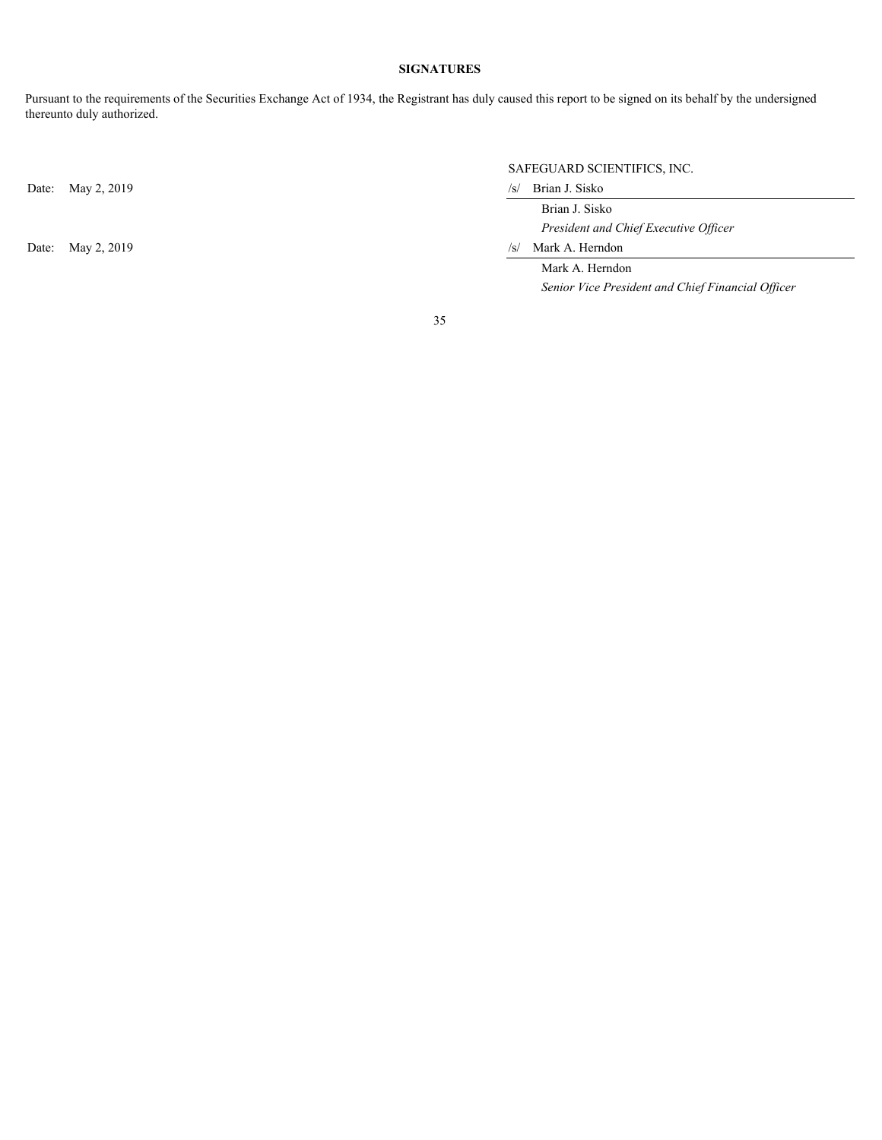## **SIGNATURES**

<span id="page-34-0"></span>Pursuant to the requirements of the Securities Exchange Act of 1934, the Registrant has duly caused this report to be signed on its behalf by the undersigned thereunto duly authorized.

Date: May 2, 2019 /s/ Brian J. Sisko

Date: May 2, 2019 /s/ Mark A. Herndon

## SAFEGUARD SCIENTIFICS, INC.

Brian J. Sisko

*President and Chief Executive Officer*

 Mark A. Herndon *Senior Vice President and Chief Financial Officer*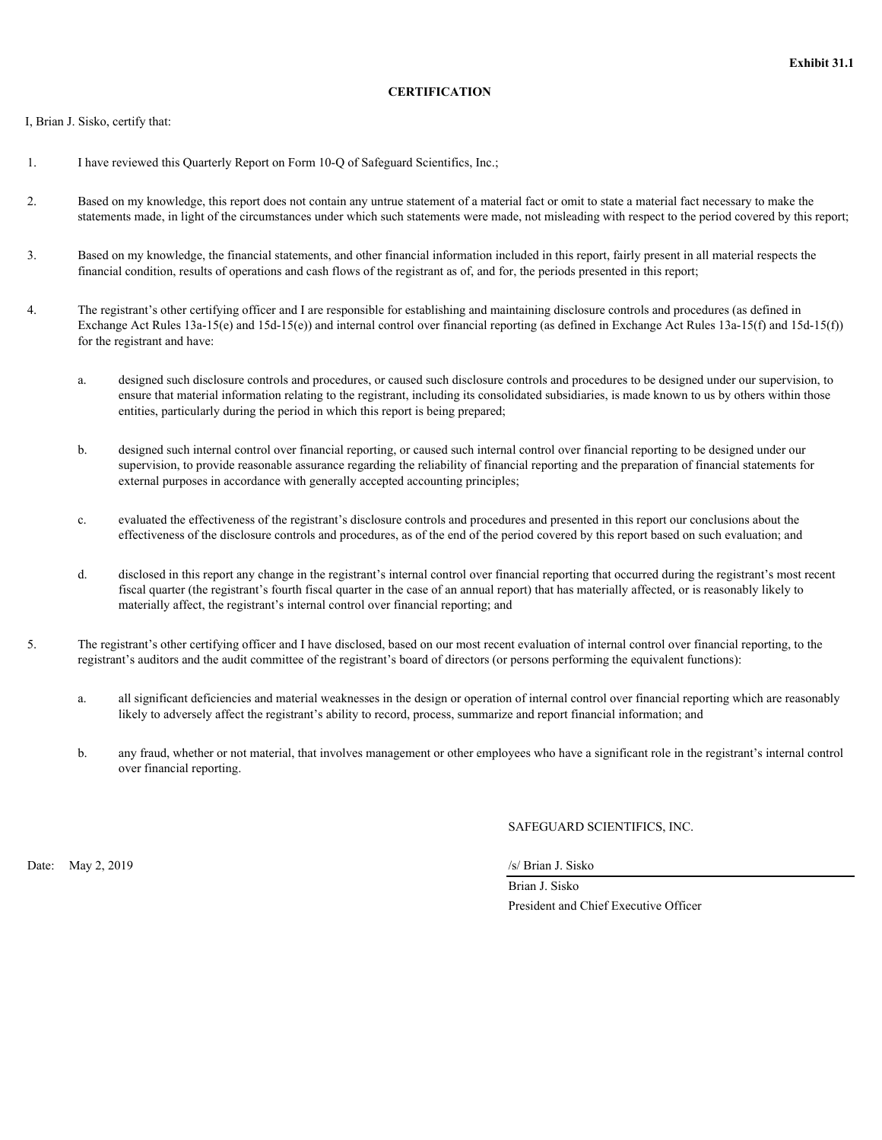## **CERTIFICATION**

<span id="page-35-0"></span>I, Brian J. Sisko, certify that:

- 1. I have reviewed this Quarterly Report on Form 10-Q of Safeguard Scientifics, Inc.;
- 2. Based on my knowledge, this report does not contain any untrue statement of a material fact or omit to state a material fact necessary to make the statements made, in light of the circumstances under which such statements were made, not misleading with respect to the period covered by this report;
- 3. Based on my knowledge, the financial statements, and other financial information included in this report, fairly present in all material respects the financial condition, results of operations and cash flows of the registrant as of, and for, the periods presented in this report;
- 4. The registrant's other certifying officer and I are responsible for establishing and maintaining disclosure controls and procedures (as defined in Exchange Act Rules  $13a-15(e)$  and  $15d-15(e)$ ) and internal control over financial reporting (as defined in Exchange Act Rules  $13a-15(f)$ ) and  $15d-15(f)$ ) for the registrant and have:
	- a. designed such disclosure controls and procedures, or caused such disclosure controls and procedures to be designed under our supervision, to ensure that material information relating to the registrant, including its consolidated subsidiaries, is made known to us by others within those entities, particularly during the period in which this report is being prepared;
	- b. designed such internal control over financial reporting, or caused such internal control over financial reporting to be designed under our supervision, to provide reasonable assurance regarding the reliability of financial reporting and the preparation of financial statements for external purposes in accordance with generally accepted accounting principles;
	- c. evaluated the effectiveness of the registrant's disclosure controls and procedures and presented in this report our conclusions about the effectiveness of the disclosure controls and procedures, as of the end of the period covered by this report based on such evaluation; and
	- d. disclosed in this report any change in the registrant's internal control over financial reporting that occurred during the registrant's most recent fiscal quarter (the registrant's fourth fiscal quarter in the case of an annual report) that has materially affected, or is reasonably likely to materially affect, the registrant's internal control over financial reporting; and
- 5. The registrant's other certifying officer and I have disclosed, based on our most recent evaluation of internal control over financial reporting, to the registrant's auditors and the audit committee of the registrant's board of directors (or persons performing the equivalent functions):
	- a. all significant deficiencies and material weaknesses in the design or operation of internal control over financial reporting which are reasonably likely to adversely affect the registrant's ability to record, process, summarize and report financial information; and
	- b. any fraud, whether or not material, that involves management or other employees who have a significant role in the registrant's internal control over financial reporting.

SAFEGUARD SCIENTIFICS, INC.

Date: May 2, 2019 /s/ Brian J. Sisko

 Brian J. Sisko President and Chief Executive Officer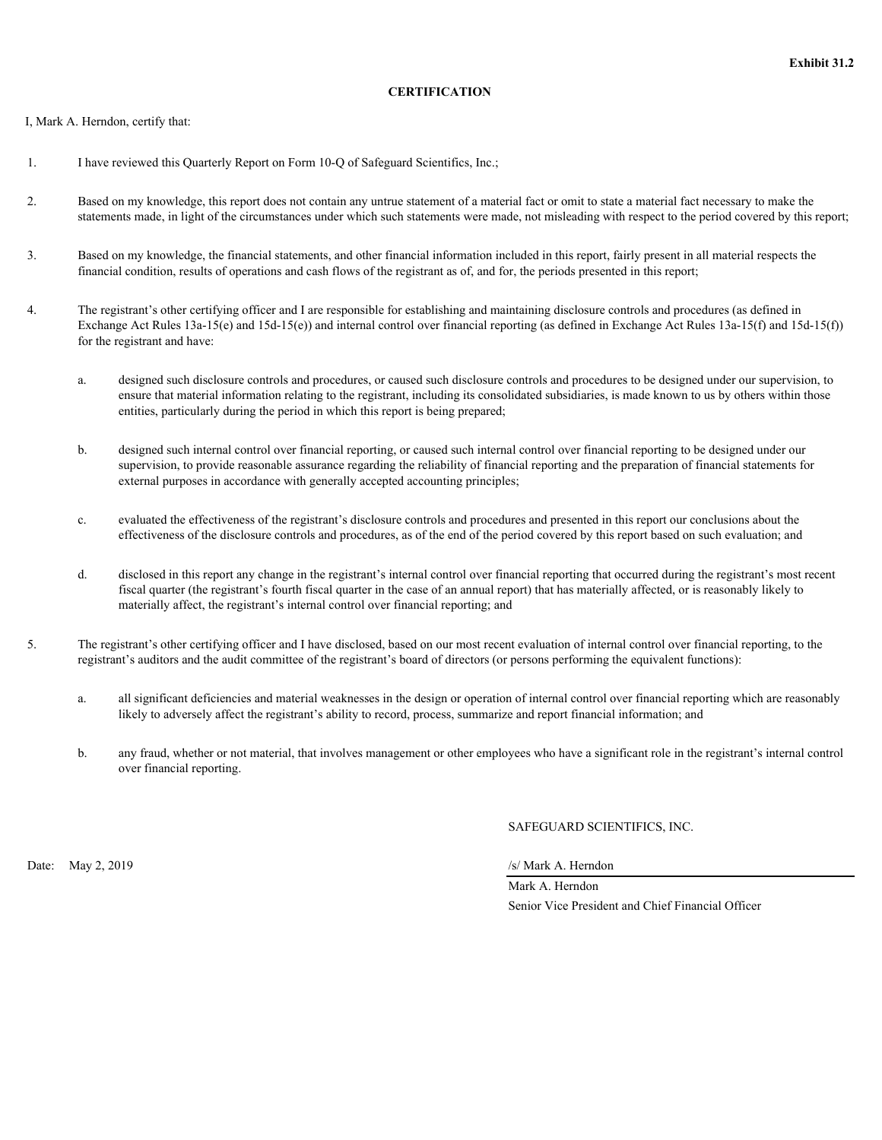## **CERTIFICATION**

<span id="page-36-0"></span>I, Mark A. Herndon, certify that:

- 1. I have reviewed this Quarterly Report on Form 10-Q of Safeguard Scientifics, Inc.;
- 2. Based on my knowledge, this report does not contain any untrue statement of a material fact or omit to state a material fact necessary to make the statements made, in light of the circumstances under which such statements were made, not misleading with respect to the period covered by this report;
- 3. Based on my knowledge, the financial statements, and other financial information included in this report, fairly present in all material respects the financial condition, results of operations and cash flows of the registrant as of, and for, the periods presented in this report;
- 4. The registrant's other certifying officer and I are responsible for establishing and maintaining disclosure controls and procedures (as defined in Exchange Act Rules  $13a-15(e)$  and  $15d-15(e)$ ) and internal control over financial reporting (as defined in Exchange Act Rules  $13a-15(f)$ ) and  $15d-15(f)$ ) for the registrant and have:
	- a. designed such disclosure controls and procedures, or caused such disclosure controls and procedures to be designed under our supervision, to ensure that material information relating to the registrant, including its consolidated subsidiaries, is made known to us by others within those entities, particularly during the period in which this report is being prepared;
	- b. designed such internal control over financial reporting, or caused such internal control over financial reporting to be designed under our supervision, to provide reasonable assurance regarding the reliability of financial reporting and the preparation of financial statements for external purposes in accordance with generally accepted accounting principles;
	- c. evaluated the effectiveness of the registrant's disclosure controls and procedures and presented in this report our conclusions about the effectiveness of the disclosure controls and procedures, as of the end of the period covered by this report based on such evaluation; and
	- d. disclosed in this report any change in the registrant's internal control over financial reporting that occurred during the registrant's most recent fiscal quarter (the registrant's fourth fiscal quarter in the case of an annual report) that has materially affected, or is reasonably likely to materially affect, the registrant's internal control over financial reporting; and
- 5. The registrant's other certifying officer and I have disclosed, based on our most recent evaluation of internal control over financial reporting, to the registrant's auditors and the audit committee of the registrant's board of directors (or persons performing the equivalent functions):
	- a. all significant deficiencies and material weaknesses in the design or operation of internal control over financial reporting which are reasonably likely to adversely affect the registrant's ability to record, process, summarize and report financial information; and
	- b. any fraud, whether or not material, that involves management or other employees who have a significant role in the registrant's internal control over financial reporting.

SAFEGUARD SCIENTIFICS, INC.

Date: May 2, 2019 */s/ Mark A. Herndon* 

Mark A. Herndon Senior Vice President and Chief Financial Officer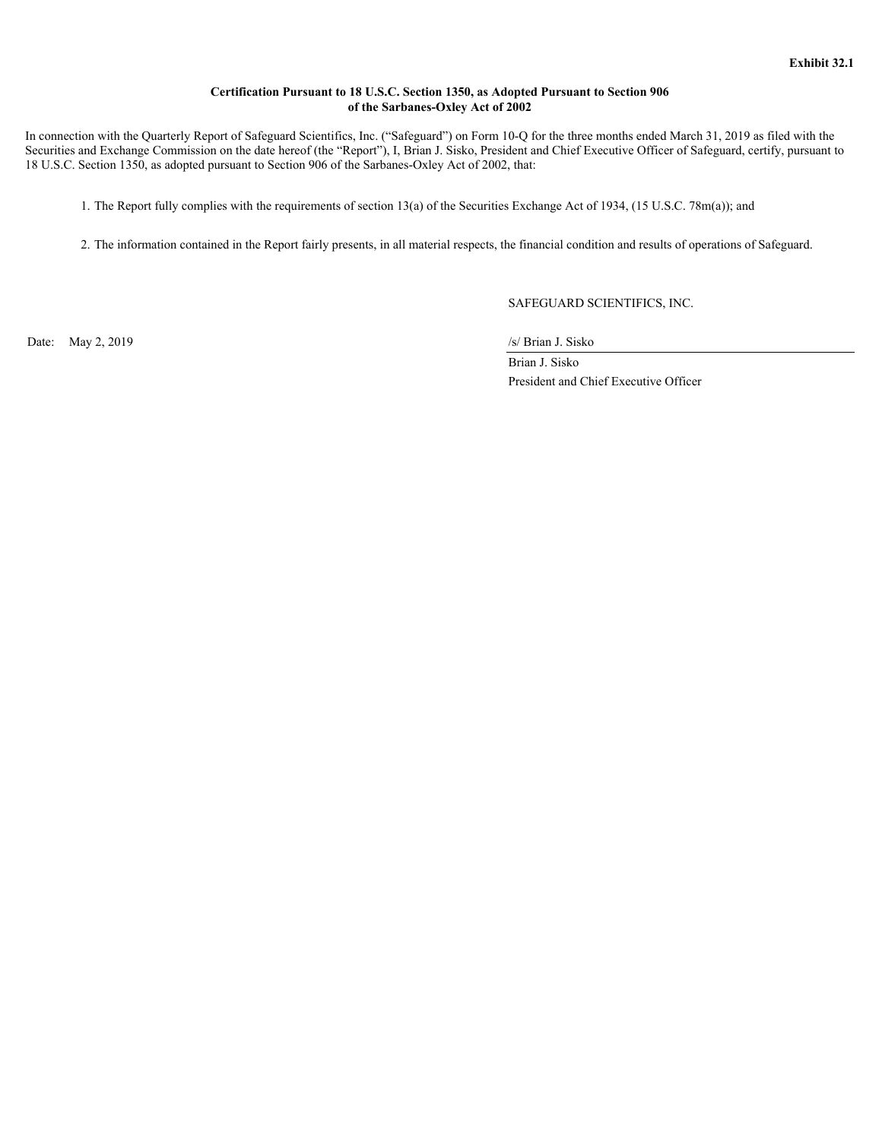## **Certification Pursuant to 18 U.S.C. Section 1350, as Adopted Pursuant to Section 906 of the Sarbanes-Oxley Act of 2002**

<span id="page-37-0"></span> In connection with the Quarterly Report of Safeguard Scientifics, Inc. ("Safeguard") on Form 10-Q for the three months ended March 31, 2019 as filed with the Securities and Exchange Commission on the date hereof (the "Report"), I, Brian J. Sisko, President and Chief Executive Officer of Safeguard, certify, pursuant to 18 U.S.C. Section 1350, as adopted pursuant to Section 906 of the Sarbanes-Oxley Act of 2002, that:

1. The Report fully complies with the requirements of section 13(a) of the Securities Exchange Act of 1934, (15 U.S.C. 78m(a)); and

2. The information contained in the Report fairly presents, in all material respects, the financial condition and results of operations of Safeguard.

SAFEGUARD SCIENTIFICS, INC.

Date: May 2, 2019 /s/ Brian J. Sisko

 Brian J. Sisko President and Chief Executive Officer